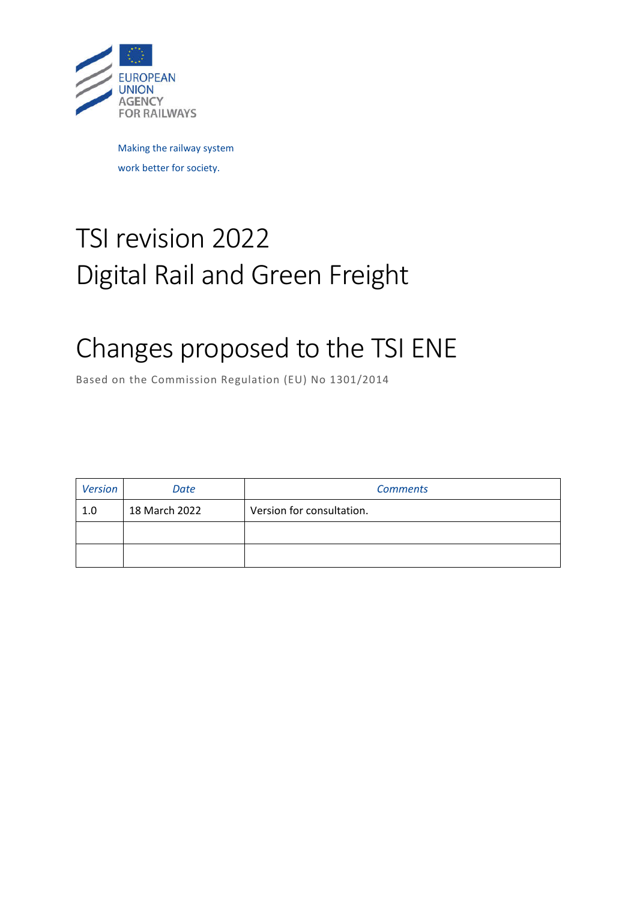

Making the railway system work better for society.

# TSI revision 2022 Digital Rail and Green Freight

# Changes proposed to the TSI ENE

Based on the Commission Regulation (EU) No 1301/2014

| Version | Date          | <b>Comments</b>           |
|---------|---------------|---------------------------|
| 1.0     | 18 March 2022 | Version for consultation. |
|         |               |                           |
|         |               |                           |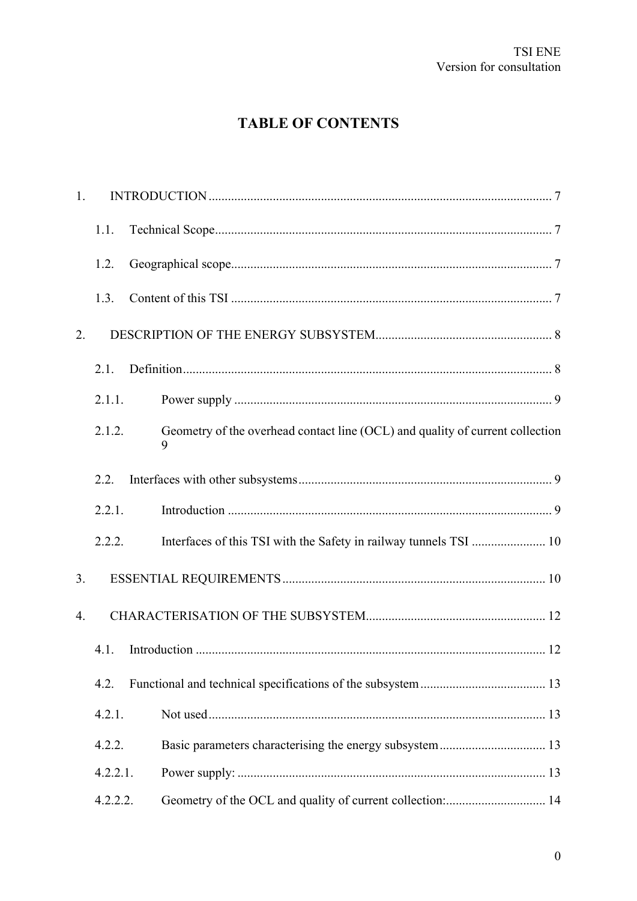# **TABLE OF CONTENTS**

| 1.               |          |                                                                                    |
|------------------|----------|------------------------------------------------------------------------------------|
|                  | 1.1.     |                                                                                    |
|                  | 1.2.     |                                                                                    |
|                  | 1.3.     |                                                                                    |
| 2.               |          |                                                                                    |
|                  | 2.1.     |                                                                                    |
|                  | 2.1.1.   |                                                                                    |
|                  | 2.1.2.   | Geometry of the overhead contact line (OCL) and quality of current collection<br>9 |
|                  | 2.2.     |                                                                                    |
|                  | 2.2.1.   |                                                                                    |
|                  | 2.2.2.   | Interfaces of this TSI with the Safety in railway tunnels TSI  10                  |
| 3.               |          |                                                                                    |
| $\overline{4}$ . |          |                                                                                    |
|                  | 4.1.     |                                                                                    |
|                  | 4.2.     |                                                                                    |
|                  | 4.2.1.   |                                                                                    |
|                  | 4.2.2.   | Basic parameters characterising the energy subsystem  13                           |
|                  | 4.2.2.1. |                                                                                    |
|                  | 4.2.2.2. | Geometry of the OCL and quality of current collection: 14                          |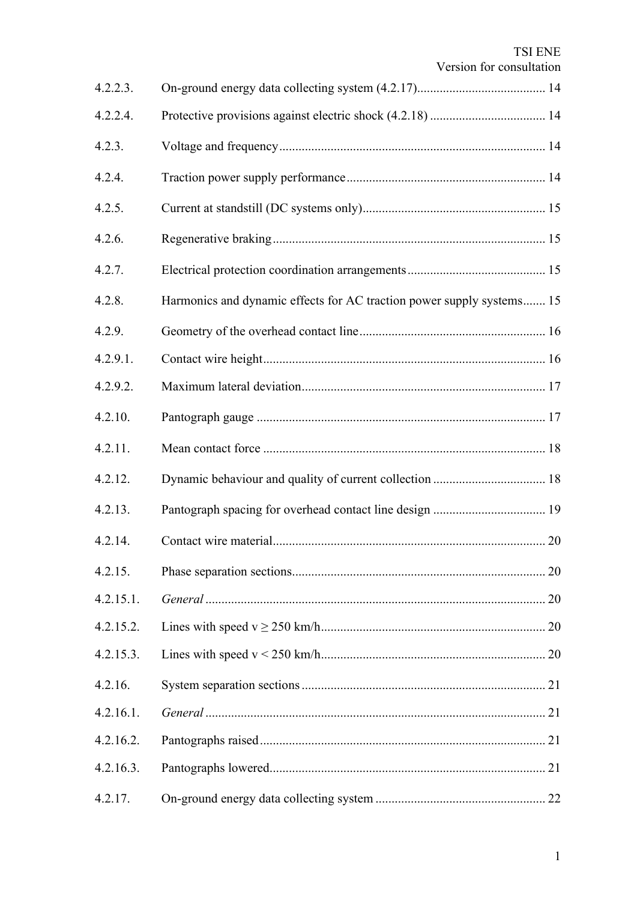| 4.2.2.3.  |                                                                       |
|-----------|-----------------------------------------------------------------------|
| 4.2.2.4.  |                                                                       |
| 4.2.3.    |                                                                       |
| 4.2.4.    |                                                                       |
| 4.2.5.    |                                                                       |
| 4.2.6.    |                                                                       |
| 4.2.7.    |                                                                       |
| 4.2.8.    | Harmonics and dynamic effects for AC traction power supply systems 15 |
| 4.2.9.    |                                                                       |
| 4.2.9.1.  |                                                                       |
| 4.2.9.2.  |                                                                       |
| 4.2.10.   |                                                                       |
| 4.2.11.   |                                                                       |
| 4.2.12.   |                                                                       |
| 4.2.13.   |                                                                       |
| 4.2.14.   |                                                                       |
| 4.2.15.   |                                                                       |
| 4.2.15.1. |                                                                       |
| 4.2.15.2. |                                                                       |
| 4.2.15.3. |                                                                       |
| 4.2.16.   |                                                                       |
| 4.2.16.1. |                                                                       |
| 4.2.16.2. |                                                                       |
| 4.2.16.3. |                                                                       |
| 4.2.17.   |                                                                       |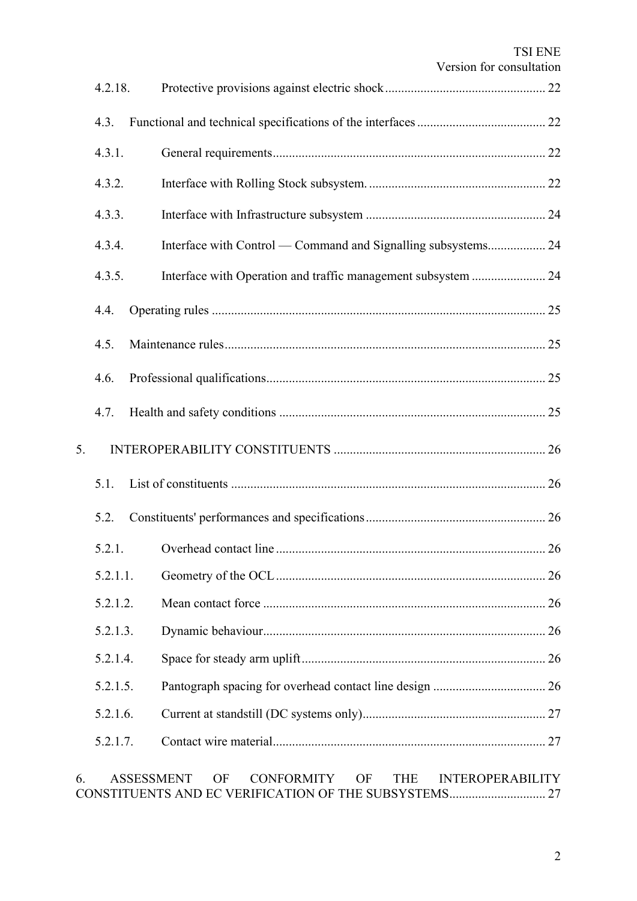|    |                   | <b>TSI ENE</b><br>Version for consultation                             |
|----|-------------------|------------------------------------------------------------------------|
|    | 4.2.18.           |                                                                        |
|    | 4.3.              |                                                                        |
|    | 4.3.1.            |                                                                        |
|    | 4.3.2.            |                                                                        |
|    | 4.3.3.            |                                                                        |
|    | 4.3.4.            | Interface with Control — Command and Signalling subsystems 24          |
|    | 4.3.5.            |                                                                        |
|    | 4.4.              |                                                                        |
|    | 4.5.              |                                                                        |
|    | 4.6.              |                                                                        |
|    |                   |                                                                        |
|    | 4.7.              |                                                                        |
| 5. |                   |                                                                        |
|    | 5.1.              |                                                                        |
|    | 5.2.              |                                                                        |
|    | 5.2.1.            |                                                                        |
|    | 5.2.1.1.          |                                                                        |
|    | 5.2.1.2.          |                                                                        |
|    | 5.2.1.3.          |                                                                        |
|    | 5.2.1.4.          |                                                                        |
|    | 5.2.1.5.          |                                                                        |
|    | 5.2.1.6.          |                                                                        |
|    | 5.2.1.7.          |                                                                        |
| 6. | <b>ASSESSMENT</b> | <b>CONFORMITY</b><br><b>THE</b><br><b>INTEROPERABILITY</b><br>OF<br>OF |

CONSTITUENTS AND EC VERIFICATION OF THE SUBSYSTEMS.............................. 27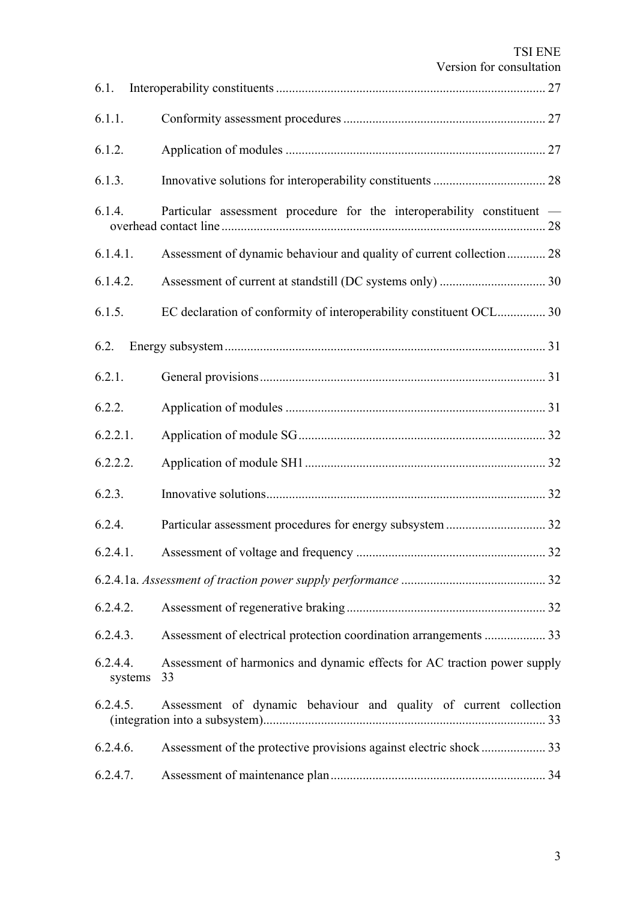|                     | <i>v</i> Croion for consultation                                               |  |
|---------------------|--------------------------------------------------------------------------------|--|
| 6.1.                |                                                                                |  |
| 6.1.1.              |                                                                                |  |
| 6.1.2.              |                                                                                |  |
| 6.1.3.              |                                                                                |  |
| 6.1.4.              | Particular assessment procedure for the interoperability constituent -         |  |
| 6.1.4.1.            | Assessment of dynamic behaviour and quality of current collection 28           |  |
| 6.1.4.2.            |                                                                                |  |
| 6.1.5.              | EC declaration of conformity of interoperability constituent OCL 30            |  |
| 6.2.                |                                                                                |  |
| 6.2.1.              |                                                                                |  |
| 6.2.2.              |                                                                                |  |
| 6.2.2.1.            |                                                                                |  |
| 6.2.2.2.            |                                                                                |  |
| 6.2.3.              |                                                                                |  |
| 6.2.4.              |                                                                                |  |
| 6.2.4.1.            |                                                                                |  |
|                     |                                                                                |  |
| 6.2.4.2.            |                                                                                |  |
| 6.2.4.3.            | Assessment of electrical protection coordination arrangements  33              |  |
| 6.2.4.4.<br>systems | Assessment of harmonics and dynamic effects for AC traction power supply<br>33 |  |
| 6.2.4.5.            | Assessment of dynamic behaviour and quality of current collection              |  |
| 6.2.4.6.            |                                                                                |  |
| 6.2.4.7.            |                                                                                |  |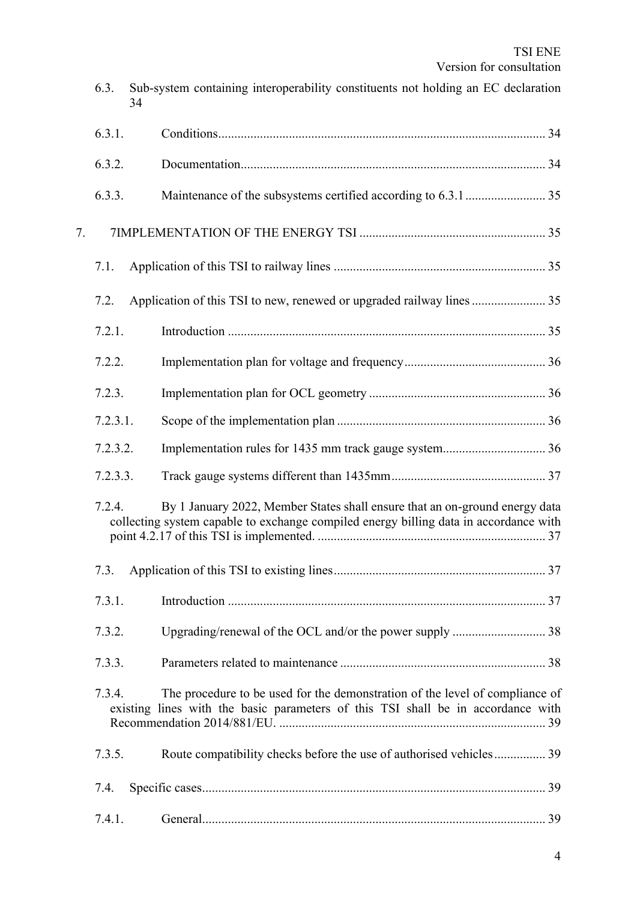|    | 34       |                                                                                                                                                                      |
|----|----------|----------------------------------------------------------------------------------------------------------------------------------------------------------------------|
|    | 6.3.1.   |                                                                                                                                                                      |
|    | 6.3.2.   |                                                                                                                                                                      |
|    | 6.3.3.   |                                                                                                                                                                      |
| 7. |          |                                                                                                                                                                      |
|    | 7.1.     |                                                                                                                                                                      |
|    | 7.2.     |                                                                                                                                                                      |
|    | 7.2.1.   |                                                                                                                                                                      |
|    | 7.2.2.   |                                                                                                                                                                      |
|    | 7.2.3.   |                                                                                                                                                                      |
|    | 7.2.3.1. |                                                                                                                                                                      |
|    | 7.2.3.2. |                                                                                                                                                                      |
|    | 7.2.3.3. |                                                                                                                                                                      |
|    | 7.2.4.   | By 1 January 2022, Member States shall ensure that an on-ground energy data<br>collecting system capable to exchange compiled energy billing data in accordance with |
|    | 7.3.     |                                                                                                                                                                      |
|    | 7.3.1.   |                                                                                                                                                                      |
|    | 7.3.2.   |                                                                                                                                                                      |
|    | 7.3.3.   |                                                                                                                                                                      |
|    | 7.3.4.   | The procedure to be used for the demonstration of the level of compliance of<br>existing lines with the basic parameters of this TSI shall be in accordance with     |
|    | 7.3.5.   | Route compatibility checks before the use of authorised vehicles 39                                                                                                  |
|    | 7.4.     |                                                                                                                                                                      |
|    | 7.4.1.   |                                                                                                                                                                      |

6.3. Sub-system containing interoperability constituents not holding an EC declaration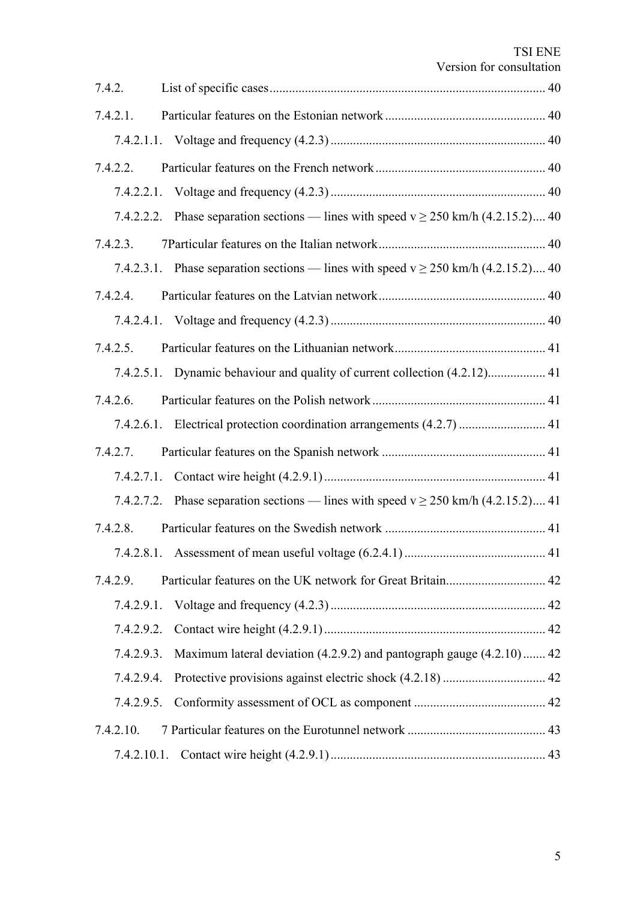| 7.4.2.      | VUSION IOI CONSUMATION                                                                 |
|-------------|----------------------------------------------------------------------------------------|
| 7.4.2.1.    |                                                                                        |
|             |                                                                                        |
| 7.4.2.2.    |                                                                                        |
|             |                                                                                        |
|             | 7.4.2.2.2. Phase separation sections — lines with speed $v \ge 250$ km/h (4.2.15.2) 40 |
| 7.4.2.3.    |                                                                                        |
|             | 7.4.2.3.1. Phase separation sections — lines with speed $v \ge 250$ km/h (4.2.15.2) 40 |
| 7.4.2.4.    |                                                                                        |
|             |                                                                                        |
| 7.4.2.5.    |                                                                                        |
|             | 7.4.2.5.1. Dynamic behaviour and quality of current collection (4.2.12) 41             |
| 7.4.2.6.    |                                                                                        |
|             | 7.4.2.6.1. Electrical protection coordination arrangements (4.2.7)  41                 |
| 7.4.2.7.    |                                                                                        |
|             |                                                                                        |
|             | 7.4.2.7.2. Phase separation sections — lines with speed $v \ge 250$ km/h (4.2.15.2) 41 |
| 7.4.2.8.    |                                                                                        |
|             |                                                                                        |
| 7.4.2.9.    |                                                                                        |
| 7.4.2.9.1.  |                                                                                        |
| 7.4.2.9.2.  |                                                                                        |
| 7.4.2.9.3.  | Maximum lateral deviation (4.2.9.2) and pantograph gauge (4.2.10) 42                   |
| 7.4.2.9.4.  |                                                                                        |
| 7.4.2.9.5.  |                                                                                        |
| 7.4.2.10.   |                                                                                        |
| 7.4.2.10.1. |                                                                                        |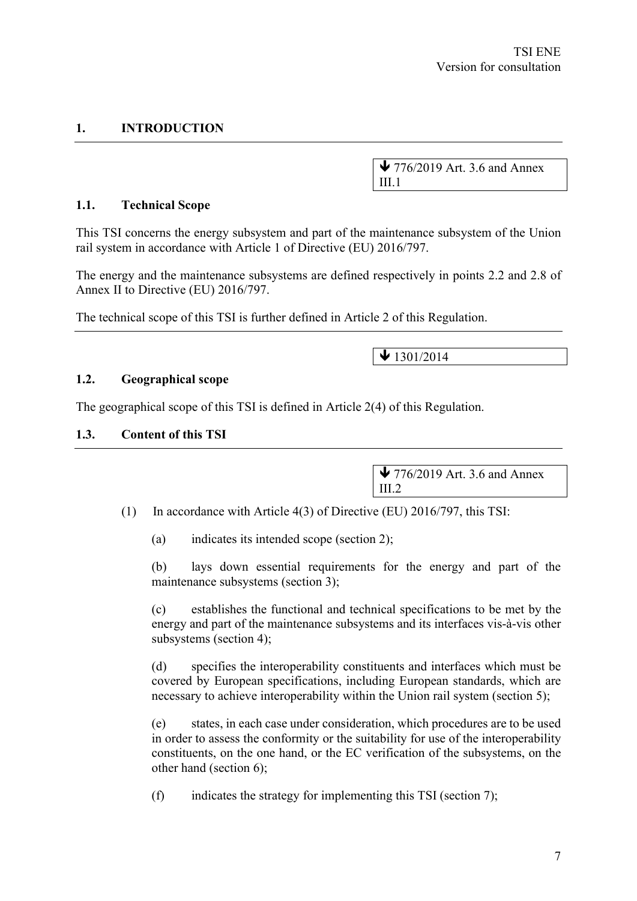# **1. INTRODUCTION**

 $\blacktriangleright$  776/2019 Art. 3.6 and Annex III.1

#### **1.1. Technical Scope**

This TSI concerns the energy subsystem and part of the maintenance subsystem of the Union rail system in accordance with Article 1 of Directive (EU) 2016/797.

The energy and the maintenance subsystems are defined respectively in points 2.2 and 2.8 of Annex II to Directive (EU) 2016/797.

The technical scope of this TSI is further defined in Article 2 of this Regulation.

 $\bigvee$  1301/2014

#### **1.2. Geographical scope**

The geographical scope of this TSI is defined in Article 2(4) of this Regulation.

#### **1.3. Content of this TSI**

 $\blacktriangleright$  776/2019 Art. 3.6 and Annex III.2

(1) In accordance with Article 4(3) of Directive (EU) 2016/797, this TSI:

(a) indicates its intended scope (section 2);

(b) lays down essential requirements for the energy and part of the maintenance subsystems (section 3);

(c) establishes the functional and technical specifications to be met by the energy and part of the maintenance subsystems and its interfaces vis-à-vis other subsystems (section 4);

(d) specifies the interoperability constituents and interfaces which must be covered by European specifications, including European standards, which are necessary to achieve interoperability within the Union rail system (section 5);

(e) states, in each case under consideration, which procedures are to be used in order to assess the conformity or the suitability for use of the interoperability constituents, on the one hand, or the EC verification of the subsystems, on the other hand (section 6);

(f) indicates the strategy for implementing this TSI (section 7);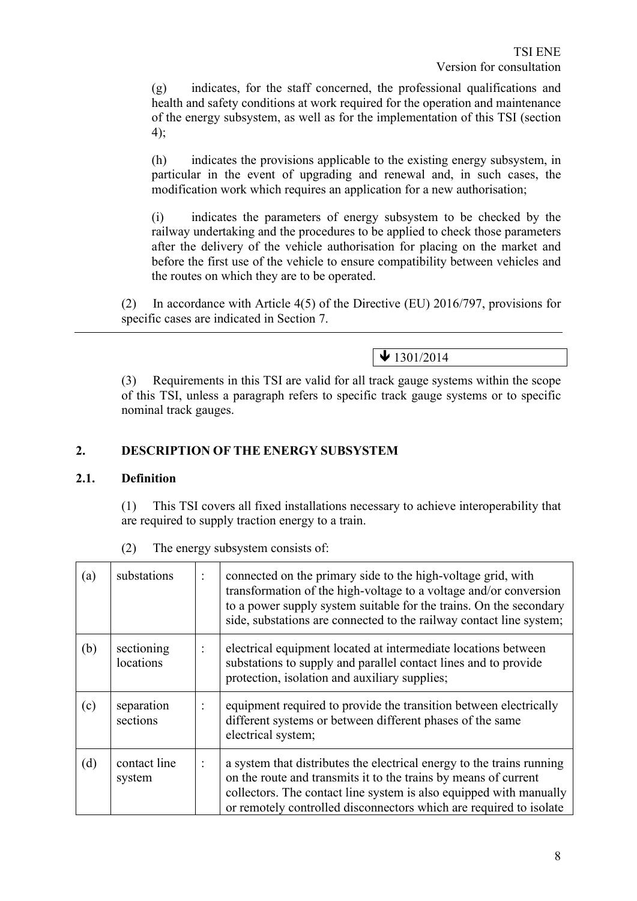(g) indicates, for the staff concerned, the professional qualifications and health and safety conditions at work required for the operation and maintenance of the energy subsystem, as well as for the implementation of this TSI (section 4);

(h) indicates the provisions applicable to the existing energy subsystem, in particular in the event of upgrading and renewal and, in such cases, the modification work which requires an application for a new authorisation;

(i) indicates the parameters of energy subsystem to be checked by the railway undertaking and the procedures to be applied to check those parameters after the delivery of the vehicle authorisation for placing on the market and before the first use of the vehicle to ensure compatibility between vehicles and the routes on which they are to be operated.

(2) In accordance with Article 4(5) of the Directive (EU) 2016/797, provisions for specific cases are indicated in Section 7.

 $\bigvee$  1301/2014

(3) Requirements in this TSI are valid for all track gauge systems within the scope of this TSI, unless a paragraph refers to specific track gauge systems or to specific nominal track gauges.

# **2. DESCRIPTION OF THE ENERGY SUBSYSTEM**

#### **2.1. Definition**

(1) This TSI covers all fixed installations necessary to achieve interoperability that are required to supply traction energy to a train.

| (a) | substations             | $\ddot{\cdot}$ | connected on the primary side to the high-voltage grid, with<br>transformation of the high-voltage to a voltage and/or conversion<br>to a power supply system suitable for the trains. On the secondary<br>side, substations are connected to the railway contact line system;       |
|-----|-------------------------|----------------|--------------------------------------------------------------------------------------------------------------------------------------------------------------------------------------------------------------------------------------------------------------------------------------|
| (b) | sectioning<br>locations | $\ddot{\cdot}$ | electrical equipment located at intermediate locations between<br>substations to supply and parallel contact lines and to provide<br>protection, isolation and auxiliary supplies;                                                                                                   |
| (c) | separation<br>sections  | $\ddot{\cdot}$ | equipment required to provide the transition between electrically<br>different systems or between different phases of the same<br>electrical system;                                                                                                                                 |
| (d) | contact line<br>system  | $\vdots$       | a system that distributes the electrical energy to the trains running<br>on the route and transmits it to the trains by means of current<br>collectors. The contact line system is also equipped with manually<br>or remotely controlled disconnectors which are required to isolate |

(2) The energy subsystem consists of: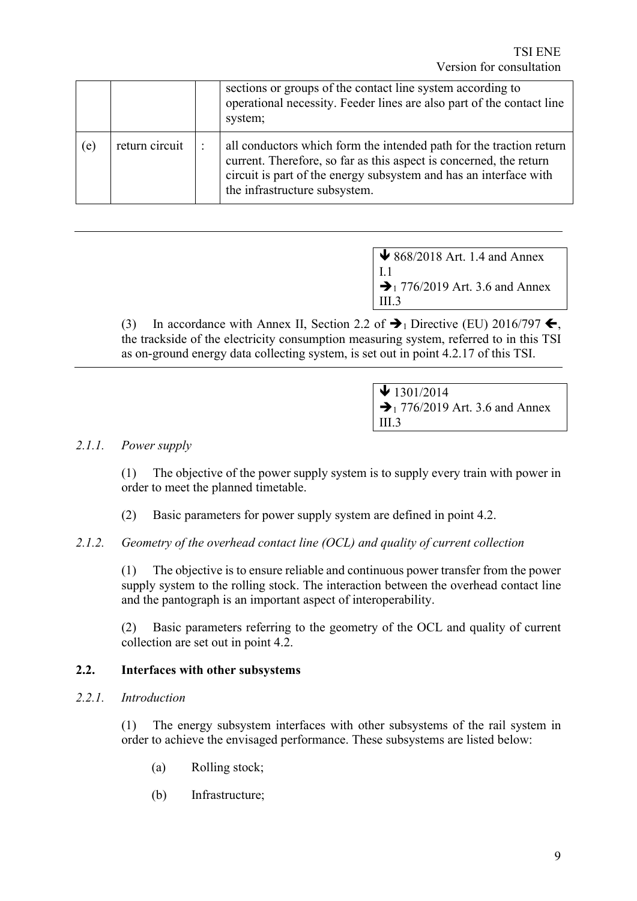|     |                |                | sections or groups of the contact line system according to<br>operational necessity. Feeder lines are also part of the contact line<br>system;                                                                                                  |
|-----|----------------|----------------|-------------------------------------------------------------------------------------------------------------------------------------------------------------------------------------------------------------------------------------------------|
| (e) | return circuit | $\ddot{\cdot}$ | all conductors which form the intended path for the traction return<br>current. Therefore, so far as this aspect is concerned, the return<br>circuit is part of the energy subsystem and has an interface with<br>the infrastructure subsystem. |

 $\bigvee$  868/2018 Art. 1.4 and Annex I.1  $\rightarrow$  1 776/2019 Art. 3.6 and Annex III.3

(3) In accordance with Annex II, Section 2.2 of  $\rightarrow$  1 Directive (EU) 2016/797  $\leftarrow$ , the trackside of the electricity consumption measuring system, referred to in this TSI as on-ground energy data collecting system, is set out in point 4.2.17 of this TSI.

> $\bigvee$  1301/2014  $\rightarrow$  1 776/2019 Art. 3.6 and Annex III.3

# *2.1.1. Power supply*

(1) The objective of the power supply system is to supply every train with power in order to meet the planned timetable.

(2) Basic parameters for power supply system are defined in point 4.2.

#### *2.1.2. Geometry of the overhead contact line (OCL) and quality of current collection*

(1) The objective is to ensure reliable and continuous power transfer from the power supply system to the rolling stock. The interaction between the overhead contact line and the pantograph is an important aspect of interoperability.

(2) Basic parameters referring to the geometry of the OCL and quality of current collection are set out in point 4.2.

#### **2.2. Interfaces with other subsystems**

#### *2.2.1. Introduction*

(1) The energy subsystem interfaces with other subsystems of the rail system in order to achieve the envisaged performance. These subsystems are listed below:

- (a) Rolling stock;
- (b) Infrastructure;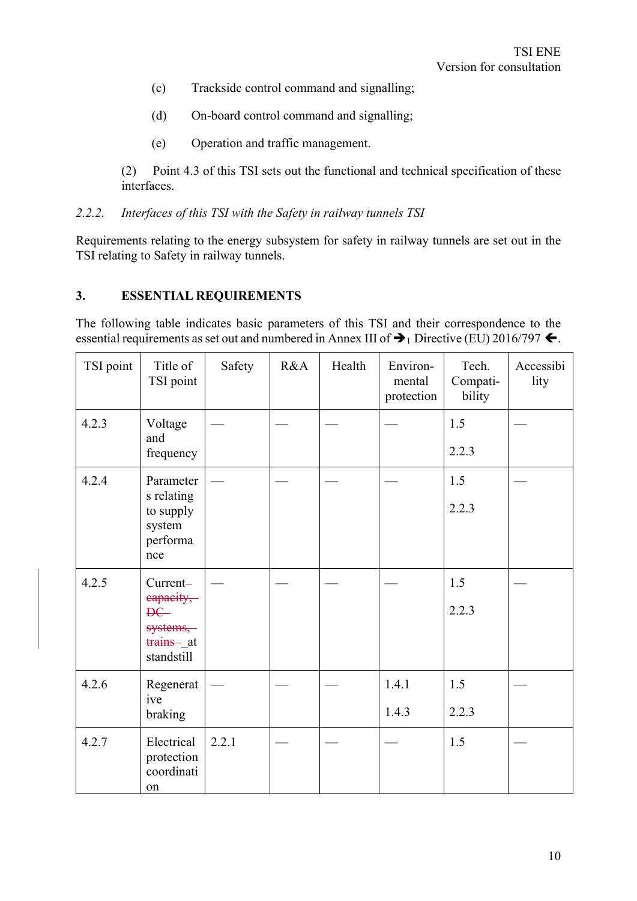- (c) Trackside control command and signalling;
- (d) On-board control command and signalling;
- (e) Operation and traffic management.

(2) Point 4.3 of this TSI sets out the functional and technical specification of these interfaces.

#### *2.2.2. Interfaces of this TSI with the Safety in railway tunnels TSI*

Requirements relating to the energy subsystem for safety in railway tunnels are set out in the TSI relating to Safety in railway tunnels.

#### **3. ESSENTIAL REQUIREMENTS**

The following table indicates basic parameters of this TSI and their correspondence to the essential requirements as set out and numbered in Annex III of  $\rightarrow$  1 Directive (EU) 2016/797  $\leftarrow$ .

| TSI point | Title of<br>TSI point                                                        | Safety | R&A | Health | Environ-<br>mental<br>protection | Tech.<br>Compati-<br>bility | Accessibi<br>lity |
|-----------|------------------------------------------------------------------------------|--------|-----|--------|----------------------------------|-----------------------------|-------------------|
| 4.2.3     | Voltage<br>and<br>frequency                                                  |        |     |        |                                  | 1.5<br>2.2.3                |                   |
| 4.2.4     | Parameter<br>s relating<br>to supply<br>system<br>performa<br>nce            |        |     |        |                                  | 1.5<br>2.2.3                |                   |
| 4.2.5     | Current-<br>capacity,<br><b>DC</b><br>systems,<br>trains __ at<br>standstill |        |     |        |                                  | 1.5<br>2.2.3                |                   |
| 4.2.6     | Regenerat<br>ive<br>braking                                                  |        |     |        | 1.4.1<br>1.4.3                   | 1.5<br>2.2.3                |                   |
| 4.2.7     | Electrical<br>protection<br>coordinati<br>on                                 | 2.2.1  |     |        |                                  | 1.5                         |                   |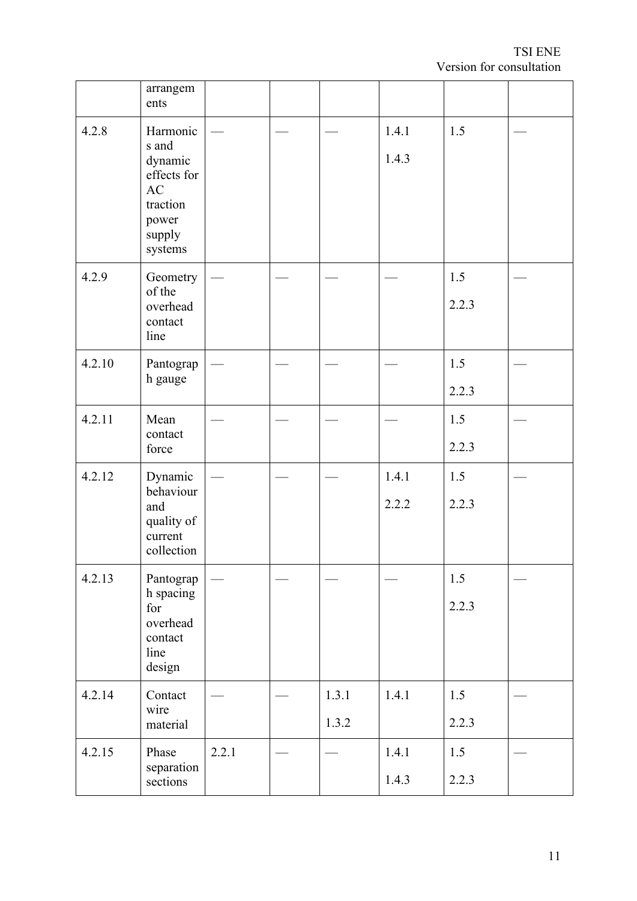|        | arrangem<br>ents                                                                            |       |                |                |              |  |
|--------|---------------------------------------------------------------------------------------------|-------|----------------|----------------|--------------|--|
| 4.2.8  | Harmonic<br>s and<br>dynamic<br>effects for<br>AC<br>traction<br>power<br>supply<br>systems |       |                | 1.4.1<br>1.4.3 | 1.5          |  |
| 4.2.9  | Geometry<br>of the<br>overhead<br>contact<br>line                                           |       |                |                | 1.5<br>2.2.3 |  |
| 4.2.10 | Pantograp<br>h gauge                                                                        |       |                |                | 1.5<br>2.2.3 |  |
| 4.2.11 | Mean<br>contact<br>force                                                                    |       |                |                | 1.5<br>2.2.3 |  |
| 4.2.12 | Dynamic<br>behaviour<br>and<br>quality of<br>current<br>collection                          |       |                | 1.4.1<br>2.2.2 | 1.5<br>2.2.3 |  |
| 4.2.13 | Pantograp<br>h spacing<br>for<br>overhead<br>contact<br>line<br>design                      |       |                |                | 1.5<br>2.2.3 |  |
| 4.2.14 | Contact<br>wire<br>material                                                                 |       | 1.3.1<br>1.3.2 | 1.4.1          | 1.5<br>2.2.3 |  |
| 4.2.15 | Phase<br>separation<br>sections                                                             | 2.2.1 |                | 1.4.1<br>1.4.3 | 1.5<br>2.2.3 |  |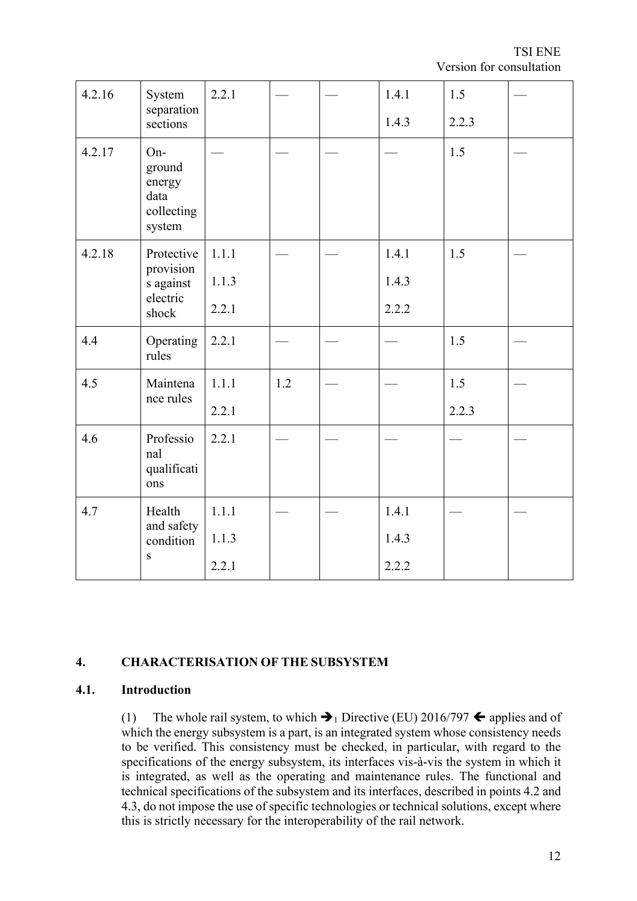TSI ENE Version for consultation

| 4.2.16 | System<br>separation                                    | 2.2.1 |     | 1.4.1 | 1.5   |  |
|--------|---------------------------------------------------------|-------|-----|-------|-------|--|
|        | sections                                                |       |     | 1.4.3 | 2.2.3 |  |
| 4.2.17 | On-<br>ground<br>energy<br>data<br>collecting<br>system |       |     |       | 1.5   |  |
| 4.2.18 | Protective<br>provision                                 | 1.1.1 |     | 1.4.1 | 1.5   |  |
|        | s against<br>electric<br>shock                          | 1.1.3 |     | 1.4.3 |       |  |
|        |                                                         | 2.2.1 |     | 2.2.2 |       |  |
| 4.4    | Operating<br>rules                                      | 2.2.1 |     |       | 1.5   |  |
| 4.5    | Maintena<br>nce rules                                   | 1.1.1 | 1.2 |       | 1.5   |  |
|        |                                                         | 2.2.1 |     |       | 2.2.3 |  |
| 4.6    | Professio<br>nal<br>qualificati<br>ons                  | 2.2.1 |     |       |       |  |
| 4.7    | Health                                                  | 1.1.1 |     | 1.4.1 |       |  |
|        | and safety<br>condition                                 | 1.1.3 |     | 1.4.3 |       |  |
|        | ${\bf S}$                                               | 2.2.1 |     | 2.2.2 |       |  |

# **4. CHARACTERISATION OF THE SUBSYSTEM**

#### **4.1. Introduction**

(1) The whole rail system, to which  $\blacktriangleright$  Directive (EU) 2016/797  $\blacklozenge$  applies and of which the energy subsystem is a part, is an integrated system whose consistency needs to be verified. This consistency must be checked, in particular, with regard to the specifications of the energy subsystem, its interfaces vis-à-vis the system in which it is integrated, as well as the operating and maintenance rules. The functional and technical specifications of the subsystem and its interfaces, described in points 4.2 and 4.3, do not impose the use of specific technologies or technical solutions, except where this is strictly necessary for the interoperability of the rail network.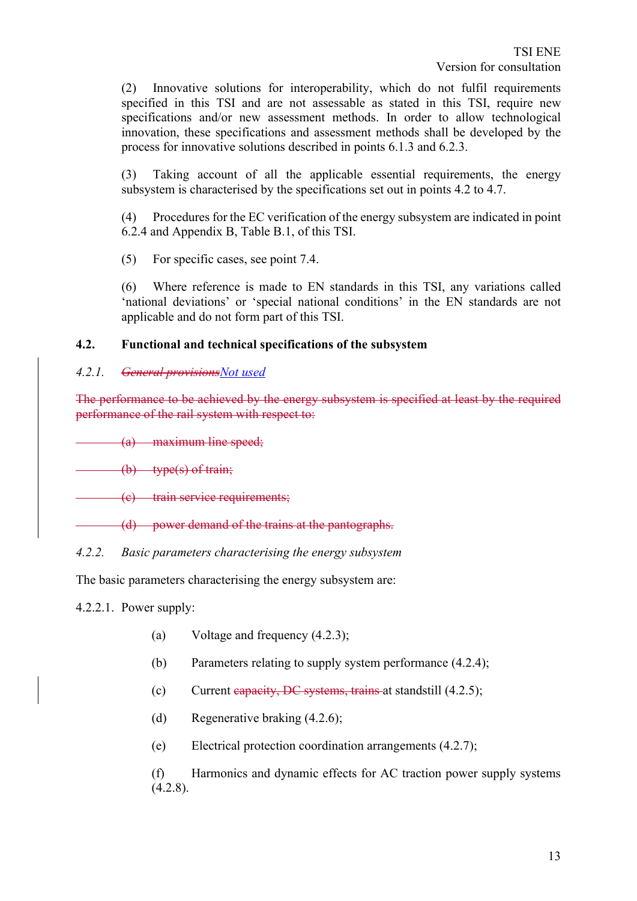(2) Innovative solutions for interoperability, which do not fulfil requirements specified in this TSI and are not assessable as stated in this TSI, require new specifications and/or new assessment methods. In order to allow technological innovation, these specifications and assessment methods shall be developed by the process for innovative solutions described in points 6.1.3 and 6.2.3.

(3) Taking account of all the applicable essential requirements, the energy subsystem is characterised by the specifications set out in points 4.2 to 4.7.

(4) Procedures for the EC verification of the energy subsystem are indicated in point 6.2.4 and Appendix B, Table B.1, of this TSI.

(5) For specific cases, see point 7.4.

(6) Where reference is made to EN standards in this TSI, any variations called 'national deviations' or 'special national conditions' in the EN standards are not applicable and do not form part of this TSI.

#### **4.2. Functional and technical specifications of the subsystem**

#### *4.2.1. General provisionsNot used*

The performance to be achieved by the energy subsystem is specified at least by the required performance of the rail system with respect to:

(a) maximum line speed;

(b) type(s) of train;

(c) train service requirements;

(d) power demand of the trains at the pantographs.

#### *4.2.2. Basic parameters characterising the energy subsystem*

The basic parameters characterising the energy subsystem are:

4.2.2.1. Power supply:

- (a) Voltage and frequency (4.2.3);
- (b) Parameters relating to supply system performance (4.2.4);
- (c) Current capacity, DC systems, trains at standstill (4.2.5);
- (d) Regenerative braking (4.2.6);
- (e) Electrical protection coordination arrangements (4.2.7);

(f) Harmonics and dynamic effects for AC traction power supply systems  $(4.2.8).$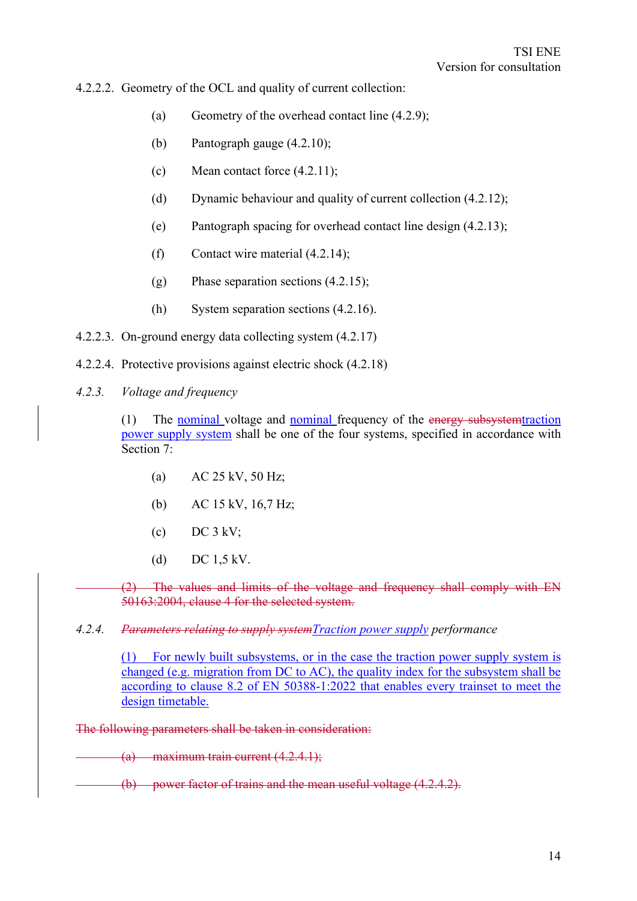4.2.2.2. Geometry of the OCL and quality of current collection:

- (a) Geometry of the overhead contact line (4.2.9);
- (b) Pantograph gauge (4.2.10);
- (c) Mean contact force (4.2.11);
- (d) Dynamic behaviour and quality of current collection (4.2.12);
- (e) Pantograph spacing for overhead contact line design (4.2.13);
- (f) Contact wire material (4.2.14);
- (g) Phase separation sections (4.2.15);
- (h) System separation sections (4.2.16).
- 4.2.2.3. On-ground energy data collecting system (4.2.17)
- 4.2.2.4. Protective provisions against electric shock (4.2.18)
- *4.2.3. Voltage and frequency*

(1) The nominal voltage and nominal frequency of the energy subsystemtraction power supply system shall be one of the four systems, specified in accordance with Section 7:

- (a) AC 25 kV, 50 Hz;
- (b) AC 15 kV, 16,7 Hz;
- (c) DC  $3$  kV;
- (d) DC 1,5 kV.

(2) The values and limits of the voltage and frequency shall comply with EN 50163:2004, clause 4 for the selected system.

*4.2.4. Parameters relating to supply systemTraction power supply performance*

(1) For newly built subsystems, or in the case the traction power supply system is changed (e.g. migration from DC to AC), the quality index for the subsystem shall be according to clause 8.2 of EN 50388-1:2022 that enables every trainset to meet the design timetable.

The following parameters shall be taken in consideration:

 $(a)$  maximum train current  $(4.2.4.1);$ 

(b) power factor of trains and the mean useful voltage (4.2.4.2).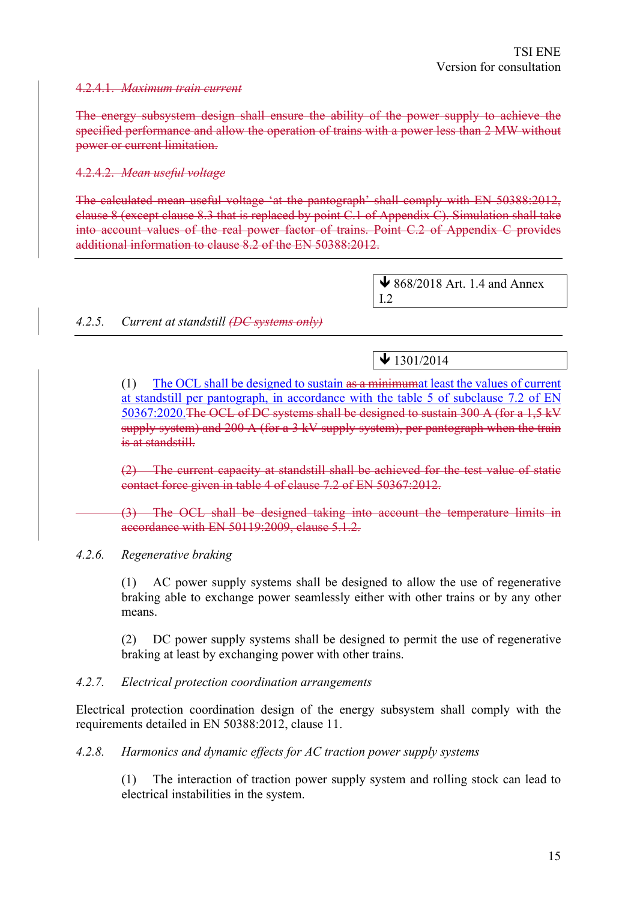#### 4.2.4.1. *Maximum train current*

The energy subsystem design shall ensure the ability of the power supply to achieve the specified performance and allow the operation of trains with a power less than 2 MW without power or current limitation.

#### 4.2.4.2. *Mean useful voltage*

The calculated mean useful voltage 'at the pantograph' shall comply with EN 50388:2012, clause 8 (except clause 8.3 that is replaced by point C.1 of Appendix C). Simulation shall take into account values of the real power factor of trains. Point C.2 of Appendix C provides additional information to clause 8.2 of the EN 50388:2012.

> $\bigvee$  868/2018 Art. 1.4 and Annex I.2

#### *4.2.5. Current at standstill (DC systems only)*

 $\bigvee$  1301/2014

(1) The OCL shall be designed to sustain as a minimumat least the values of current at standstill per pantograph, in accordance with the table 5 of subclause 7.2 of EN 50367:2020.The OCL of DC systems shall be designed to sustain 300 A (for a 1,5 kV supply system) and 200 A (for a 3 kV supply system), per pantograph when the train is at standstill.

(2) The current capacity at standstill shall be achieved for the test value of static contact force given in table 4 of clause 7.2 of EN 50367:2012.

(3) The OCL shall be designed taking into account the temperature limits in accordance with EN 50119:2009, clause 5.1.2.

#### *4.2.6. Regenerative braking*

(1) AC power supply systems shall be designed to allow the use of regenerative braking able to exchange power seamlessly either with other trains or by any other means.

(2) DC power supply systems shall be designed to permit the use of regenerative braking at least by exchanging power with other trains.

#### *4.2.7. Electrical protection coordination arrangements*

Electrical protection coordination design of the energy subsystem shall comply with the requirements detailed in EN 50388:2012, clause 11.

#### *4.2.8. Harmonics and dynamic effects for AC traction power supply systems*

(1) The interaction of traction power supply system and rolling stock can lead to electrical instabilities in the system.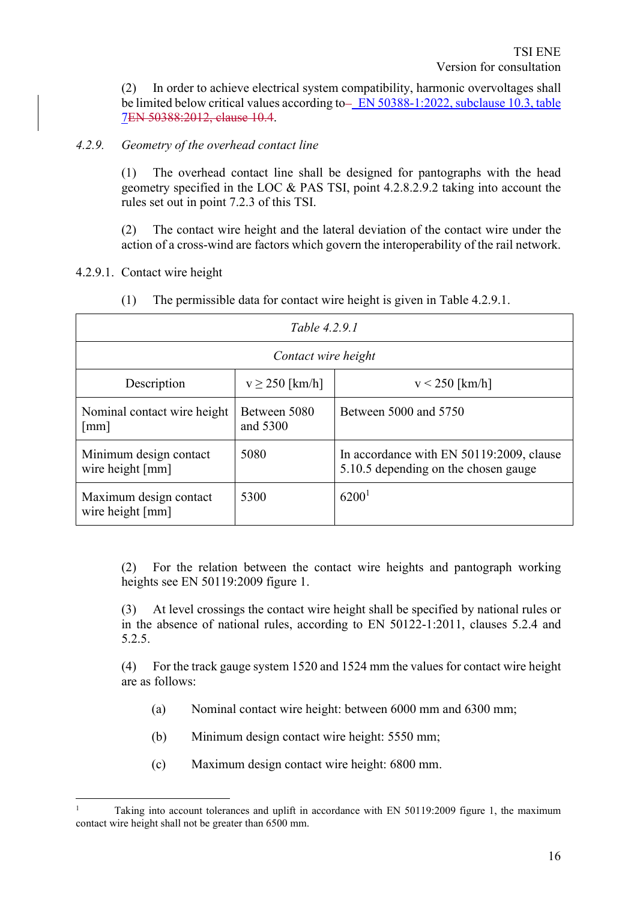(2) In order to achieve electrical system compatibility, harmonic overvoltages shall be limited below critical values according to  $-$  EN 50388-1:2022, subclause 10.3, table 7EN 50388:2012, clause 10.4.

# *4.2.9. Geometry of the overhead contact line*

(1) The overhead contact line shall be designed for pantographs with the head geometry specified in the LOC & PAS TSI, point 4.2.8.2.9.2 taking into account the rules set out in point 7.2.3 of this TSI.

(2) The contact wire height and the lateral deviation of the contact wire under the action of a cross-wind are factors which govern the interoperability of the rail network.

4.2.9.1. Contact wire height

| Table 4.2.9.1                                       |                          |                                                                                  |  |  |  |  |
|-----------------------------------------------------|--------------------------|----------------------------------------------------------------------------------|--|--|--|--|
|                                                     | Contact wire height      |                                                                                  |  |  |  |  |
| Description                                         | $v \ge 250$ [km/h]       | $v < 250$ [km/h]                                                                 |  |  |  |  |
| Nominal contact wire height<br>$\lceil$ mm $\rceil$ | Between 5080<br>and 5300 | Between 5000 and 5750                                                            |  |  |  |  |
| Minimum design contact<br>wire height [mm]          | 5080                     | In accordance with EN 50119:2009, clause<br>5.10.5 depending on the chosen gauge |  |  |  |  |
| Maximum design contact<br>wire height [mm]          | 5300                     | 6200 <sup>1</sup>                                                                |  |  |  |  |

(1) The permissible data for contact wire height is given in Table 4.2.9.1.

(2) For the relation between the contact wire heights and pantograph working heights see EN 50119:2009 figure 1.

(3) At level crossings the contact wire height shall be specified by national rules or in the absence of national rules, according to EN 50122-1:2011, clauses 5.2.4 and 5.2.5.

(4) For the track gauge system 1520 and 1524 mm the values for contact wire height are as follows:

- (a) Nominal contact wire height: between 6000 mm and 6300 mm;
- (b) Minimum design contact wire height: 5550 mm;
- (c) Maximum design contact wire height: 6800 mm.

Taking into account tolerances and uplift in accordance with EN 50119:2009 figure 1, the maximum contact wire height shall not be greater than 6500 mm.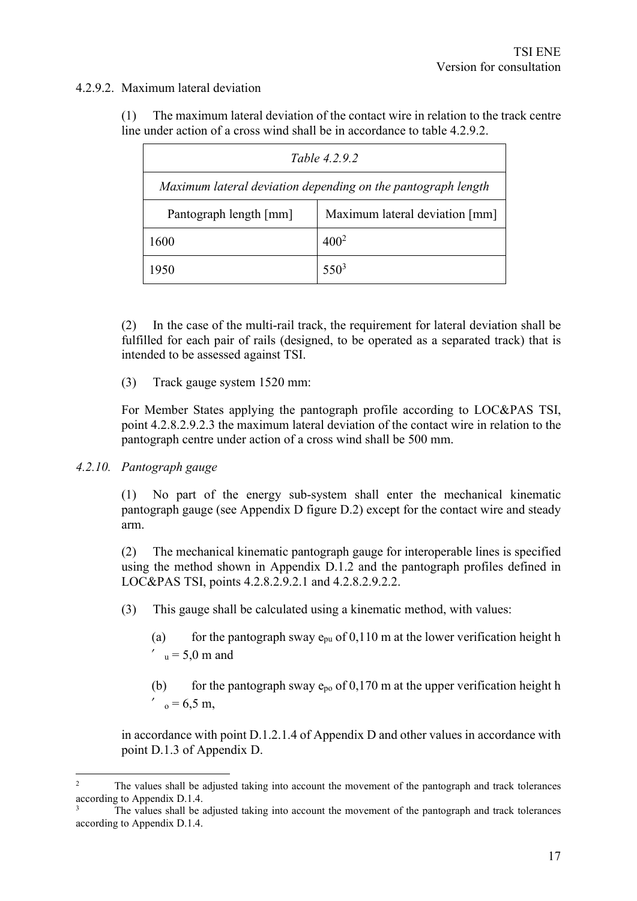# 4.2.9.2. Maximum lateral deviation

(1) The maximum lateral deviation of the contact wire in relation to the track centre line under action of a cross wind shall be in accordance to table 4.2.9.2.

| Table 4.2.9.2                                                |                                |  |  |
|--------------------------------------------------------------|--------------------------------|--|--|
| Maximum lateral deviation depending on the pantograph length |                                |  |  |
| Pantograph length [mm]                                       | Maximum lateral deviation [mm] |  |  |
| 1600                                                         | $400^{2}$                      |  |  |
| 1950                                                         | $550^3$                        |  |  |

(2) In the case of the multi-rail track, the requirement for lateral deviation shall be fulfilled for each pair of rails (designed, to be operated as a separated track) that is intended to be assessed against TSI.

(3) Track gauge system 1520 mm:

For Member States applying the pantograph profile according to LOC&PAS TSI, point 4.2.8.2.9.2.3 the maximum lateral deviation of the contact wire in relation to the pantograph centre under action of a cross wind shall be 500 mm.

#### *4.2.10. Pantograph gauge*

(1) No part of the energy sub-system shall enter the mechanical kinematic pantograph gauge (see Appendix D figure D.2) except for the contact wire and steady arm.

(2) The mechanical kinematic pantograph gauge for interoperable lines is specified using the method shown in Appendix D.1.2 and the pantograph profiles defined in LOC&PAS TSI, points 4.2.8.2.9.2.1 and 4.2.8.2.9.2.2.

(3) This gauge shall be calculated using a kinematic method, with values:

(a) for the pantograph sway  $e_{pu}$  of 0,110 m at the lower verification height h  $v_{\rm u} = 5.0$  m and

(b) for the pantograph sway  $e_{p0}$  of 0,170 m at the upper verification height h  $'_{\circ} = 6.5$  m,

in accordance with point D.1.2.1.4 of Appendix D and other values in accordance with point D.1.3 of Appendix D.

<sup>&</sup>lt;sup>2</sup> The values shall be adjusted taking into account the movement of the pantograph and track tolerances according to Appendix D.1.4.

The values shall be adjusted taking into account the movement of the pantograph and track tolerances according to Appendix D.1.4.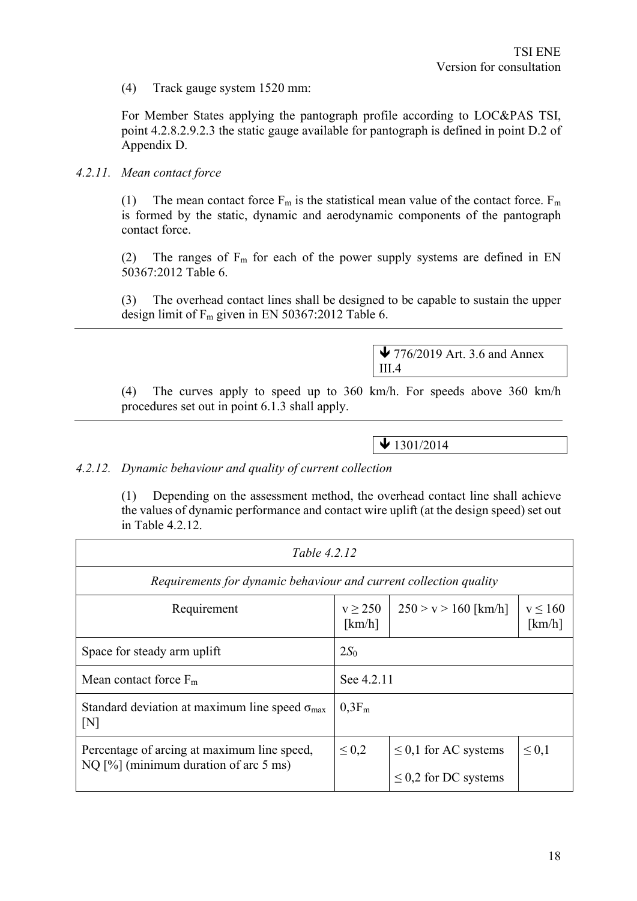(4) Track gauge system 1520 mm:

For Member States applying the pantograph profile according to LOC&PAS TSI, point 4.2.8.2.9.2.3 the static gauge available for pantograph is defined in point D.2 of Appendix D.

#### *4.2.11. Mean contact force*

(1) The mean contact force  $F_m$  is the statistical mean value of the contact force.  $F_m$ is formed by the static, dynamic and aerodynamic components of the pantograph contact force.

(2) The ranges of  $F_m$  for each of the power supply systems are defined in EN 50367:2012 Table 6.

(3) The overhead contact lines shall be designed to be capable to sustain the upper design limit of  $F_m$  given in EN 50367:2012 Table 6.

> $\blacktriangleright$  776/2019 Art. 3.6 and Annex III.4

(4) The curves apply to speed up to 360 km/h. For speeds above 360 km/h procedures set out in point 6.1.3 shall apply.

 $\bigvee$  1301/2014

#### *4.2.12. Dynamic behaviour and quality of current collection*

(1) Depending on the assessment method, the overhead contact line shall achieve the values of dynamic performance and contact wire uplift (at the design speed) set out in Table 4.2.12.

| Table 4.2.12                                                          |                                                                   |                           |                       |  |  |
|-----------------------------------------------------------------------|-------------------------------------------------------------------|---------------------------|-----------------------|--|--|
|                                                                       | Requirements for dynamic behaviour and current collection quality |                           |                       |  |  |
| Requirement                                                           | $v \ge 250$<br>[km/h]                                             | $250 > v > 160$ [km/h]    | $v \le 160$<br>[km/h] |  |  |
| Space for steady arm uplift                                           | 2S <sub>0</sub>                                                   |                           |                       |  |  |
| Mean contact force $F_m$<br>See 4.2.11                                |                                                                   |                           |                       |  |  |
| Standard deviation at maximum line speed $\sigma_{\text{max}}$<br>[N] | $0.3F_m$                                                          |                           |                       |  |  |
| Percentage of arcing at maximum line speed,                           | $\leq 0.2$                                                        | $\leq$ 0,1 for AC systems | $\leq 0.1$            |  |  |
| NQ $[\%]$ (minimum duration of arc 5 ms)                              |                                                                   | $\leq$ 0,2 for DC systems |                       |  |  |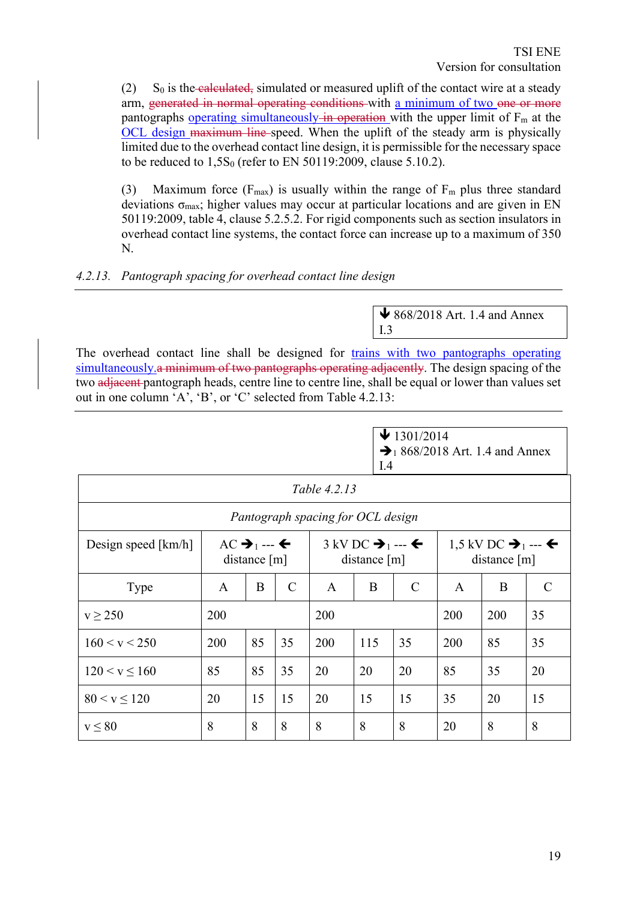$(2)$  S<sub>0</sub> is the calculated, simulated or measured uplift of the contact wire at a steady arm, generated in normal operating conditions with a minimum of two one or more pantographs operating simultaneously in operation with the upper limit of  $F_m$  at the OCL design maximum line-speed. When the uplift of the steady arm is physically limited due to the overhead contact line design, it is permissible for the necessary space to be reduced to  $1,5S_0$  (refer to EN 50119:2009, clause 5.10.2).

(3) Maximum force ( $F_{\text{max}}$ ) is usually within the range of  $F_{\text{m}}$  plus three standard deviations  $\sigma_{\text{max}}$ ; higher values may occur at particular locations and are given in EN 50119:2009, table 4, clause 5.2.5.2. For rigid components such as section insulators in overhead contact line systems, the contact force can increase up to a maximum of 350 N.

*4.2.13. Pantograph spacing for overhead contact line design*

 $\bigvee$  868/2018 Art. 1.4 and Annex I.3

The overhead contact line shall be designed for trains with two pantographs operating simultaneously.a minimum of two pantographs operating adjacently. The design spacing of the two adjacent pantograph heads, centre line to centre line, shall be equal or lower than values set out in one column 'A', 'B', or 'C' selected from Table 4.2.13:

| $\bigvee$ 1301/2014                         |  |
|---------------------------------------------|--|
| $\rightarrow$ 1 868/2018 Art. 1.4 and Annex |  |
| $\overline{1.4}$                            |  |

| Table 4.2.13          |                                                  |    |                                                                      |                                   |                                          |               |     |     |    |
|-----------------------|--------------------------------------------------|----|----------------------------------------------------------------------|-----------------------------------|------------------------------------------|---------------|-----|-----|----|
|                       |                                                  |    |                                                                      | Pantograph spacing for OCL design |                                          |               |     |     |    |
| Design speed $[km/h]$ | $AC \rightarrow_1 -\leftarrow$<br>distance $[m]$ |    | $3$ kV DC $\rightarrow$ $\rightarrow$ $\leftarrow$<br>distance $[m]$ |                                   | 1,5 kV DC → $_1$ --- ←<br>distance $[m]$ |               |     |     |    |
| Type                  | A                                                | B  | $\mathcal{C}$                                                        | $\mathbf{A}$                      | B                                        | $\mathcal{C}$ | A   | B   | C  |
| $v \ge 250$           | 200                                              |    |                                                                      | 200                               |                                          |               | 200 | 200 | 35 |
| 160 < v < 250         | 200                                              | 85 | 35                                                                   | 200                               | 115                                      | 35            | 200 | 85  | 35 |
| 120 < v < 160         | 85                                               | 85 | 35                                                                   | 20                                | 20                                       | 20            | 85  | 35  | 20 |
| $80 < v \le 120$      | 20                                               | 15 | 15                                                                   | 20                                | 15                                       | 15            | 35  | 20  | 15 |
| $v \leq 80$           | 8                                                | 8  | 8                                                                    | 8                                 | 8                                        | 8             | 20  | 8   | 8  |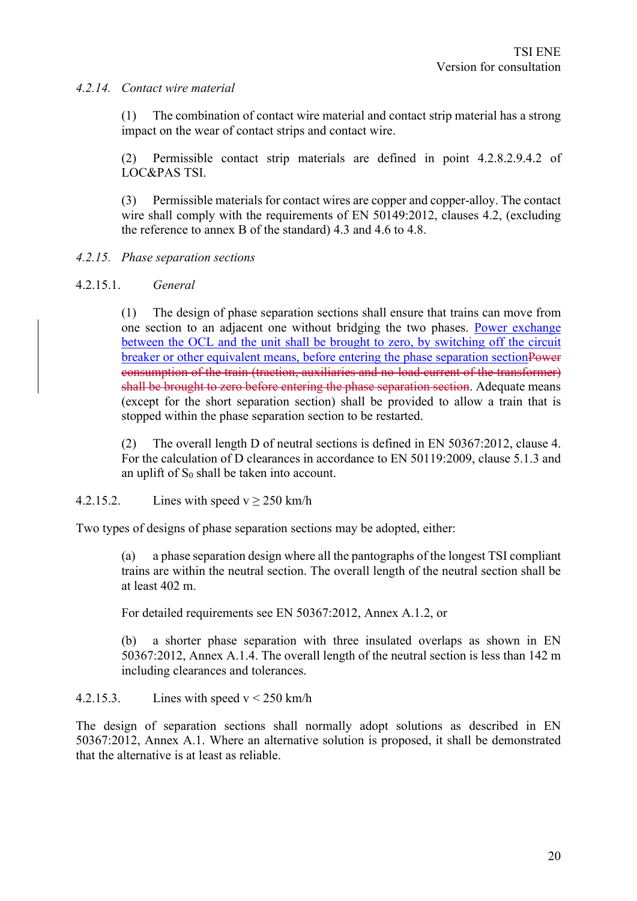#### *4.2.14. Contact wire material*

(1) The combination of contact wire material and contact strip material has a strong impact on the wear of contact strips and contact wire.

(2) Permissible contact strip materials are defined in point 4.2.8.2.9.4.2 of LOC&PAS TSI.

(3) Permissible materials for contact wires are copper and copper-alloy. The contact wire shall comply with the requirements of EN 50149:2012, clauses 4.2, (excluding the reference to annex B of the standard) 4.3 and 4.6 to 4.8.

#### *4.2.15. Phase separation sections*

#### 4.2.15.1. *General*

(1) The design of phase separation sections shall ensure that trains can move from one section to an adjacent one without bridging the two phases. Power exchange between the OCL and the unit shall be brought to zero, by switching off the circuit breaker or other equivalent means, before entering the phase separation sectionPower consumption of the train (traction, auxiliaries and no-load current of the transformer) shall be brought to zero before entering the phase separation section. Adequate means (except for the short separation section) shall be provided to allow a train that is stopped within the phase separation section to be restarted.

(2) The overall length D of neutral sections is defined in EN 50367:2012, clause 4. For the calculation of D clearances in accordance to EN 50119:2009, clause 5.1.3 and an uplift of  $S_0$  shall be taken into account.

#### 4.2.15.2. Lines with speed  $v \ge 250$  km/h

Two types of designs of phase separation sections may be adopted, either:

(a) a phase separation design where all the pantographs of the longest TSI compliant trains are within the neutral section. The overall length of the neutral section shall be at least 402 m.

For detailed requirements see EN 50367:2012, Annex A.1.2, or

(b) a shorter phase separation with three insulated overlaps as shown in EN 50367:2012, Annex A.1.4. The overall length of the neutral section is less than 142 m including clearances and tolerances.

#### 4.2.15.3. Lines with speed  $v < 250$  km/h

The design of separation sections shall normally adopt solutions as described in EN 50367:2012, Annex A.1. Where an alternative solution is proposed, it shall be demonstrated that the alternative is at least as reliable.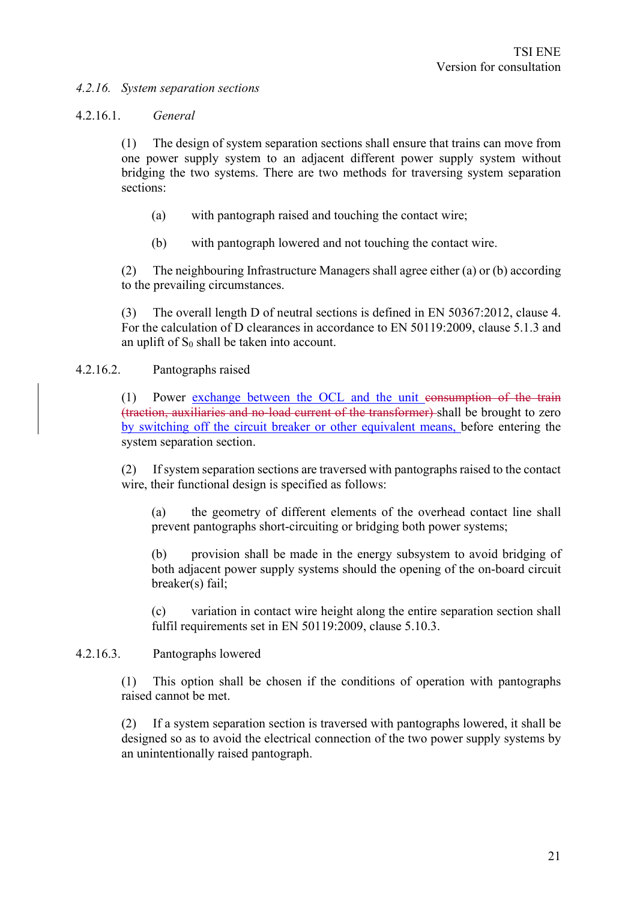#### *4.2.16. System separation sections*

#### 4.2.16.1. *General*

(1) The design of system separation sections shall ensure that trains can move from one power supply system to an adjacent different power supply system without bridging the two systems. There are two methods for traversing system separation sections:

- (a) with pantograph raised and touching the contact wire;
- (b) with pantograph lowered and not touching the contact wire.

(2) The neighbouring Infrastructure Managers shall agree either (a) or (b) according to the prevailing circumstances.

(3) The overall length D of neutral sections is defined in EN 50367:2012, clause 4. For the calculation of D clearances in accordance to EN 50119:2009, clause 5.1.3 and an uplift of  $S_0$  shall be taken into account.

#### 4.2.16.2. Pantographs raised

(1) Power exchange between the OCL and the unit consumption of the train (traction, auxiliaries and no-load current of the transformer) shall be brought to zero by switching off the circuit breaker or other equivalent means, before entering the system separation section.

(2) If system separation sections are traversed with pantographs raised to the contact wire, their functional design is specified as follows:

(a) the geometry of different elements of the overhead contact line shall prevent pantographs short-circuiting or bridging both power systems;

(b) provision shall be made in the energy subsystem to avoid bridging of both adjacent power supply systems should the opening of the on-board circuit breaker(s) fail;

(c) variation in contact wire height along the entire separation section shall fulfil requirements set in EN 50119:2009, clause 5.10.3.

#### 4.2.16.3. Pantographs lowered

(1) This option shall be chosen if the conditions of operation with pantographs raised cannot be met.

(2) If a system separation section is traversed with pantographs lowered, it shall be designed so as to avoid the electrical connection of the two power supply systems by an unintentionally raised pantograph.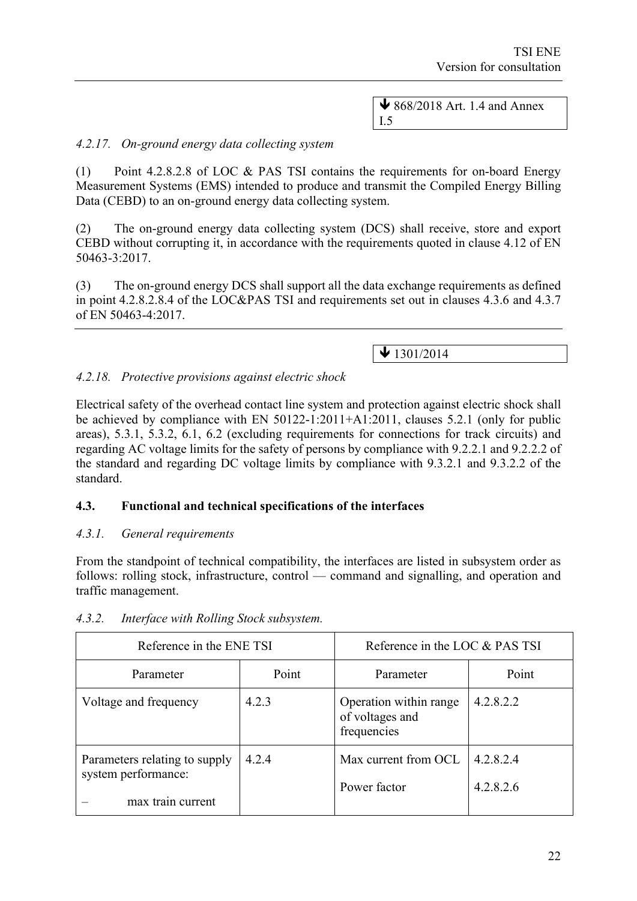$\bigvee$  868/2018 Art. 1.4 and Annex I.5

# *4.2.17. On-ground energy data collecting system*

(1) Point 4.2.8.2.8 of LOC & PAS TSI contains the requirements for on-board Energy Measurement Systems (EMS) intended to produce and transmit the Compiled Energy Billing Data (CEBD) to an on-ground energy data collecting system.

(2) The on-ground energy data collecting system (DCS) shall receive, store and export CEBD without corrupting it, in accordance with the requirements quoted in clause 4.12 of EN 50463-3:2017.

(3) The on-ground energy DCS shall support all the data exchange requirements as defined in point 4.2.8.2.8.4 of the LOC&PAS TSI and requirements set out in clauses 4.3.6 and 4.3.7 of EN 50463-4:2017.

 $\bigvee$  1301/2014

#### *4.2.18. Protective provisions against electric shock*

Electrical safety of the overhead contact line system and protection against electric shock shall be achieved by compliance with EN 50122-1:2011+A1:2011, clauses 5.2.1 (only for public areas), 5.3.1, 5.3.2, 6.1, 6.2 (excluding requirements for connections for track circuits) and regarding AC voltage limits for the safety of persons by compliance with 9.2.2.1 and 9.2.2.2 of the standard and regarding DC voltage limits by compliance with 9.3.2.1 and 9.3.2.2 of the standard.

#### **4.3. Functional and technical specifications of the interfaces**

#### *4.3.1. General requirements*

From the standpoint of technical compatibility, the interfaces are listed in subsystem order as follows: rolling stock, infrastructure, control — command and signalling, and operation and traffic management.

| Reference in the ENE TSI                                                  |       | Reference in the LOC & PAS TSI                           |                        |
|---------------------------------------------------------------------------|-------|----------------------------------------------------------|------------------------|
| Parameter                                                                 | Point | Parameter                                                | Point                  |
| Voltage and frequency                                                     | 4.2.3 | Operation within range<br>of voltages and<br>frequencies | 4.2.8.2.2              |
| Parameters relating to supply<br>system performance:<br>max train current | 4.2.4 | Max current from OCL<br>Power factor                     | 4.2.8.2.4<br>4.2.8.2.6 |

#### *4.3.2. Interface with Rolling Stock subsystem.*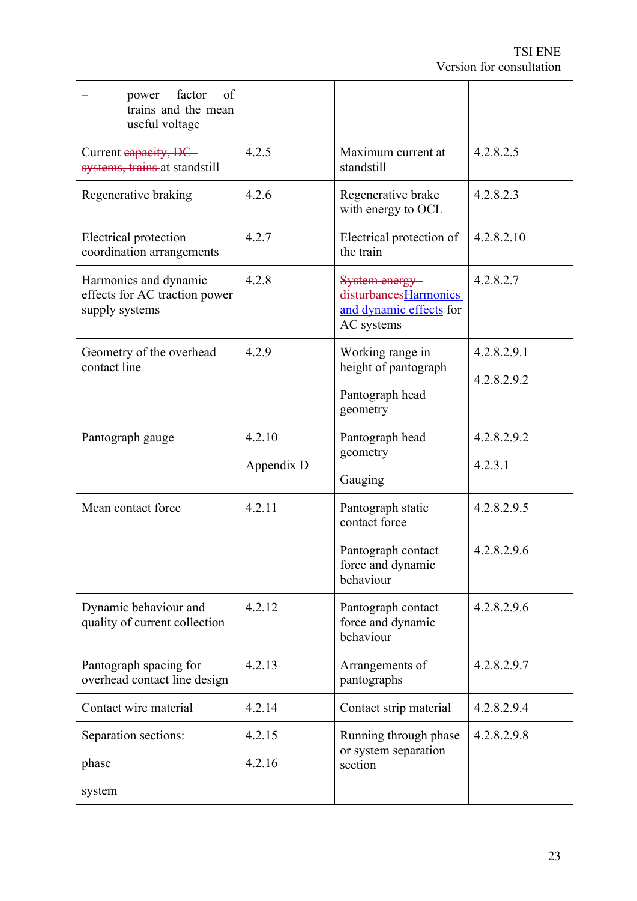| of<br>factor<br>power<br>trains and the mean<br>useful voltage           |            |                                                                                  |             |
|--------------------------------------------------------------------------|------------|----------------------------------------------------------------------------------|-------------|
| Current eapacity, DC<br>systems, trains at standstill                    | 4.2.5      | Maximum current at<br>standstill                                                 | 4.2.8.2.5   |
| Regenerative braking                                                     | 4.2.6      | Regenerative brake<br>with energy to OCL                                         | 4.2.8.2.3   |
| Electrical protection<br>coordination arrangements                       | 4.2.7      | Electrical protection of<br>the train                                            | 4.2.8.2.10  |
| Harmonics and dynamic<br>effects for AC traction power<br>supply systems | 4.2.8      | System energy-<br>disturbancesHarmonics<br>and dynamic effects for<br>AC systems | 4.2.8.2.7   |
| Geometry of the overhead<br>contact line                                 | 4.2.9      | Working range in<br>height of pantograph                                         | 4.2.8.2.9.1 |
|                                                                          |            | Pantograph head<br>geometry                                                      | 4.2.8.2.9.2 |
| Pantograph gauge                                                         | 4.2.10     | Pantograph head<br>geometry                                                      | 4.2.8.2.9.2 |
|                                                                          | Appendix D | Gauging                                                                          | 4.2.3.1     |
| Mean contact force                                                       | 4.2.11     | Pantograph static<br>contact force                                               | 4.2.8.2.9.5 |
|                                                                          |            | Pantograph contact<br>force and dynamic<br>behaviour                             | 4.2.8.2.9.6 |
| Dynamic behaviour and<br>quality of current collection                   | 4.2.12     | Pantograph contact<br>force and dynamic<br>behaviour                             | 4.2.8.2.9.6 |
| Pantograph spacing for<br>overhead contact line design                   | 4.2.13     | Arrangements of<br>pantographs                                                   | 4.2.8.2.9.7 |
| Contact wire material                                                    | 4.2.14     | Contact strip material                                                           | 4.2.8.2.9.4 |
| Separation sections:                                                     | 4.2.15     | Running through phase                                                            | 4.2.8.2.9.8 |
| phase                                                                    | 4.2.16     | or system separation<br>section                                                  |             |
| system                                                                   |            |                                                                                  |             |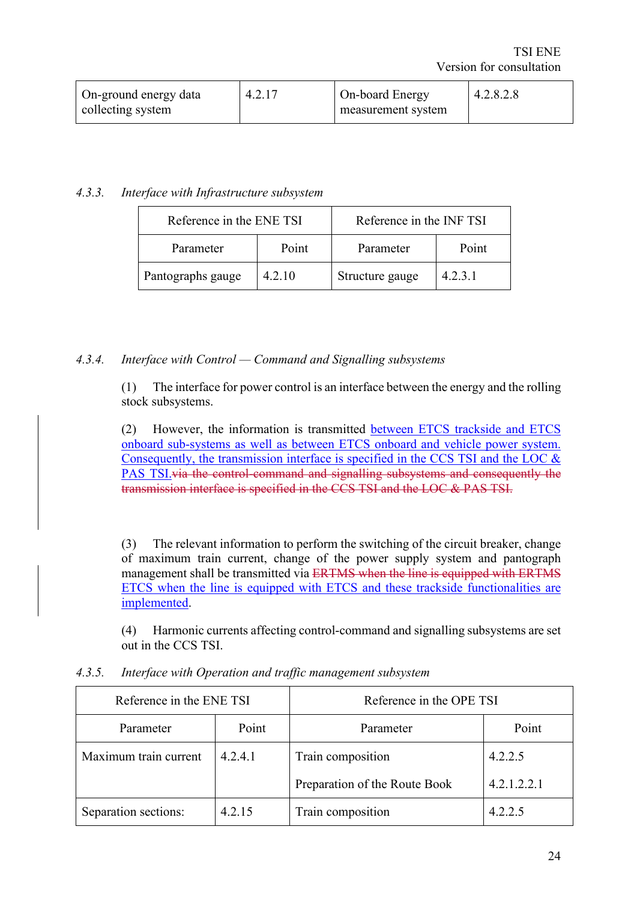| On-ground energy data<br>collecting system | 4.2.17 | On-board Energy<br>measurement system | 4.2.8.2.8 |
|--------------------------------------------|--------|---------------------------------------|-----------|
|                                            |        |                                       |           |

# *4.3.3. Interface with Infrastructure subsystem*

| Reference in the ENE TSI |        | Reference in the INF TSI |         |  |
|--------------------------|--------|--------------------------|---------|--|
| Parameter                | Point  | Parameter                | Point   |  |
| Pantographs gauge        | 4.2.10 | Structure gauge          | 4.2.3.1 |  |

#### *4.3.4. Interface with Control — Command and Signalling subsystems*

(1) The interface for power control is an interface between the energy and the rolling stock subsystems.

(2) However, the information is transmitted between ETCS trackside and ETCS onboard sub-systems as well as between ETCS onboard and vehicle power system. Consequently, the transmission interface is specified in the CCS TSI and the LOC  $\&$ PAS TSI.via the control-command and signalling subsystems and consequently the transmission interface is specified in the CCS TSI and the LOC & PAS TSI.

(3) The relevant information to perform the switching of the circuit breaker, change of maximum train current, change of the power supply system and pantograph management shall be transmitted via ERTMS when the line is equipped with ERTMS ETCS when the line is equipped with ETCS and these trackside functionalities are implemented.

(4) Harmonic currents affecting control-command and signalling subsystems are set out in the CCS TSI.

| Reference in the ENE TSI |         | Reference in the OPE TSI      |             |  |
|--------------------------|---------|-------------------------------|-------------|--|
| Parameter                | Point   | Parameter                     | Point       |  |
| Maximum train current    | 4.2.4.1 | Train composition             | 4.2.2.5     |  |
|                          |         | Preparation of the Route Book | 4.2.1.2.2.1 |  |
| Separation sections:     | 4.2.15  | Train composition             | 4.2.2.5     |  |

*4.3.5. Interface with Operation and traffic management subsystem*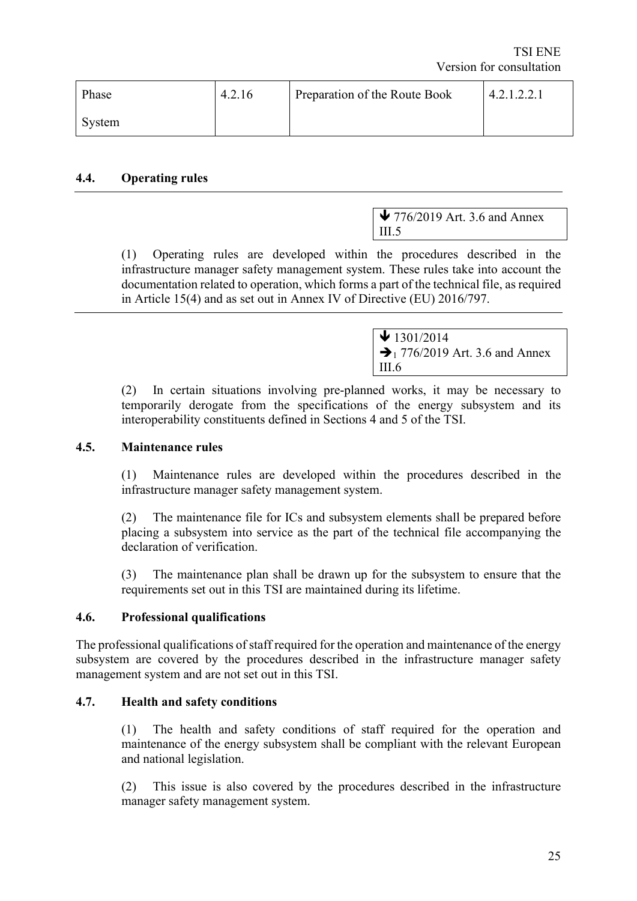| Phase  | 4.2.16 | Preparation of the Route Book | 4.2.1.2.2.1 |
|--------|--------|-------------------------------|-------------|
| System |        |                               |             |

#### **4.4. Operating rules**

 $\blacktriangleright$  776/2019 Art. 3.6 and Annex III.5

(1) Operating rules are developed within the procedures described in the infrastructure manager safety management system. These rules take into account the documentation related to operation, which forms a part of the technical file, as required in Article 15(4) and as set out in Annex IV of Directive (EU) 2016/797.

> $\bigvee$  1301/2014  $\rightarrow$  1 776/2019 Art. 3.6 and Annex III.6

(2) In certain situations involving pre-planned works, it may be necessary to temporarily derogate from the specifications of the energy subsystem and its interoperability constituents defined in Sections 4 and 5 of the TSI.

#### **4.5. Maintenance rules**

(1) Maintenance rules are developed within the procedures described in the infrastructure manager safety management system.

(2) The maintenance file for ICs and subsystem elements shall be prepared before placing a subsystem into service as the part of the technical file accompanying the declaration of verification.

(3) The maintenance plan shall be drawn up for the subsystem to ensure that the requirements set out in this TSI are maintained during its lifetime.

#### **4.6. Professional qualifications**

The professional qualifications of staff required for the operation and maintenance of the energy subsystem are covered by the procedures described in the infrastructure manager safety management system and are not set out in this TSI.

#### **4.7. Health and safety conditions**

(1) The health and safety conditions of staff required for the operation and maintenance of the energy subsystem shall be compliant with the relevant European and national legislation.

(2) This issue is also covered by the procedures described in the infrastructure manager safety management system.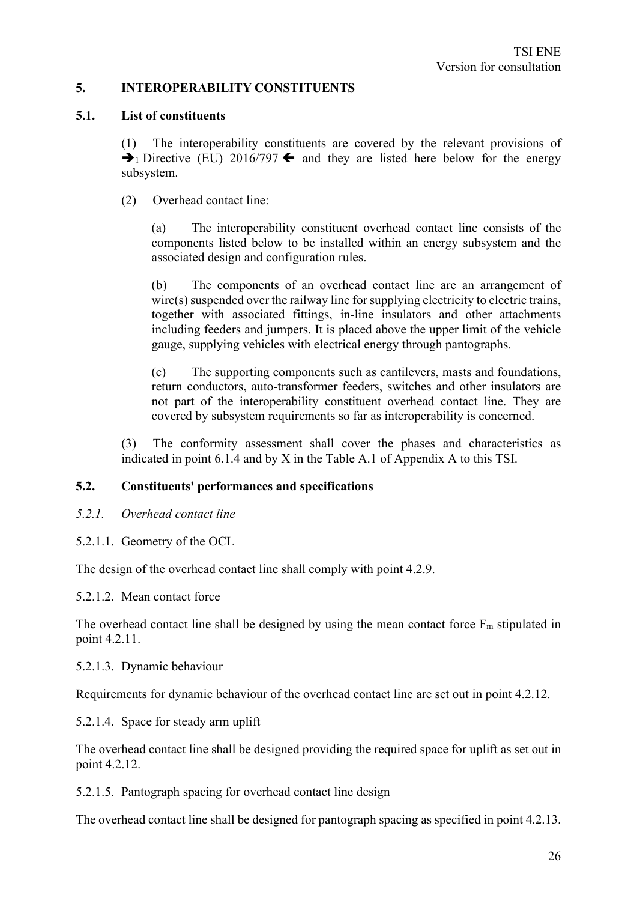# **5. INTEROPERABILITY CONSTITUENTS**

#### **5.1. List of constituents**

(1) The interoperability constituents are covered by the relevant provisions of  $\rightarrow$  1 Directive (EU) 2016/797  $\leftarrow$  and they are listed here below for the energy subsystem.

(2) Overhead contact line:

(a) The interoperability constituent overhead contact line consists of the components listed below to be installed within an energy subsystem and the associated design and configuration rules.

(b) The components of an overhead contact line are an arrangement of wire(s) suspended over the railway line for supplying electricity to electric trains, together with associated fittings, in-line insulators and other attachments including feeders and jumpers. It is placed above the upper limit of the vehicle gauge, supplying vehicles with electrical energy through pantographs.

(c) The supporting components such as cantilevers, masts and foundations, return conductors, auto-transformer feeders, switches and other insulators are not part of the interoperability constituent overhead contact line. They are covered by subsystem requirements so far as interoperability is concerned.

(3) The conformity assessment shall cover the phases and characteristics as indicated in point 6.1.4 and by X in the Table A.1 of Appendix A to this TSI.

#### **5.2. Constituents' performances and specifications**

- *5.2.1. Overhead contact line*
- 5.2.1.1. Geometry of the OCL

The design of the overhead contact line shall comply with point 4.2.9.

5.2.1.2. Mean contact force

The overhead contact line shall be designed by using the mean contact force  $F_m$  stipulated in point 4.2.11.

#### 5.2.1.3. Dynamic behaviour

Requirements for dynamic behaviour of the overhead contact line are set out in point 4.2.12.

5.2.1.4. Space for steady arm uplift

The overhead contact line shall be designed providing the required space for uplift as set out in point 4.2.12.

5.2.1.5. Pantograph spacing for overhead contact line design

The overhead contact line shall be designed for pantograph spacing as specified in point 4.2.13.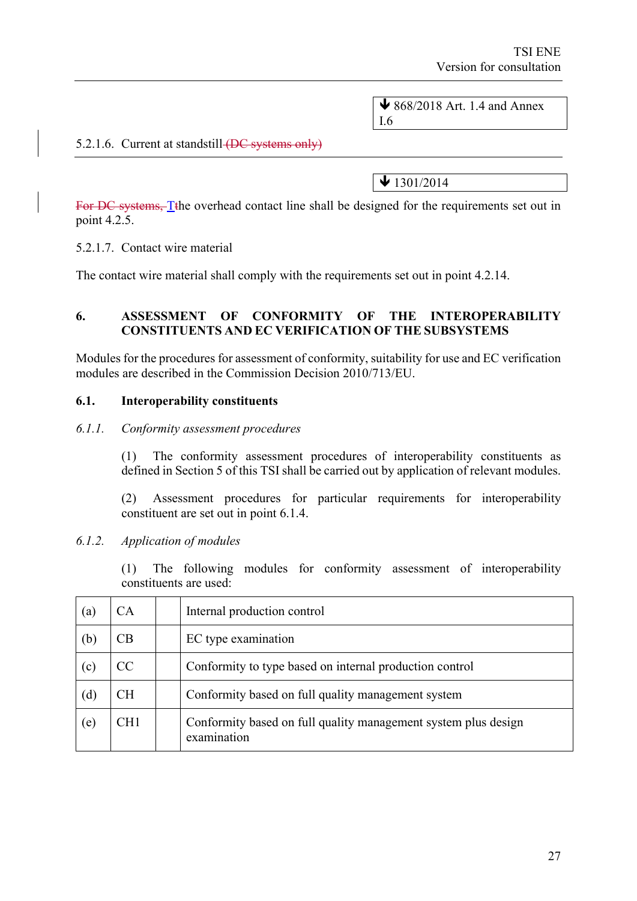$\bigvee$  868/2018 Art. 1.4 and Annex I.6

# 5.2.1.6. Current at standstill (DC systems only)

 $\sqrt{1301/2014}$ 

For DC systems. The overhead contact line shall be designed for the requirements set out in point 4.2.5.

5.2.1.7. Contact wire material

The contact wire material shall comply with the requirements set out in point 4.2.14.

#### **6. ASSESSMENT OF CONFORMITY OF THE INTEROPERABILITY CONSTITUENTS AND EC VERIFICATION OF THE SUBSYSTEMS**

Modules for the procedures for assessment of conformity, suitability for use and EC verification modules are described in the Commission Decision 2010/713/EU.

#### **6.1. Interoperability constituents**

#### *6.1.1. Conformity assessment procedures*

(1) The conformity assessment procedures of interoperability constituents as defined in Section 5 of this TSI shall be carried out by application of relevant modules.

(2) Assessment procedures for particular requirements for interoperability constituent are set out in point 6.1.4.

#### *6.1.2. Application of modules*

(1) The following modules for conformity assessment of interoperability constituents are used:

| $\left( \text{a}\right)$ | ΞA  | Internal production control                                                   |
|--------------------------|-----|-------------------------------------------------------------------------------|
| (b)                      |     | EC type examination                                                           |
| (c)                      | CC  | Conformity to type based on internal production control                       |
| (d)                      | CН  | Conformity based on full quality management system                            |
| (e)                      | CH1 | Conformity based on full quality management system plus design<br>examination |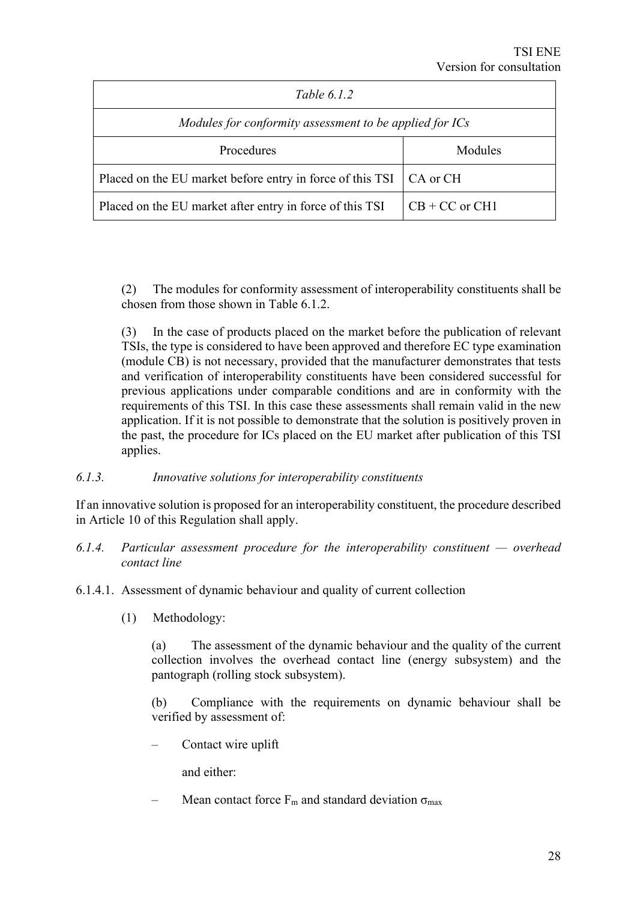| Table $6.1.2$                                             |                    |  |  |  |
|-----------------------------------------------------------|--------------------|--|--|--|
| Modules for conformity assessment to be applied for ICs   |                    |  |  |  |
| Procedures<br>Modules                                     |                    |  |  |  |
| Placed on the EU market before entry in force of this TSI | CA or CH           |  |  |  |
| Placed on the EU market after entry in force of this TSI  | $CB + CC$ or $CH1$ |  |  |  |

(2) The modules for conformity assessment of interoperability constituents shall be chosen from those shown in Table  $6.1.2<sup>2</sup>$ 

(3) In the case of products placed on the market before the publication of relevant TSIs, the type is considered to have been approved and therefore EC type examination (module CB) is not necessary, provided that the manufacturer demonstrates that tests and verification of interoperability constituents have been considered successful for previous applications under comparable conditions and are in conformity with the requirements of this TSI. In this case these assessments shall remain valid in the new application. If it is not possible to demonstrate that the solution is positively proven in the past, the procedure for ICs placed on the EU market after publication of this TSI applies.

#### *6.1.3. Innovative solutions for interoperability constituents*

If an innovative solution is proposed for an interoperability constituent, the procedure described in Article 10 of this Regulation shall apply.

- *6.1.4. Particular assessment procedure for the interoperability constituent — overhead contact line*
- 6.1.4.1. Assessment of dynamic behaviour and quality of current collection
	- (1) Methodology:

(a) The assessment of the dynamic behaviour and the quality of the current collection involves the overhead contact line (energy subsystem) and the pantograph (rolling stock subsystem).

(b) Compliance with the requirements on dynamic behaviour shall be verified by assessment of:

– Contact wire uplift

and either:

Mean contact force  $F_m$  and standard deviation  $\sigma_{max}$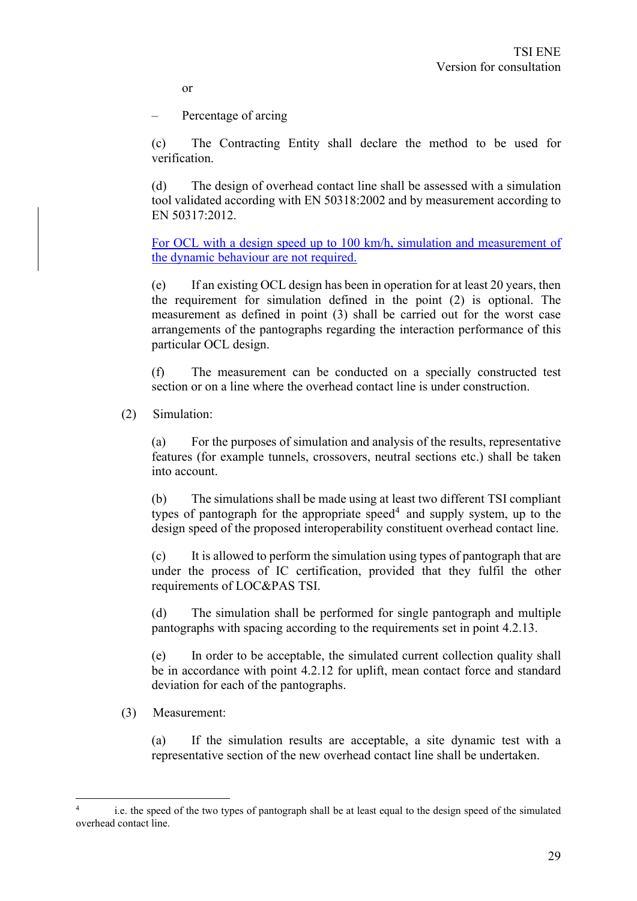or

– Percentage of arcing

(c) The Contracting Entity shall declare the method to be used for verification.

(d) The design of overhead contact line shall be assessed with a simulation tool validated according with EN 50318:2002 and by measurement according to EN 50317:2012.

For OCL with a design speed up to 100 km/h, simulation and measurement of the dynamic behaviour are not required.

(e) If an existing OCL design has been in operation for at least 20 years, then the requirement for simulation defined in the point (2) is optional. The measurement as defined in point (3) shall be carried out for the worst case arrangements of the pantographs regarding the interaction performance of this particular OCL design.

(f) The measurement can be conducted on a specially constructed test section or on a line where the overhead contact line is under construction.

(2) Simulation:

(a) For the purposes of simulation and analysis of the results, representative features (for example tunnels, crossovers, neutral sections etc.) shall be taken into account.

(b) The simulations shall be made using at least two different TSI compliant types of pantograph for the appropriate speed<sup>4</sup> and supply system, up to the design speed of the proposed interoperability constituent overhead contact line.

(c) It is allowed to perform the simulation using types of pantograph that are under the process of IC certification, provided that they fulfil the other requirements of LOC&PAS TSI.

(d) The simulation shall be performed for single pantograph and multiple pantographs with spacing according to the requirements set in point 4.2.13.

(e) In order to be acceptable, the simulated current collection quality shall be in accordance with point 4.2.12 for uplift, mean contact force and standard deviation for each of the pantographs.

#### (3) Measurement:

(a) If the simulation results are acceptable, a site dynamic test with a representative section of the new overhead contact line shall be undertaken.

i.e. the speed of the two types of pantograph shall be at least equal to the design speed of the simulated overhead contact line.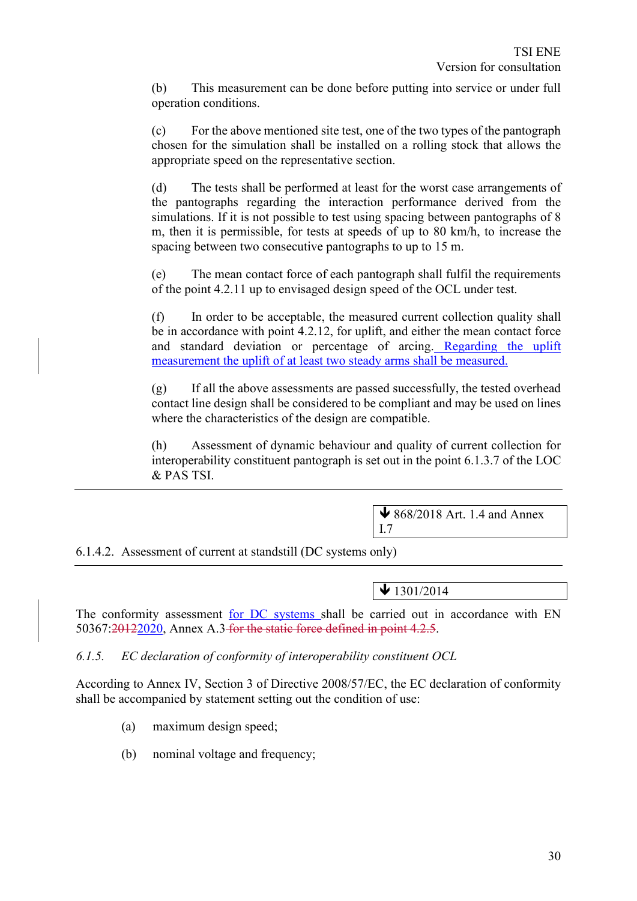(b) This measurement can be done before putting into service or under full operation conditions.

(c) For the above mentioned site test, one of the two types of the pantograph chosen for the simulation shall be installed on a rolling stock that allows the appropriate speed on the representative section.

(d) The tests shall be performed at least for the worst case arrangements of the pantographs regarding the interaction performance derived from the simulations. If it is not possible to test using spacing between pantographs of 8 m, then it is permissible, for tests at speeds of up to 80 km/h, to increase the spacing between two consecutive pantographs to up to 15 m.

(e) The mean contact force of each pantograph shall fulfil the requirements of the point 4.2.11 up to envisaged design speed of the OCL under test.

(f) In order to be acceptable, the measured current collection quality shall be in accordance with point 4.2.12, for uplift, and either the mean contact force and standard deviation or percentage of arcing. Regarding the uplift measurement the uplift of at least two steady arms shall be measured.

(g) If all the above assessments are passed successfully, the tested overhead contact line design shall be considered to be compliant and may be used on lines where the characteristics of the design are compatible.

(h) Assessment of dynamic behaviour and quality of current collection for interoperability constituent pantograph is set out in the point 6.1.3.7 of the LOC & PAS TSI.

 $\bigvee$  868/2018 Art. 1.4 and Annex

6.1.4.2. Assessment of current at standstill (DC systems only)

 $\bigvee$  1301/2014

I.7

The conformity assessment for DC systems shall be carried out in accordance with EN 50367:20122020, Annex A.3 for the static force defined in point 4.2.5.

*6.1.5. EC declaration of conformity of interoperability constituent OCL*

According to Annex IV, Section 3 of Directive 2008/57/EC, the EC declaration of conformity shall be accompanied by statement setting out the condition of use:

- (a) maximum design speed;
- (b) nominal voltage and frequency;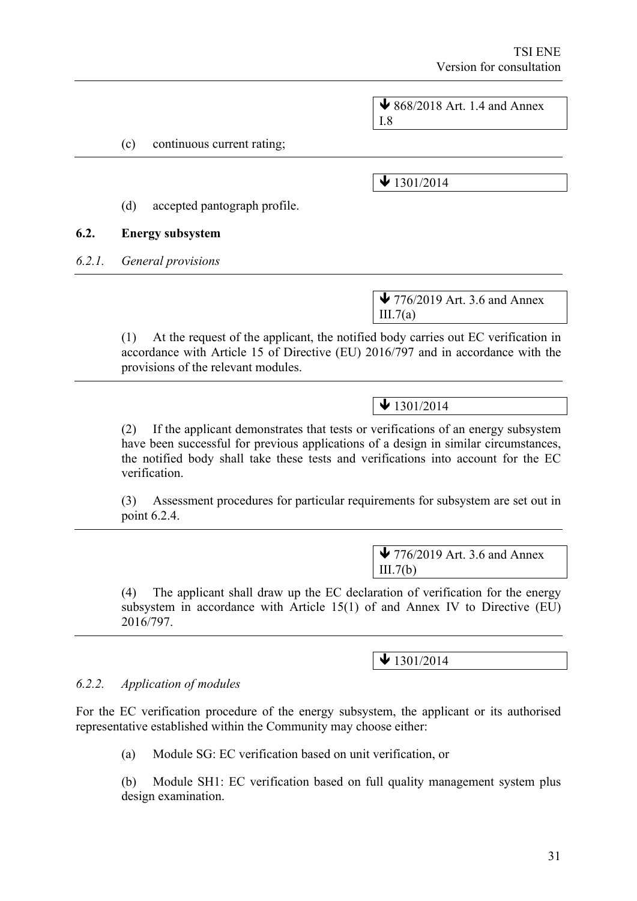|        |                                            | $\bigvee$ 868/2018 Art. 1.4 and Annex<br>I.8                                                                                                                                                                                                                   |
|--------|--------------------------------------------|----------------------------------------------------------------------------------------------------------------------------------------------------------------------------------------------------------------------------------------------------------------|
|        | (c)<br>continuous current rating;          |                                                                                                                                                                                                                                                                |
|        |                                            | $\bigvee$ 1301/2014                                                                                                                                                                                                                                            |
|        | accepted pantograph profile.<br>(d)        |                                                                                                                                                                                                                                                                |
| 6.2.   | <b>Energy subsystem</b>                    |                                                                                                                                                                                                                                                                |
| 6.2.1. | General provisions                         |                                                                                                                                                                                                                                                                |
|        |                                            | $\blacktriangleright$ 776/2019 Art. 3.6 and Annex<br>III.7(a)                                                                                                                                                                                                  |
|        | (1)<br>provisions of the relevant modules. | At the request of the applicant, the notified body carries out EC verification in<br>accordance with Article 15 of Directive (EU) 2016/797 and in accordance with the                                                                                          |
|        |                                            | $\bigvee$ 1301/2014                                                                                                                                                                                                                                            |
|        | (2)<br>verification.                       | If the applicant demonstrates that tests or verifications of an energy subsystem<br>have been successful for previous applications of a design in similar circumstances,<br>the notified body shall take these tests and verifications into account for the EC |
|        | (3)<br>point 6.2.4.                        | Assessment procedures for particular requirements for subsystem are set out in                                                                                                                                                                                 |
|        |                                            | $\blacktriangleright$ 776/2019 Art. 3.6 and Annex                                                                                                                                                                                                              |
|        |                                            | III.7(b)                                                                                                                                                                                                                                                       |
|        | (4)                                        | The applicant shall draw up the EC declaration of verification for the energy                                                                                                                                                                                  |

(4) The applicant shall draw up the EC declaration of verification for the energy subsystem in accordance with Article 15(1) of and Annex IV to Directive (EU) 2016/797.

 $\bigvee$  1301/2014

# *6.2.2. Application of modules*

For the EC verification procedure of the energy subsystem, the applicant or its authorised representative established within the Community may choose either:

(a) Module SG: EC verification based on unit verification, or

(b) Module SH1: EC verification based on full quality management system plus design examination.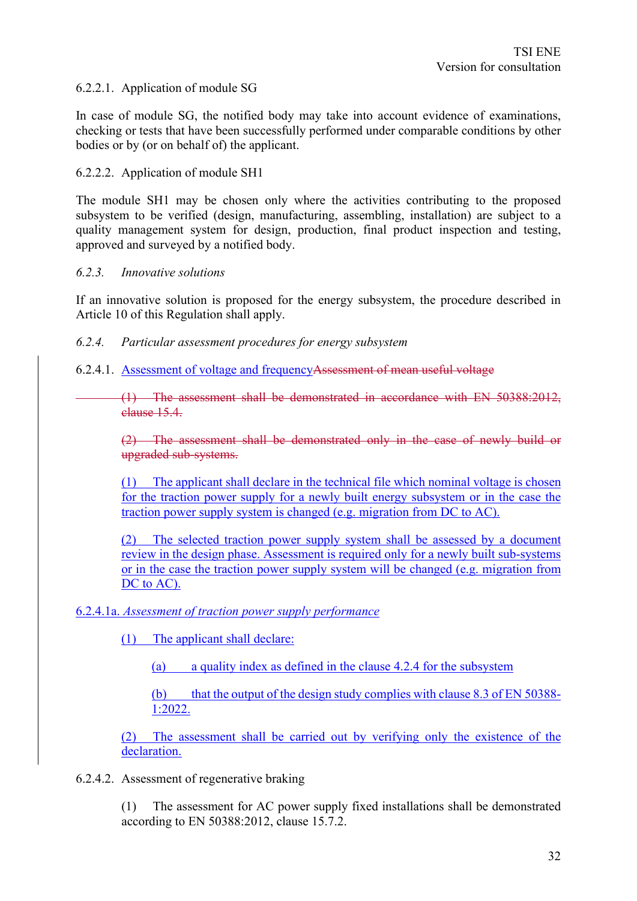#### 6.2.2.1. Application of module SG

In case of module SG, the notified body may take into account evidence of examinations, checking or tests that have been successfully performed under comparable conditions by other bodies or by (or on behalf of) the applicant.

#### 6.2.2.2. Application of module SH1

The module SH1 may be chosen only where the activities contributing to the proposed subsystem to be verified (design, manufacturing, assembling, installation) are subject to a quality management system for design, production, final product inspection and testing, approved and surveyed by a notified body.

#### *6.2.3. Innovative solutions*

If an innovative solution is proposed for the energy subsystem, the procedure described in Article 10 of this Regulation shall apply.

#### *6.2.4. Particular assessment procedures for energy subsystem*

6.2.4.1. Assessment of voltage and frequencyAssessment of mean useful voltage

(1) The assessment shall be demonstrated in accordance with EN 50388:2012, clause 15.4.

(2) The assessment shall be demonstrated only in the case of newly build or upgraded sub-systems.

(1) The applicant shall declare in the technical file which nominal voltage is chosen for the traction power supply for a newly built energy subsystem or in the case the traction power supply system is changed (e.g. migration from DC to AC).

(2) The selected traction power supply system shall be assessed by a document review in the design phase. Assessment is required only for a newly built sub-systems or in the case the traction power supply system will be changed (e.g. migration from DC to AC).

#### 6.2.4.1a. *Assessment of traction power supply performance*

(1) The applicant shall declare:

(a) a quality index as defined in the clause 4.2.4 for the subsystem

(b) that the output of the design study complies with clause 8.3 of EN 50388- 1:2022.

(2) The assessment shall be carried out by verifying only the existence of the declaration.

6.2.4.2. Assessment of regenerative braking

(1) The assessment for AC power supply fixed installations shall be demonstrated according to EN 50388:2012, clause 15.7.2.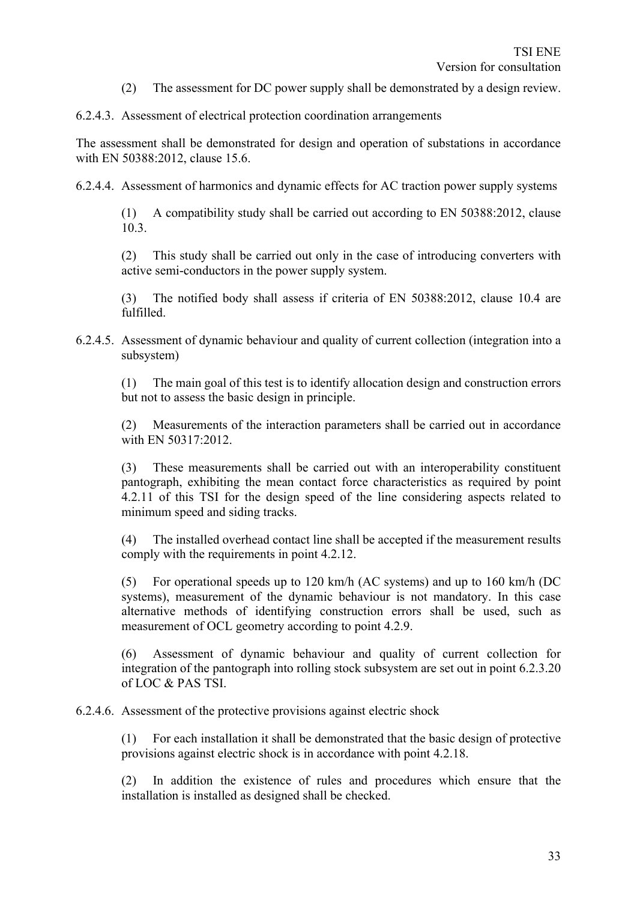(2) The assessment for DC power supply shall be demonstrated by a design review.

6.2.4.3. Assessment of electrical protection coordination arrangements

The assessment shall be demonstrated for design and operation of substations in accordance with EN 50388:2012, clause 15.6.

6.2.4.4. Assessment of harmonics and dynamic effects for AC traction power supply systems

(1) A compatibility study shall be carried out according to EN 50388:2012, clause 10.3.

(2) This study shall be carried out only in the case of introducing converters with active semi-conductors in the power supply system.

(3) The notified body shall assess if criteria of EN 50388:2012, clause 10.4 are fulfilled.

6.2.4.5. Assessment of dynamic behaviour and quality of current collection (integration into a subsystem)

(1) The main goal of this test is to identify allocation design and construction errors but not to assess the basic design in principle.

(2) Measurements of the interaction parameters shall be carried out in accordance with EN 50317:2012.

(3) These measurements shall be carried out with an interoperability constituent pantograph, exhibiting the mean contact force characteristics as required by point 4.2.11 of this TSI for the design speed of the line considering aspects related to minimum speed and siding tracks.

(4) The installed overhead contact line shall be accepted if the measurement results comply with the requirements in point 4.2.12.

(5) For operational speeds up to 120 km/h (AC systems) and up to 160 km/h (DC systems), measurement of the dynamic behaviour is not mandatory. In this case alternative methods of identifying construction errors shall be used, such as measurement of OCL geometry according to point 4.2.9.

(6) Assessment of dynamic behaviour and quality of current collection for integration of the pantograph into rolling stock subsystem are set out in point 6.2.3.20 of LOC & PAS TSI.

6.2.4.6. Assessment of the protective provisions against electric shock

(1) For each installation it shall be demonstrated that the basic design of protective provisions against electric shock is in accordance with point 4.2.18.

(2) In addition the existence of rules and procedures which ensure that the installation is installed as designed shall be checked.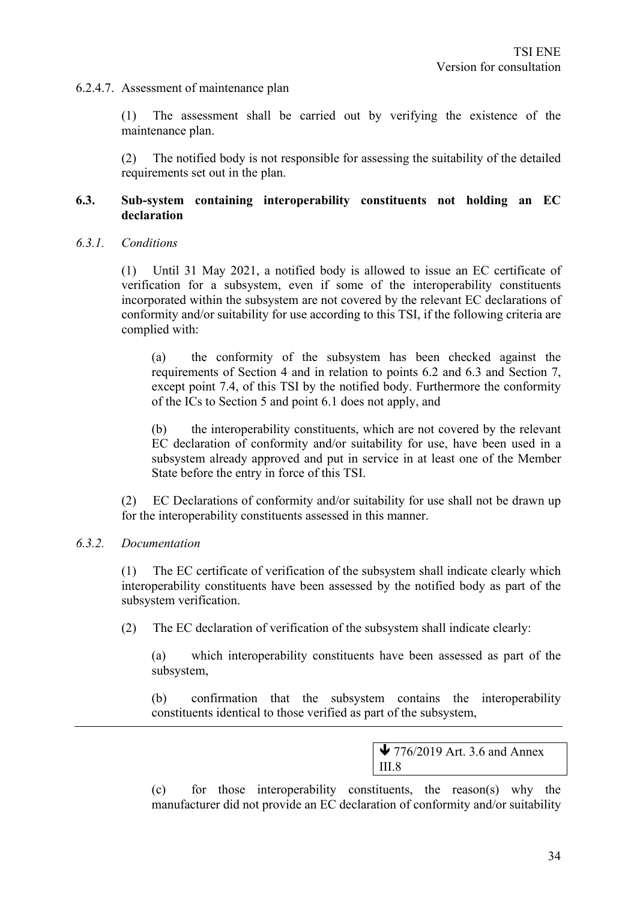#### 6.2.4.7. Assessment of maintenance plan

(1) The assessment shall be carried out by verifying the existence of the maintenance plan.

(2) The notified body is not responsible for assessing the suitability of the detailed requirements set out in the plan.

#### **6.3. Sub-system containing interoperability constituents not holding an EC declaration**

#### *6.3.1. Conditions*

(1) Until 31 May 2021, a notified body is allowed to issue an EC certificate of verification for a subsystem, even if some of the interoperability constituents incorporated within the subsystem are not covered by the relevant EC declarations of conformity and/or suitability for use according to this TSI, if the following criteria are complied with:

(a) the conformity of the subsystem has been checked against the requirements of Section 4 and in relation to points 6.2 and 6.3 and Section 7, except point 7.4, of this TSI by the notified body. Furthermore the conformity of the ICs to Section 5 and point 6.1 does not apply, and

(b) the interoperability constituents, which are not covered by the relevant EC declaration of conformity and/or suitability for use, have been used in a subsystem already approved and put in service in at least one of the Member State before the entry in force of this TSI.

(2) EC Declarations of conformity and/or suitability for use shall not be drawn up for the interoperability constituents assessed in this manner.

#### *6.3.2. Documentation*

(1) The EC certificate of verification of the subsystem shall indicate clearly which interoperability constituents have been assessed by the notified body as part of the subsystem verification.

(2) The EC declaration of verification of the subsystem shall indicate clearly:

(a) which interoperability constituents have been assessed as part of the subsystem,

(b) confirmation that the subsystem contains the interoperability constituents identical to those verified as part of the subsystem,

> $\blacktriangleright$  776/2019 Art. 3.6 and Annex III.8

(c) for those interoperability constituents, the reason(s) why the manufacturer did not provide an EC declaration of conformity and/or suitability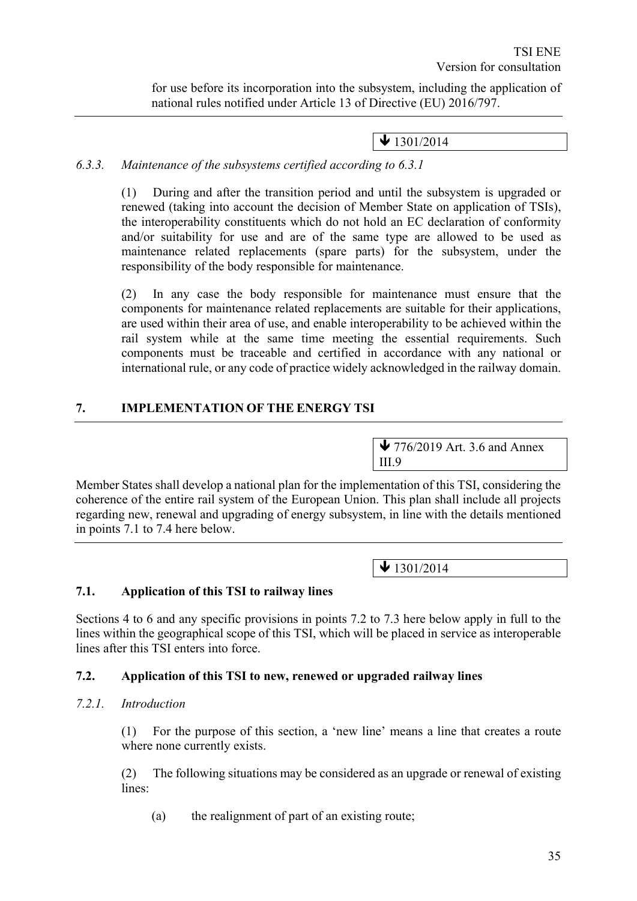for use before its incorporation into the subsystem, including the application of national rules notified under Article 13 of Directive (EU) 2016/797.

 $\bigvee$  1301/2014

# *6.3.3. Maintenance of the subsystems certified according to 6.3.1*

(1) During and after the transition period and until the subsystem is upgraded or renewed (taking into account the decision of Member State on application of TSIs), the interoperability constituents which do not hold an EC declaration of conformity and/or suitability for use and are of the same type are allowed to be used as maintenance related replacements (spare parts) for the subsystem, under the responsibility of the body responsible for maintenance.

(2) In any case the body responsible for maintenance must ensure that the components for maintenance related replacements are suitable for their applications, are used within their area of use, and enable interoperability to be achieved within the rail system while at the same time meeting the essential requirements. Such components must be traceable and certified in accordance with any national or international rule, or any code of practice widely acknowledged in the railway domain.

# **7. IMPLEMENTATION OF THE ENERGY TSI**

 $\blacktriangleright$  776/2019 Art. 3.6 and Annex III.9

Member States shall develop a national plan for the implementation of this TSI, considering the coherence of the entire rail system of the European Union. This plan shall include all projects regarding new, renewal and upgrading of energy subsystem, in line with the details mentioned in points 7.1 to 7.4 here below.

 $\bigvee$  1301/2014

# **7.1. Application of this TSI to railway lines**

Sections 4 to 6 and any specific provisions in points 7.2 to 7.3 here below apply in full to the lines within the geographical scope of this TSI, which will be placed in service as interoperable lines after this TSI enters into force.

# **7.2. Application of this TSI to new, renewed or upgraded railway lines**

#### *7.2.1. Introduction*

(1) For the purpose of this section, a 'new line' means a line that creates a route where none currently exists.

(2) The following situations may be considered as an upgrade or renewal of existing lines:

(a) the realignment of part of an existing route;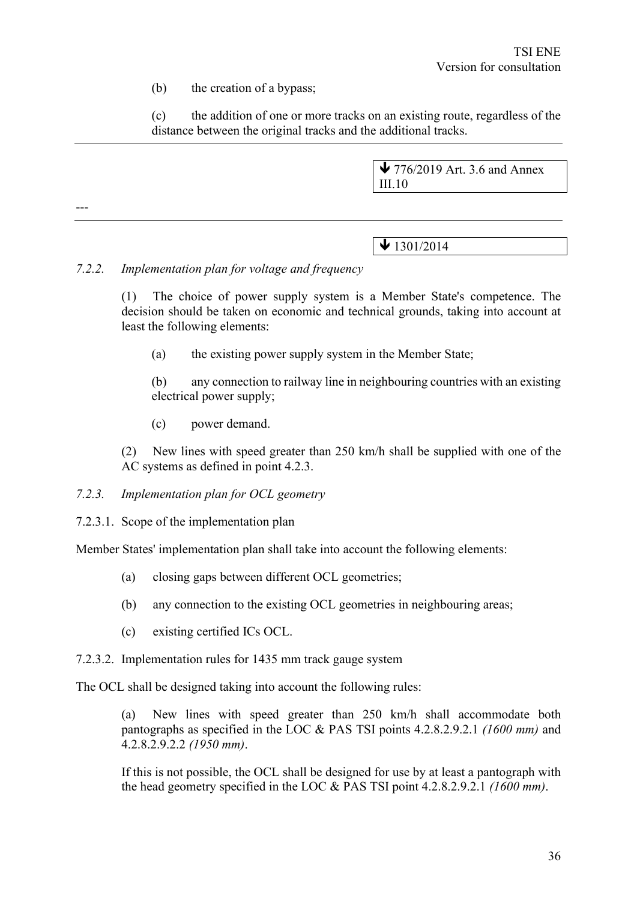(b) the creation of a bypass;

(c) the addition of one or more tracks on an existing route, regardless of the distance between the original tracks and the additional tracks.

> ↓ 776/2019 Art. 3.6 and Annex III.10

 $\bigvee$  1301/2014

#### *7.2.2. Implementation plan for voltage and frequency*

---

(1) The choice of power supply system is a Member State's competence. The decision should be taken on economic and technical grounds, taking into account at least the following elements:

(a) the existing power supply system in the Member State;

(b) any connection to railway line in neighbouring countries with an existing electrical power supply;

(c) power demand.

(2) New lines with speed greater than 250 km/h shall be supplied with one of the AC systems as defined in point 4.2.3.

#### *7.2.3. Implementation plan for OCL geometry*

7.2.3.1. Scope of the implementation plan

Member States' implementation plan shall take into account the following elements:

- (a) closing gaps between different OCL geometries;
- (b) any connection to the existing OCL geometries in neighbouring areas;
- (c) existing certified ICs OCL.
- 7.2.3.2. Implementation rules for 1435 mm track gauge system

The OCL shall be designed taking into account the following rules:

(a) New lines with speed greater than 250 km/h shall accommodate both pantographs as specified in the LOC & PAS TSI points 4.2.8.2.9.2.1 *(1600 mm)* and 4.2.8.2.9.2.2 *(1950 mm)*.

If this is not possible, the OCL shall be designed for use by at least a pantograph with the head geometry specified in the LOC & PAS TSI point 4.2.8.2.9.2.1 *(1600 mm)*.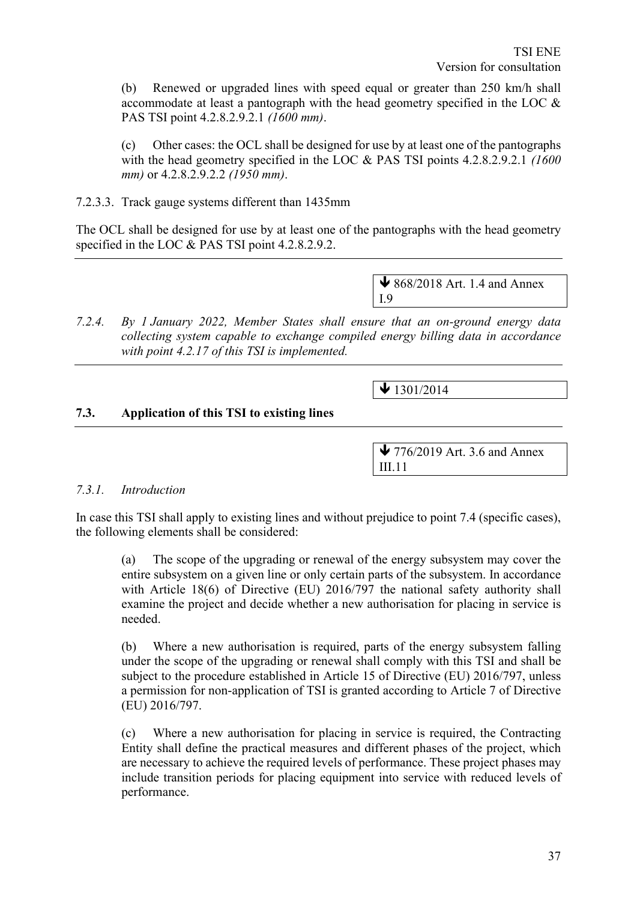(b) Renewed or upgraded lines with speed equal or greater than 250 km/h shall accommodate at least a pantograph with the head geometry specified in the LOC & PAS TSI point 4.2.8.2.9.2.1 *(1600 mm)*.

(c) Other cases: the OCL shall be designed for use by at least one of the pantographs with the head geometry specified in the LOC & PAS TSI points 4.2.8.2.9.2.1 *(1600 mm)* or 4.2.8.2.9.2.2 *(1950 mm)*.

7.2.3.3. Track gauge systems different than 1435mm

The OCL shall be designed for use by at least one of the pantographs with the head geometry specified in the LOC & PAS TSI point 4.2.8.2.9.2.

> $\bigvee$  868/2018 Art. 1.4 and Annex I.9

*7.2.4. By 1 January 2022, Member States shall ensure that an on-ground energy data collecting system capable to exchange compiled energy billing data in accordance with point 4.2.17 of this TSI is implemented.*

 $\blacktriangleright$  1301/2014

#### **7.3. Application of this TSI to existing lines**

 $\blacktriangleright$  776/2019 Art. 3.6 and Annex III.11

#### *7.3.1. Introduction*

In case this TSI shall apply to existing lines and without prejudice to point 7.4 (specific cases), the following elements shall be considered:

(a) The scope of the upgrading or renewal of the energy subsystem may cover the entire subsystem on a given line or only certain parts of the subsystem. In accordance with Article 18(6) of Directive (EU) 2016/797 the national safety authority shall examine the project and decide whether a new authorisation for placing in service is needed.

(b) Where a new authorisation is required, parts of the energy subsystem falling under the scope of the upgrading or renewal shall comply with this TSI and shall be subject to the procedure established in Article 15 of Directive (EU) 2016/797, unless a permission for non-application of TSI is granted according to Article 7 of Directive (EU) 2016/797.

(c) Where a new authorisation for placing in service is required, the Contracting Entity shall define the practical measures and different phases of the project, which are necessary to achieve the required levels of performance. These project phases may include transition periods for placing equipment into service with reduced levels of performance.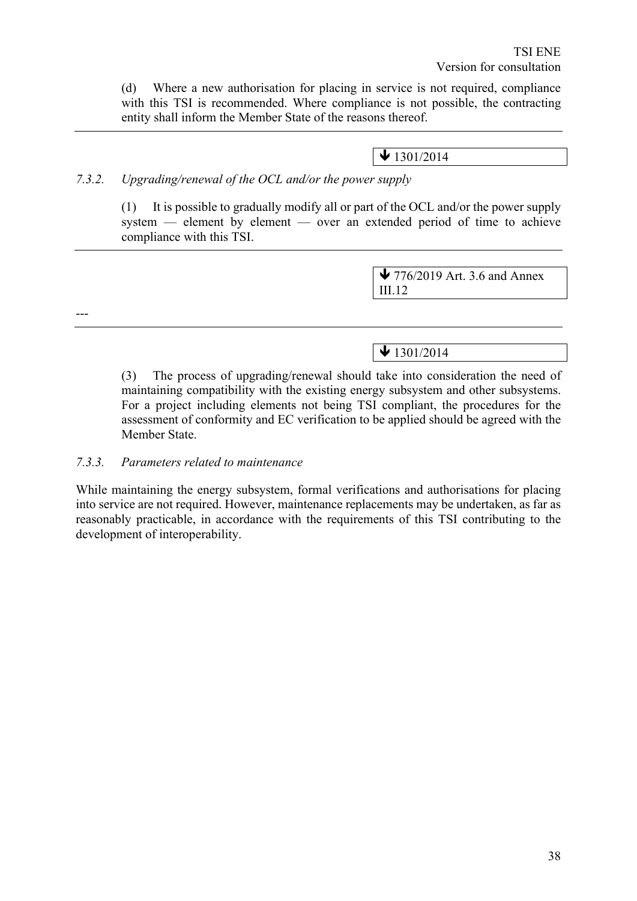(d) Where a new authorisation for placing in service is not required, compliance with this TSI is recommended. Where compliance is not possible, the contracting entity shall inform the Member State of the reasons thereof.

# $\bigvee$  1301/2014

# *7.3.2. Upgrading/renewal of the OCL and/or the power supply*

(1) It is possible to gradually modify all or part of the OCL and/or the power supply system — element by element — over an extended period of time to achieve compliance with this TSI.

> $\blacktriangleright$  776/2019 Art. 3.6 and Annex III.12

---

# $\bigvee$  1301/2014

(3) The process of upgrading/renewal should take into consideration the need of maintaining compatibility with the existing energy subsystem and other subsystems. For a project including elements not being TSI compliant, the procedures for the assessment of conformity and EC verification to be applied should be agreed with the Member State.

#### *7.3.3. Parameters related to maintenance*

While maintaining the energy subsystem, formal verifications and authorisations for placing into service are not required. However, maintenance replacements may be undertaken, as far as reasonably practicable, in accordance with the requirements of this TSI contributing to the development of interoperability.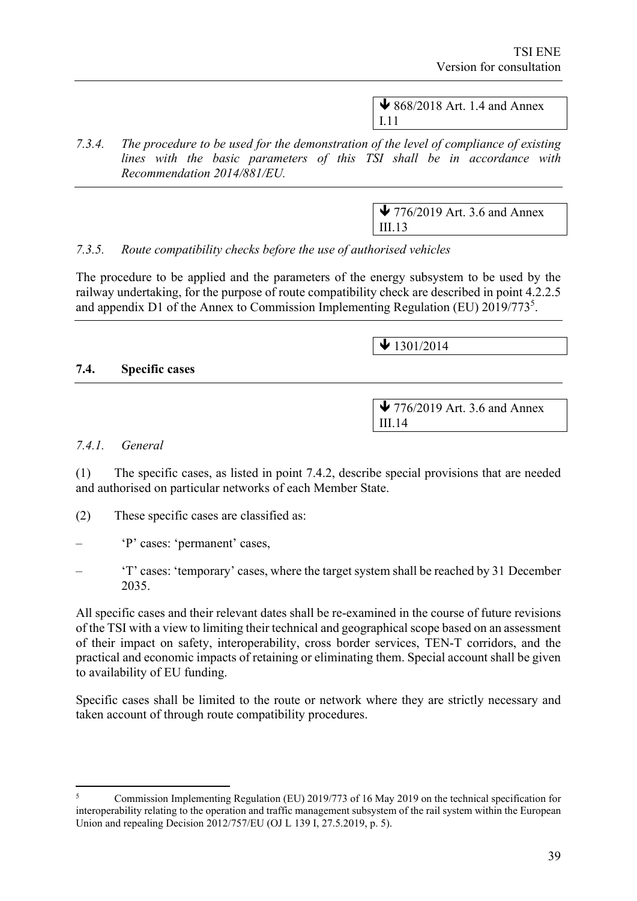$\bigvee$  868/2018 Art. 1.4 and Annex I.11

*7.3.4. The procedure to be used for the demonstration of the level of compliance of existing lines with the basic parameters of this TSI shall be in accordance with Recommendation 2014/881/EU.*

> $\blacktriangleright$  776/2019 Art. 3.6 and Annex III.13

# *7.3.5. Route compatibility checks before the use of authorised vehicles*

The procedure to be applied and the parameters of the energy subsystem to be used by the railway undertaking, for the purpose of route compatibility check are described in point 4.2.2.5 and appendix D1 of the Annex to Commission Implementing Regulation (EU) 2019/773<sup>5</sup>.

 $\sqrt{1301/2014}$ 

#### **7.4. Specific cases**

 $\blacktriangleright$  776/2019 Art. 3.6 and Annex III.14

#### *7.4.1. General*

(1) The specific cases, as listed in point 7.4.2, describe special provisions that are needed and authorised on particular networks of each Member State.

- (2) These specific cases are classified as:
- 'P' cases: 'permanent' cases,
- 'T' cases: 'temporary' cases, where the target system shall be reached by 31 December 2035.

All specific cases and their relevant dates shall be re-examined in the course of future revisions of the TSI with a view to limiting their technical and geographical scope based on an assessment of their impact on safety, interoperability, cross border services, TEN-T corridors, and the practical and economic impacts of retaining or eliminating them. Special account shall be given to availability of EU funding.

Specific cases shall be limited to the route or network where they are strictly necessary and taken account of through route compatibility procedures.

<sup>5</sup> Commission Implementing Regulation (EU) 2019/773 of 16 May 2019 on the technical specification for interoperability relating to the operation and traffic management subsystem of the rail system within the European Union and repealing Decision 2012/757/EU (OJ L 139 I, 27.5.2019, p. 5).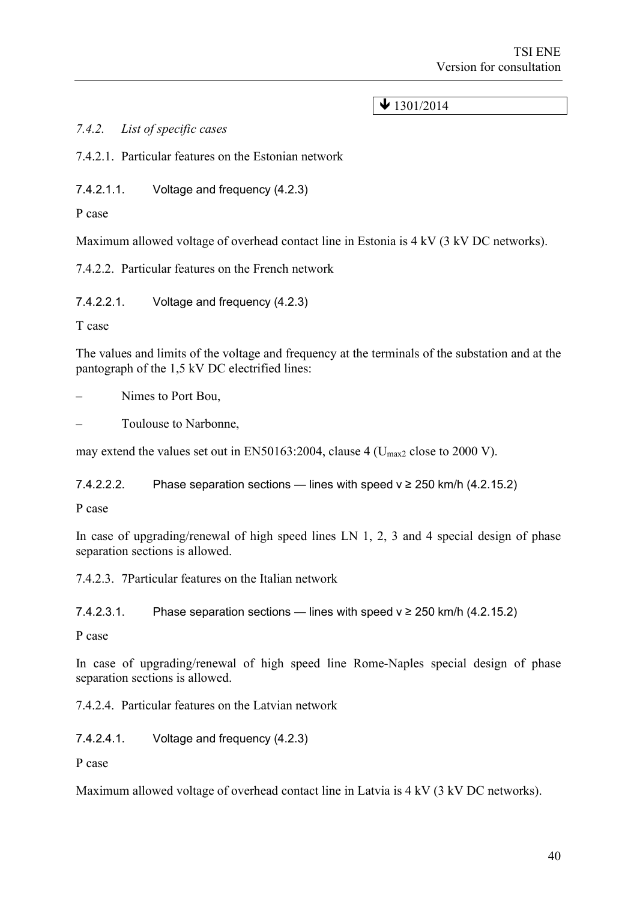# $\bigvee$  1301/2014

*7.4.2. List of specific cases*

7.4.2.1. Particular features on the Estonian network

7.4.2.1.1. Voltage and frequency (4.2.3)

P case

Maximum allowed voltage of overhead contact line in Estonia is 4 kV (3 kV DC networks).

7.4.2.2. Particular features on the French network

7.4.2.2.1. Voltage and frequency (4.2.3)

T case

The values and limits of the voltage and frequency at the terminals of the substation and at the pantograph of the 1,5 kV DC electrified lines:

– Nimes to Port Bou,

– Toulouse to Narbonne,

may extend the values set out in EN50163:2004, clause 4 ( $U_{\text{max2}}$  close to 2000 V).

7.4.2.2.2. Phase separation sections — lines with speed  $v \ge 250$  km/h (4.2.15.2)

P case

In case of upgrading/renewal of high speed lines LN 1, 2, 3 and 4 special design of phase separation sections is allowed.

7.4.2.3. 7Particular features on the Italian network

7.4.2.3.1. Phase separation sections — lines with speed  $v \ge 250$  km/h (4.2.15.2)

P case

In case of upgrading/renewal of high speed line Rome-Naples special design of phase separation sections is allowed.

7.4.2.4. Particular features on the Latvian network

7.4.2.4.1. Voltage and frequency (4.2.3)

P case

Maximum allowed voltage of overhead contact line in Latvia is 4 kV (3 kV DC networks).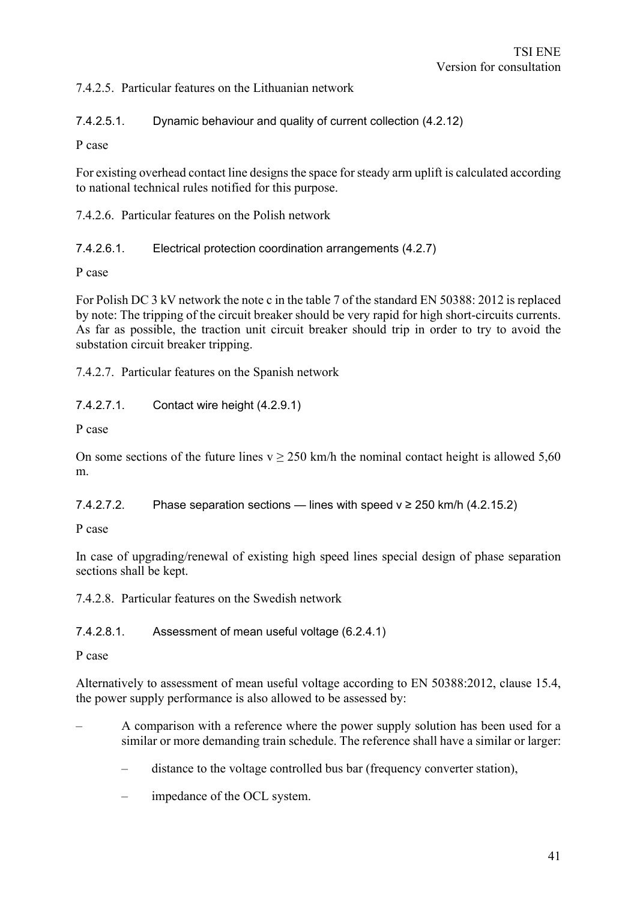7.4.2.5. Particular features on the Lithuanian network

7.4.2.5.1. Dynamic behaviour and quality of current collection (4.2.12)

P case

For existing overhead contact line designs the space for steady arm uplift is calculated according to national technical rules notified for this purpose.

7.4.2.6. Particular features on the Polish network

7.4.2.6.1. Electrical protection coordination arrangements (4.2.7)

P case

For Polish DC 3 kV network the note c in the table 7 of the standard EN 50388: 2012 is replaced by note: The tripping of the circuit breaker should be very rapid for high short-circuits currents. As far as possible, the traction unit circuit breaker should trip in order to try to avoid the substation circuit breaker tripping.

7.4.2.7. Particular features on the Spanish network

7.4.2.7.1. Contact wire height (4.2.9.1)

P case

On some sections of the future lines  $v > 250$  km/h the nominal contact height is allowed 5.60 m.

7.4.2.7.2. Phase separation sections — lines with speed  $v \ge 250$  km/h (4.2.15.2)

P case

In case of upgrading/renewal of existing high speed lines special design of phase separation sections shall be kept.

7.4.2.8. Particular features on the Swedish network

7.4.2.8.1. Assessment of mean useful voltage (6.2.4.1)

P case

Alternatively to assessment of mean useful voltage according to EN 50388:2012, clause 15.4, the power supply performance is also allowed to be assessed by:

- A comparison with a reference where the power supply solution has been used for a similar or more demanding train schedule. The reference shall have a similar or larger:
	- distance to the voltage controlled bus bar (frequency converter station),
	- impedance of the OCL system.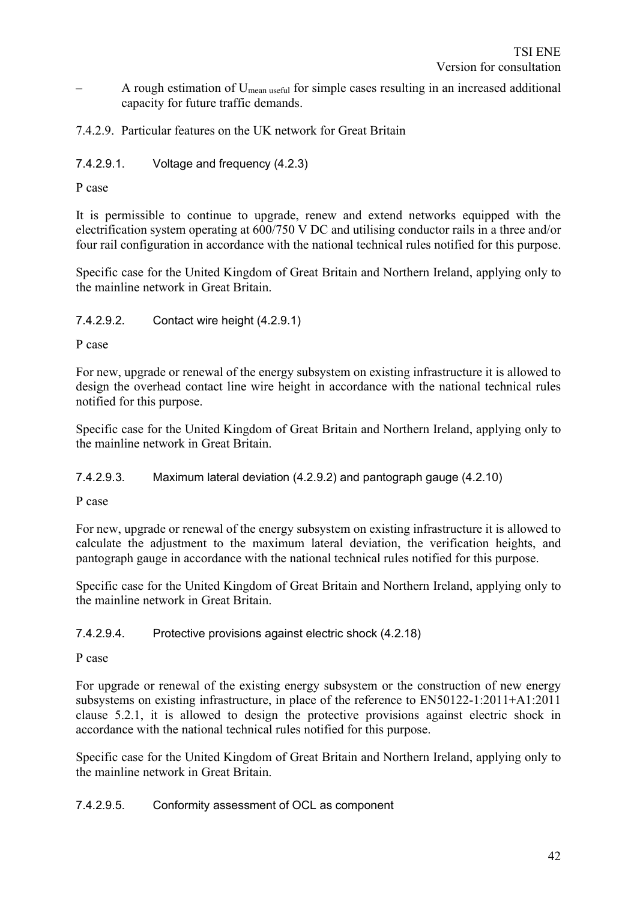– A rough estimation of Umean useful for simple cases resulting in an increased additional capacity for future traffic demands.

# 7.4.2.9. Particular features on the UK network for Great Britain

# 7.4.2.9.1. Voltage and frequency (4.2.3)

P case

It is permissible to continue to upgrade, renew and extend networks equipped with the electrification system operating at 600/750 V DC and utilising conductor rails in a three and/or four rail configuration in accordance with the national technical rules notified for this purpose.

Specific case for the United Kingdom of Great Britain and Northern Ireland, applying only to the mainline network in Great Britain.

7.4.2.9.2. Contact wire height (4.2.9.1)

P case

For new, upgrade or renewal of the energy subsystem on existing infrastructure it is allowed to design the overhead contact line wire height in accordance with the national technical rules notified for this purpose.

Specific case for the United Kingdom of Great Britain and Northern Ireland, applying only to the mainline network in Great Britain.

7.4.2.9.3. Maximum lateral deviation (4.2.9.2) and pantograph gauge (4.2.10)

P case

For new, upgrade or renewal of the energy subsystem on existing infrastructure it is allowed to calculate the adjustment to the maximum lateral deviation, the verification heights, and pantograph gauge in accordance with the national technical rules notified for this purpose.

Specific case for the United Kingdom of Great Britain and Northern Ireland, applying only to the mainline network in Great Britain.

#### 7.4.2.9.4. Protective provisions against electric shock (4.2.18)

P case

For upgrade or renewal of the existing energy subsystem or the construction of new energy subsystems on existing infrastructure, in place of the reference to EN50122-1:2011+A1:2011 clause 5.2.1, it is allowed to design the protective provisions against electric shock in accordance with the national technical rules notified for this purpose.

Specific case for the United Kingdom of Great Britain and Northern Ireland, applying only to the mainline network in Great Britain.

#### 7.4.2.9.5. Conformity assessment of OCL as component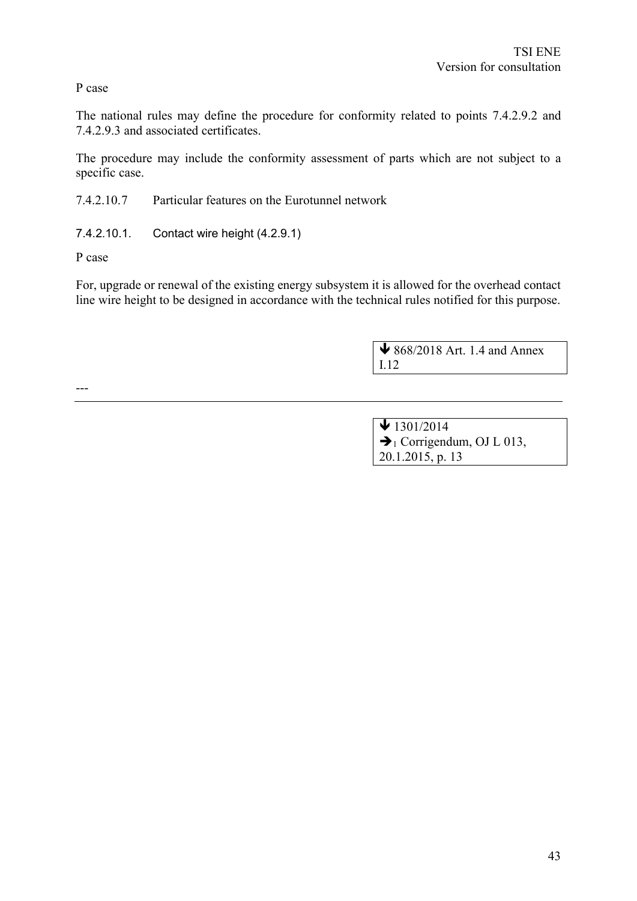P case

The national rules may define the procedure for conformity related to points 7.4.2.9.2 and 7.4.2.9.3 and associated certificates.

The procedure may include the conformity assessment of parts which are not subject to a specific case.

7.4.2.10.7 Particular features on the Eurotunnel network

7.4.2.10.1. Contact wire height (4.2.9.1)

P case

For, upgrade or renewal of the existing energy subsystem it is allowed for the overhead contact line wire height to be designed in accordance with the technical rules notified for this purpose.

> 868/2018 Art. 1.4 and Annex I.12

---

| $\bigvee$ 1301/2014                  |  |
|--------------------------------------|--|
| $\rightarrow$ Corrigendum, OJ L 013, |  |
| 20.1.2015, p. 13                     |  |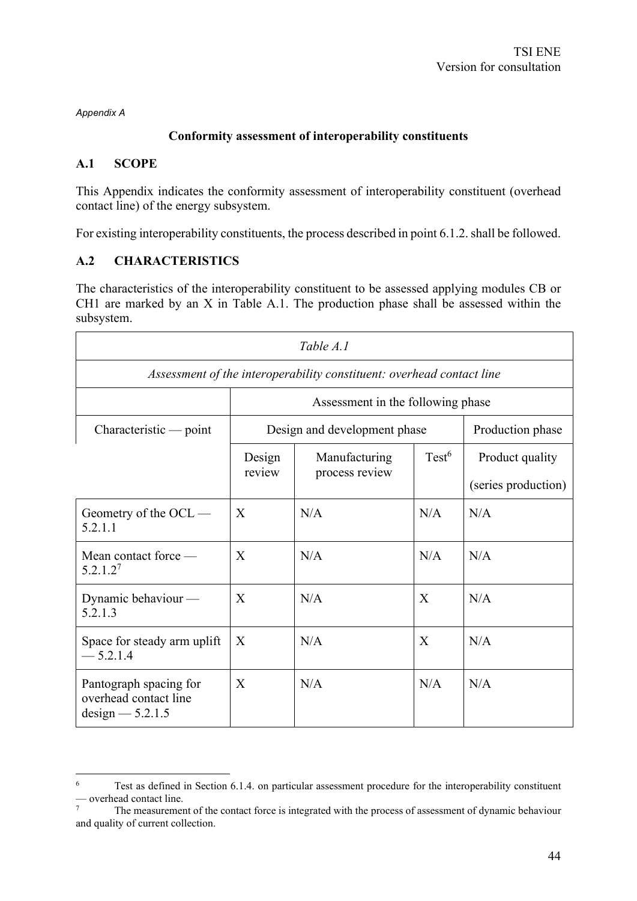*Appendix A*

# **Conformity assessment of interoperability constituents**

#### **A.1 SCOPE**

This Appendix indicates the conformity assessment of interoperability constituent (overhead contact line) of the energy subsystem.

For existing interoperability constituents, the process described in point 6.1.2. shall be followed.

#### **A.2 CHARACTERISTICS**

The characteristics of the interoperability constituent to be assessed applying modules CB or CH1 are marked by an X in Table A.1. The production phase shall be assessed within the subsystem.

| Table A.1                                                             |                                                                       |                              |                   |                     |  |  |
|-----------------------------------------------------------------------|-----------------------------------------------------------------------|------------------------------|-------------------|---------------------|--|--|
|                                                                       | Assessment of the interoperability constituent: overhead contact line |                              |                   |                     |  |  |
|                                                                       | Assessment in the following phase                                     |                              |                   |                     |  |  |
| $Characteristic$ - point                                              |                                                                       | Design and development phase |                   | Production phase    |  |  |
|                                                                       | Design                                                                | Manufacturing                | Test <sup>6</sup> | Product quality     |  |  |
|                                                                       | review                                                                | process review               |                   | (series production) |  |  |
| Geometry of the OCL —<br>5.2.1.1                                      | X                                                                     | N/A                          | N/A               | N/A                 |  |  |
| Mean contact force —<br>5.2.1.2 <sup>7</sup>                          | $\mathbf{X}$                                                          | N/A                          | N/A               | N/A                 |  |  |
| Dynamic behaviour -<br>5.2.1.3                                        | X                                                                     | N/A                          | X                 | N/A                 |  |  |
| Space for steady arm uplift<br>$-5.2.1.4$                             | X                                                                     | N/A                          | X                 | N/A                 |  |  |
| Pantograph spacing for<br>overhead contact line<br>$design - 5.2.1.5$ | X                                                                     | N/A                          | N/A               | N/A                 |  |  |

<sup>&</sup>lt;sup>6</sup> Test as defined in Section 6.1.4. on particular assessment procedure for the interoperability constituent — overhead contact line.

<sup>7</sup> The measurement of the contact force is integrated with the process of assessment of dynamic behaviour and quality of current collection.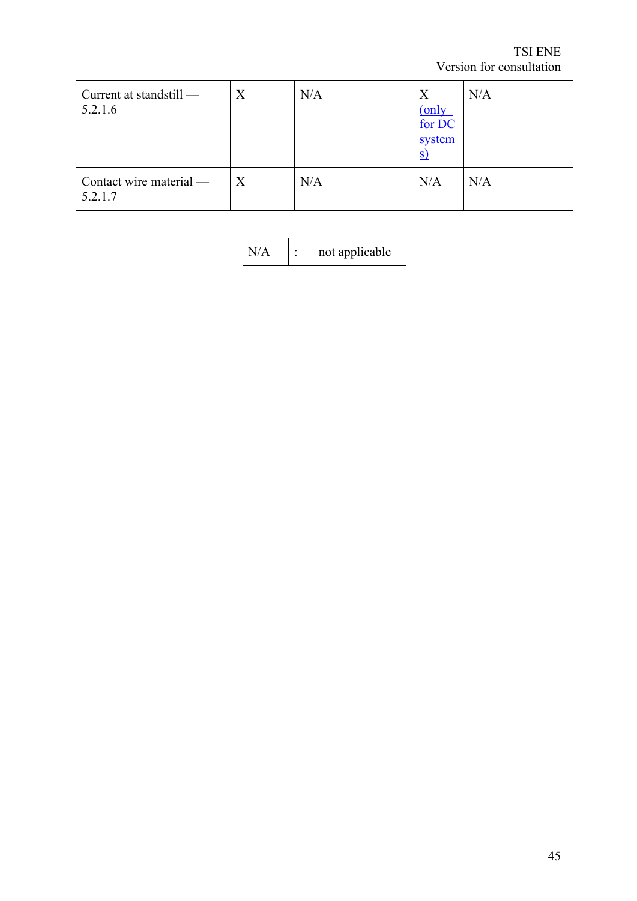TSI ENE Version for consultation

| Current at standstill —<br>5.2.1.6 | X | N/A | X<br>(only<br>for DC<br>system<br><u>s</u> | N/A |
|------------------------------------|---|-----|--------------------------------------------|-----|
| Contact wire material —<br>5.2.1.7 | X | N/A | N/A                                        | N/A |

|  | not applicable |
|--|----------------|
|--|----------------|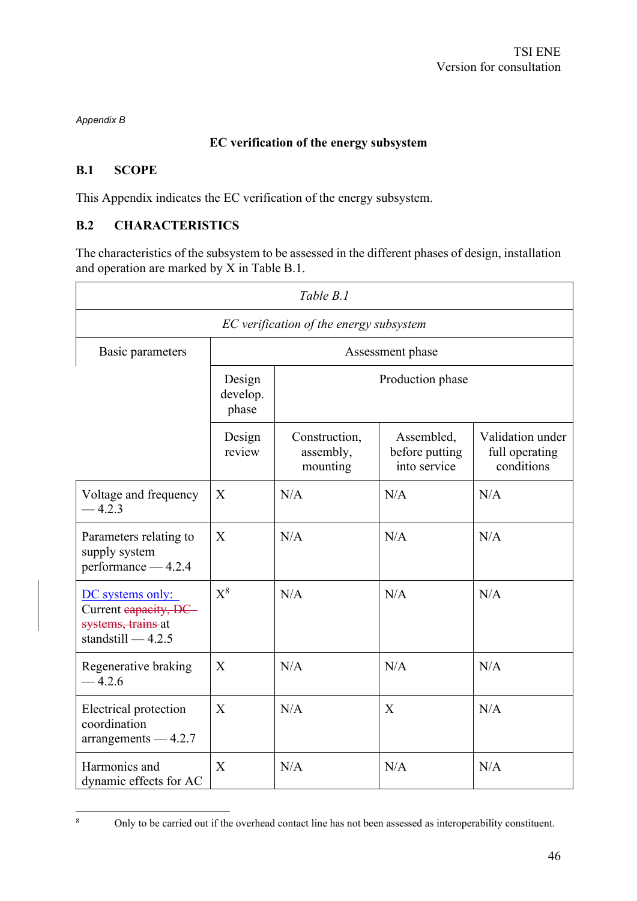*Appendix B*

# **EC verification of the energy subsystem**

# **B.1 SCOPE**

This Appendix indicates the EC verification of the energy subsystem.

# **B.2 CHARACTERISTICS**

The characteristics of the subsystem to be assessed in the different phases of design, installation and operation are marked by  $\check{X}$  in Table B.1.

| Table B.1                                                                             |                             |                                        |                                              |                                                  |  |
|---------------------------------------------------------------------------------------|-----------------------------|----------------------------------------|----------------------------------------------|--------------------------------------------------|--|
| EC verification of the energy subsystem                                               |                             |                                        |                                              |                                                  |  |
| Basic parameters                                                                      | Assessment phase            |                                        |                                              |                                                  |  |
|                                                                                       | Design<br>develop.<br>phase | Production phase                       |                                              |                                                  |  |
|                                                                                       | Design<br>review            | Construction,<br>assembly,<br>mounting | Assembled,<br>before putting<br>into service | Validation under<br>full operating<br>conditions |  |
| Voltage and frequency<br>4.2.3                                                        | X                           | N/A                                    | N/A                                          | N/A                                              |  |
| Parameters relating to<br>supply system<br>performance - 4.2.4                        | X                           | N/A                                    | N/A                                          | N/A                                              |  |
| DC systems only:<br>Current eapacity, DC<br>systems, trains at<br>standstill $-4.2.5$ | $X^8$                       | N/A                                    | N/A                                          | N/A                                              |  |
| Regenerative braking<br>$-4.2.6$                                                      | X                           | N/A                                    | N/A                                          | N/A                                              |  |
| Electrical protection<br>coordination<br>$arrangements -4.2.7$                        | X                           | N/A                                    | X                                            | N/A                                              |  |
| Harmonics and<br>dynamic effects for AC                                               | X                           | N/A                                    | N/A                                          | N/A                                              |  |

<sup>8</sup> Only to be carried out if the overhead contact line has not been assessed as interoperability constituent.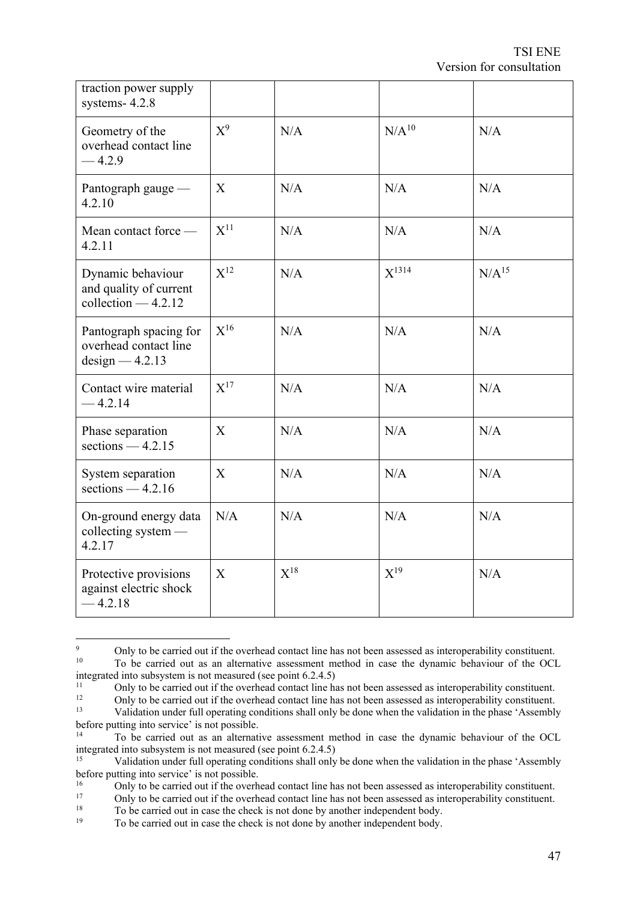| traction power supply<br>systems-4.2.8                                      |          |          |                |            |
|-----------------------------------------------------------------------------|----------|----------|----------------|------------|
| Geometry of the<br>overhead contact line<br>$-4.2.9$                        | $X^9$    | N/A      | $\rm N/A^{10}$ | N/A        |
| Pantograph gauge —<br>4.2.10                                                | X        | N/A      | N/A            | N/A        |
| Mean contact force —<br>4.2.11                                              | $X^{11}$ | N/A      | N/A            | N/A        |
| Dynamic behaviour<br>and quality of current<br>$\text{collection} - 4.2.12$ | $X^{12}$ | N/A      | $X^{1314}$     | $N/A^{15}$ |
| Pantograph spacing for<br>overhead contact line<br>$design - 4.2.13$        | $X^{16}$ | N/A      | N/A            | N/A        |
| Contact wire material<br>$-4.2.14$                                          | $X^{17}$ | N/A      | N/A            | N/A        |
| Phase separation<br>sections $-4.2.15$                                      | X        | N/A      | N/A            | N/A        |
| System separation<br>sections $-4.2.16$                                     | X        | N/A      | N/A            | N/A        |
| On-ground energy data<br>collecting system -<br>4.2.17                      | N/A      | N/A      | N/A            | N/A        |
| Protective provisions<br>against electric shock<br>$-4.2.18$                | X        | $X^{18}$ | $X^{19}$       | N/A        |

<sup>&</sup>lt;sup>9</sup> Only to be carried out if the overhead contact line has not been assessed as interoperability constituent. <sup>10</sup> To be carried out as an alternative assessment method in case the dynamic behaviour of the OCL

<sup>18</sup> To be carried out in case the check is not done by another independent body.<br><sup>19</sup> To be carried out in case the check is not done by another independent body.

integrated into subsystem is not measured (see point  $6.2.4.5$ )<br> $\frac{11}{11}$  Only to be carried out if the overhead contect line be

<sup>&</sup>lt;sup>11</sup> Only to be carried out if the overhead contact line has not been assessed as interoperability constituent.

<sup>&</sup>lt;sup>12</sup> Only to be carried out if the overhead contact line has not been assessed as interoperability constituent.<br><sup>13</sup> Velidation under full energies conditions shall sply be done when the velidation in the phase id seemble <sup>13</sup> Validation under full operating conditions shall only be done when the validation in the phase 'Assembly before putting into service' is not possible.

<sup>14</sup> To be carried out as an alternative assessment method in case the dynamic behaviour of the OCL integrated into subsystem is not measured (see point 6.2.4.5)<br><sup>15</sup>

Validation under full operating conditions shall only be done when the validation in the phase 'Assembly before putting into service' is not possible.

<sup>&</sup>lt;sup>16</sup> Only to be carried out if the overhead contact line has not been assessed as interoperability constituent.

<sup>&</sup>lt;sup>17</sup> Only to be carried out if the overhead contact line has not been assessed as interoperability constituent.<br><sup>18</sup> To be carried out in case the check is not done by another independent body.

To be carried out in case the check is not done by another independent body.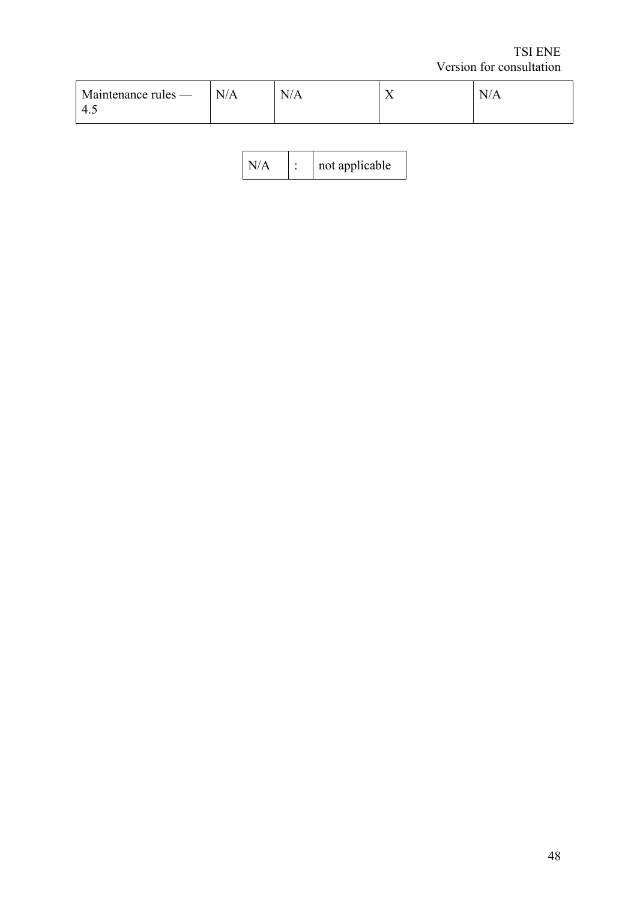TSI ENE Version for consultation

| $\blacksquare$ Maintenance rules —<br>4.1 | N/A | . T /<br>N/A | ∡⊾ | N/A |
|-------------------------------------------|-----|--------------|----|-----|
|                                           |     |              |    |     |

| N/ |  | not applicable |
|----|--|----------------|
|----|--|----------------|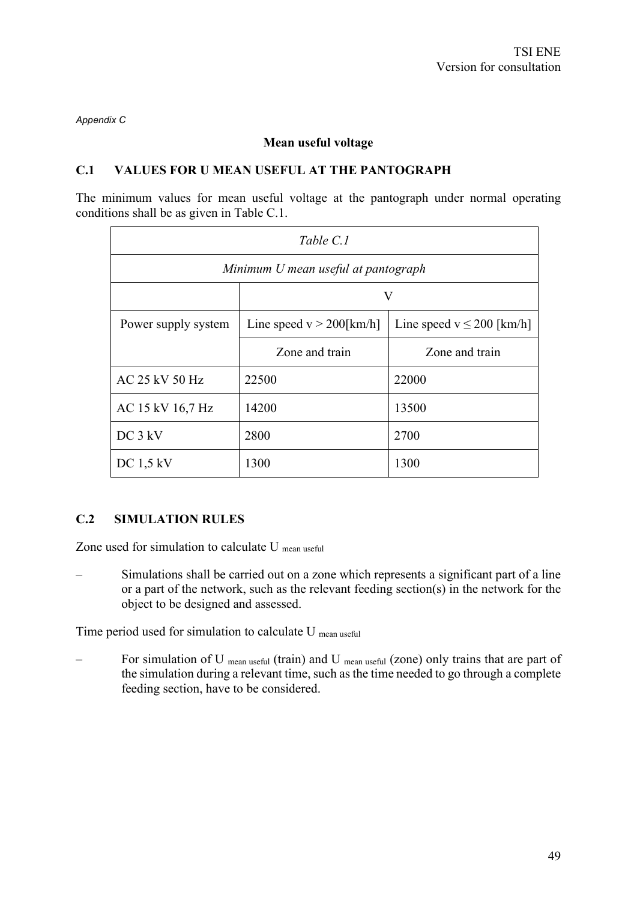*Appendix C*

#### **Mean useful voltage**

#### **C.1 VALUES FOR U MEAN USEFUL AT THE PANTOGRAPH**

The minimum values for mean useful voltage at the pantograph under normal operating conditions shall be as given in Table C.1.

| Table C.1                           |                             |                               |  |  |  |  |
|-------------------------------------|-----------------------------|-------------------------------|--|--|--|--|
| Minimum U mean useful at pantograph |                             |                               |  |  |  |  |
|                                     | V                           |                               |  |  |  |  |
| Power supply system                 | Line speed $v > 200$ [km/h] | Line speed $v \le 200$ [km/h] |  |  |  |  |
|                                     | Zone and train              | Zone and train                |  |  |  |  |
| AC 25 kV 50 Hz                      | 22500                       | 22000                         |  |  |  |  |
| AC 15 kV 16,7 Hz                    | 14200                       | 13500                         |  |  |  |  |
| $DC$ 3 $kV$                         | 2800                        | 2700                          |  |  |  |  |
| $DC$ 1,5 kV                         | 1300                        | 1300                          |  |  |  |  |

# **C.2 SIMULATION RULES**

Zone used for simulation to calculate U mean useful

– Simulations shall be carried out on a zone which represents a significant part of a line or a part of the network, such as the relevant feeding section(s) in the network for the object to be designed and assessed.

Time period used for simulation to calculate U mean useful

For simulation of U mean useful (train) and U mean useful (zone) only trains that are part of the simulation during a relevant time, such as the time needed to go through a complete feeding section, have to be considered.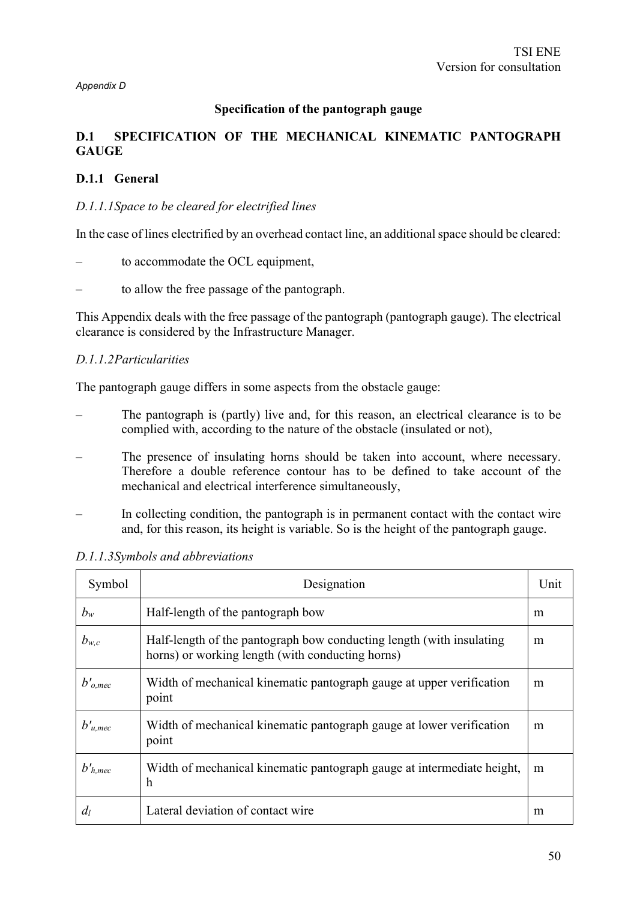#### **Specification of the pantograph gauge**

# **D.1 SPECIFICATION OF THE MECHANICAL KINEMATIC PANTOGRAPH GAUGE**

#### **D.1.1 General**

#### *D.1.1.1Space to be cleared for electrified lines*

In the case of lines electrified by an overhead contact line, an additional space should be cleared:

- to accommodate the OCL equipment,
- to allow the free passage of the pantograph.

This Appendix deals with the free passage of the pantograph (pantograph gauge). The electrical clearance is considered by the Infrastructure Manager.

#### *D.1.1.2Particularities*

The pantograph gauge differs in some aspects from the obstacle gauge:

- The pantograph is (partly) live and, for this reason, an electrical clearance is to be complied with, according to the nature of the obstacle (insulated or not),
- The presence of insulating horns should be taken into account, where necessary. Therefore a double reference contour has to be defined to take account of the mechanical and electrical interference simultaneously,
- In collecting condition, the pantograph is in permanent contact with the contact wire and, for this reason, its height is variable. So is the height of the pantograph gauge.

| Symbol        | Designation                                                                                                              | Unit |
|---------------|--------------------------------------------------------------------------------------------------------------------------|------|
| $b_w$         | Half-length of the pantograph bow                                                                                        | m    |
| $b_{w,c}$     | Half-length of the pantograph bow conducting length (with insulating<br>horns) or working length (with conducting horns) | m    |
| $b'_{o, mec}$ | Width of mechanical kinematic pantograph gauge at upper verification<br>point                                            | m    |
| $b'_{u, mec}$ | Width of mechanical kinematic pantograph gauge at lower verification<br>point                                            | m    |
| $b'_{h, mec}$ | Width of mechanical kinematic pantograph gauge at intermediate height,<br>h                                              | m    |
| $d_l$         | Lateral deviation of contact wire                                                                                        | m    |

*D.1.1.3Symbols and abbreviations*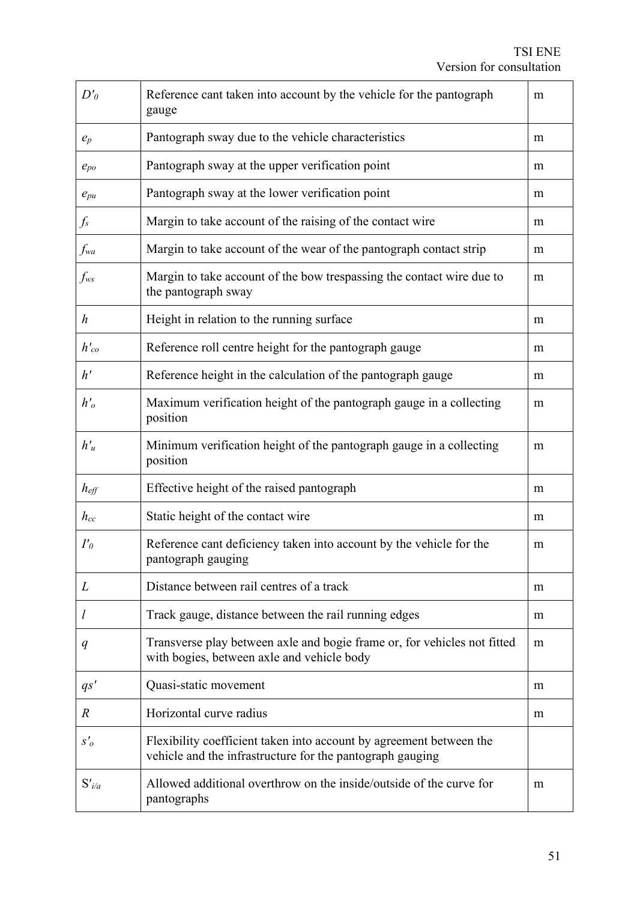| $D'_{\theta}$    | Reference cant taken into account by the vehicle for the pantograph<br>gauge                                                     | m |  |  |
|------------------|----------------------------------------------------------------------------------------------------------------------------------|---|--|--|
| $e_p$            | Pantograph sway due to the vehicle characteristics                                                                               | m |  |  |
| $e_{po}$         | Pantograph sway at the upper verification point                                                                                  | m |  |  |
| $e_{pu}$         | Pantograph sway at the lower verification point                                                                                  | m |  |  |
| $f_s$            | Margin to take account of the raising of the contact wire                                                                        | m |  |  |
| fwa              | Margin to take account of the wear of the pantograph contact strip                                                               | m |  |  |
| $f_{ws}$         | Margin to take account of the bow trespassing the contact wire due to<br>the pantograph sway                                     | m |  |  |
| $\boldsymbol{h}$ | Height in relation to the running surface                                                                                        | m |  |  |
| $h_{co}$         | Reference roll centre height for the pantograph gauge                                                                            | m |  |  |
| h'               | Reference height in the calculation of the pantograph gauge                                                                      | m |  |  |
| $h'_{o}$         | Maximum verification height of the pantograph gauge in a collecting<br>position                                                  | m |  |  |
| $h'_u$           | Minimum verification height of the pantograph gauge in a collecting<br>position                                                  | m |  |  |
| $h_{\text{eff}}$ | Effective height of the raised pantograph                                                                                        | m |  |  |
| $h_{cc}$         | Static height of the contact wire                                                                                                | m |  |  |
| $I'_{\theta}$    | Reference cant deficiency taken into account by the vehicle for the<br>pantograph gauging                                        |   |  |  |
| L                | Distance between rail centres of a track                                                                                         | m |  |  |
| $\iota$          | Track gauge, distance between the rail running edges                                                                             | m |  |  |
| q                | Transverse play between axle and bogie frame or, for vehicles not fitted<br>with bogies, between axle and vehicle body           | m |  |  |
| $q_s'$           | Quasi-static movement                                                                                                            | m |  |  |
| $\boldsymbol{R}$ | Horizontal curve radius                                                                                                          | m |  |  |
| $S'_{o}$         | Flexibility coefficient taken into account by agreement between the<br>vehicle and the infrastructure for the pantograph gauging |   |  |  |
| $S'_{i/a}$       | Allowed additional overthrow on the inside/outside of the curve for<br>pantographs                                               | m |  |  |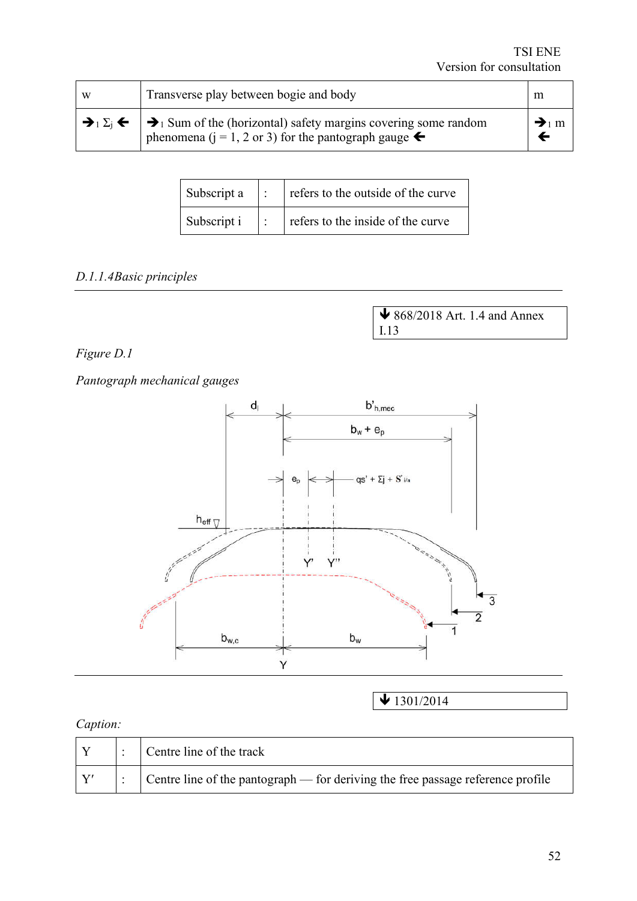| W | Transverse play between bogie and body                                                                                                                                                                   | m                            |
|---|----------------------------------------------------------------------------------------------------------------------------------------------------------------------------------------------------------|------------------------------|
|   | $\rightarrow$ $\Sigma_i$ $\leftarrow$ $\rightarrow$ $\Sigma_i$ Sum of the (horizontal) safety margins covering some random<br>phenomena ( $j = 1, 2$ or 3) for the pantograph gauge $\blacktriangleleft$ | $\rightarrow$ <sub>1</sub> m |

| Subscript $a \mid$ : |                   | refers to the outside of the curve |
|----------------------|-------------------|------------------------------------|
| Subscript i          | $\sim$ 1.1 $\sim$ | refers to the inside of the curve  |

# *D.1.1.4Basic principles*

 868/2018 Art. 1.4 and Annex I.13

# *Figure D.1*

*Pantograph mechanical gauges*



 $\bigvee$  1301/2014

# *Caption:*

|  | Centre line of the track                                                                |
|--|-----------------------------------------------------------------------------------------|
|  | $\vert$ Centre line of the pantograph — for deriving the free passage reference profile |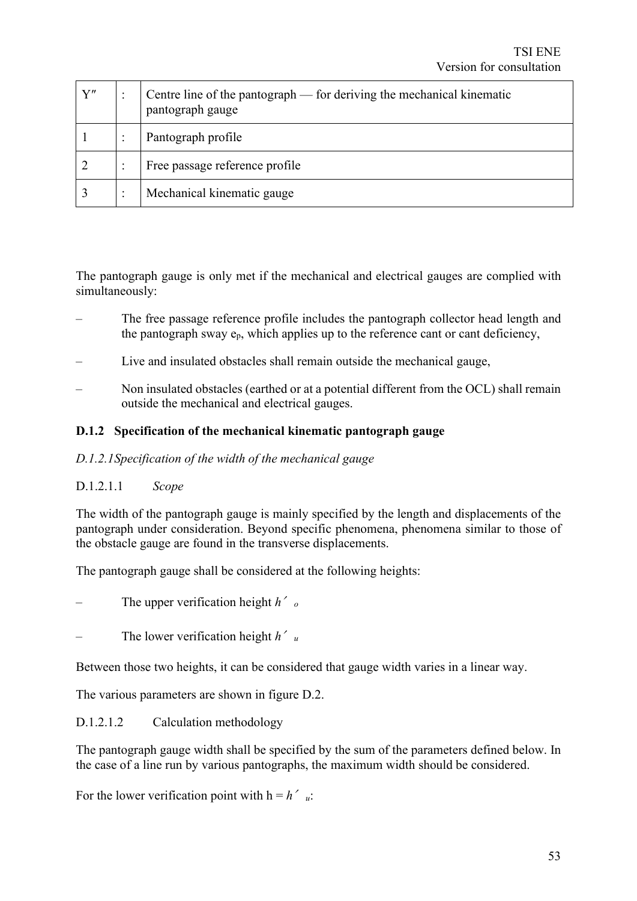| ${\bf Y''}$ | Centre line of the pantograph — for deriving the mechanical kinematic<br>pantograph gauge |
|-------------|-------------------------------------------------------------------------------------------|
|             | Pantograph profile                                                                        |
|             | Free passage reference profile                                                            |
|             | Mechanical kinematic gauge                                                                |

The pantograph gauge is only met if the mechanical and electrical gauges are complied with simultaneously:

- The free passage reference profile includes the pantograph collector head length and the pantograph sway  $e_p$ , which applies up to the reference cant or cant deficiency,
- Live and insulated obstacles shall remain outside the mechanical gauge,
- Non insulated obstacles (earthed or at a potential different from the OCL) shall remain outside the mechanical and electrical gauges.

# **D.1.2 Specification of the mechanical kinematic pantograph gauge**

#### *D.1.2.1Specification of the width of the mechanical gauge*

#### D.1.2.1.1 *Scope*

The width of the pantograph gauge is mainly specified by the length and displacements of the pantograph under consideration. Beyond specific phenomena, phenomena similar to those of the obstacle gauge are found in the transverse displacements.

The pantograph gauge shall be considered at the following heights:

- The upper verification height *h*′*<sup>o</sup>*
- The lower verification height *h*′*<sup>u</sup>*

Between those two heights, it can be considered that gauge width varies in a linear way.

The various parameters are shown in figure D.2.

#### D.1.2.1.2 Calculation methodology

The pantograph gauge width shall be specified by the sum of the parameters defined below. In the case of a line run by various pantographs, the maximum width should be considered.

For the lower verification point with  $h = h'$  *u*: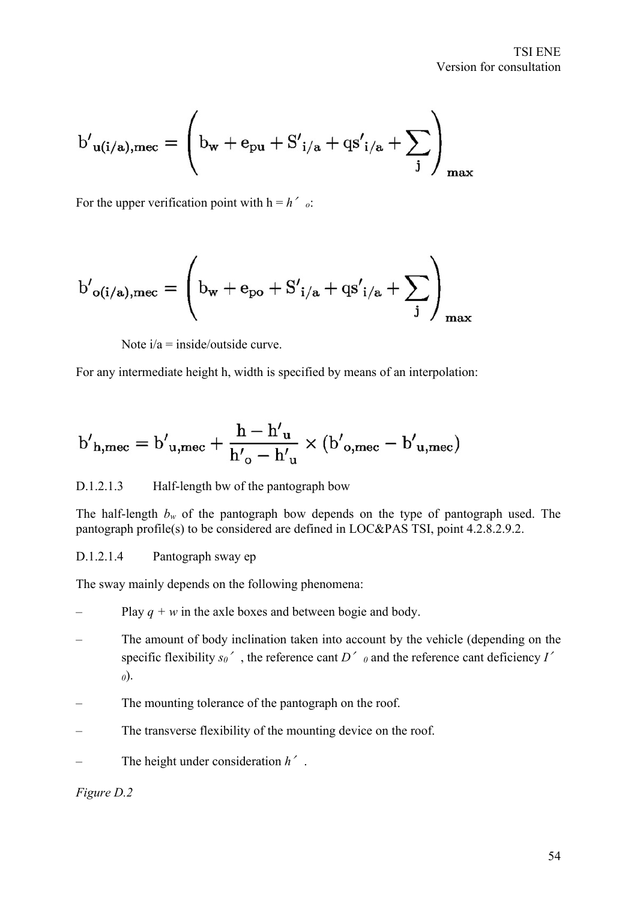$$
{b'}_{u(i/a),\mathrm{mec}}=\left(b_w+e_{pu}+{S'}_{i/a}+{qs'}_{i/a}+\sum_j\right)_{\mathrm{max}}
$$

For the upper verification point with  $h = h'_{o}$ :

$$
{b'}_{o(i/a),mec}=\left(b_w+e_{po}+{S'}_{i/a}+qs'_{i/a}+\sum_j\right)_{max}
$$

Note  $i/a = inside/out side$  curve.

For any intermediate height h, width is specified by means of an interpolation:

$$
{b'}_{h, \text{mec}} = {b'}_{u, \text{mec}} + \frac{h - {h'}_u}{h'_{o} - {h'}_u} \times ({b'}_{o, \text{mec}} - {b'}_{u, \text{mec}})
$$

#### D.1.2.1.3 Half-length bw of the pantograph bow

The half-length  $b_w$  of the pantograph bow depends on the type of pantograph used. The pantograph profile(s) to be considered are defined in LOC&PAS TSI, point 4.2.8.2.9.2.

#### D.1.2.1.4 Pantograph sway ep

The sway mainly depends on the following phenomena:

- Play  $q + w$  in the axle boxes and between bogie and body.
- The amount of body inclination taken into account by the vehicle (depending on the specific flexibility  $s_0$ <sup>'</sup>, the reference cant *D*<sup>'</sup>  $\theta$  and the reference cant deficiency *I*<sup>'</sup> *0*).
- The mounting tolerance of the pantograph on the roof.
- The transverse flexibility of the mounting device on the roof.
- The height under consideration *h*′.

#### *Figure D.2*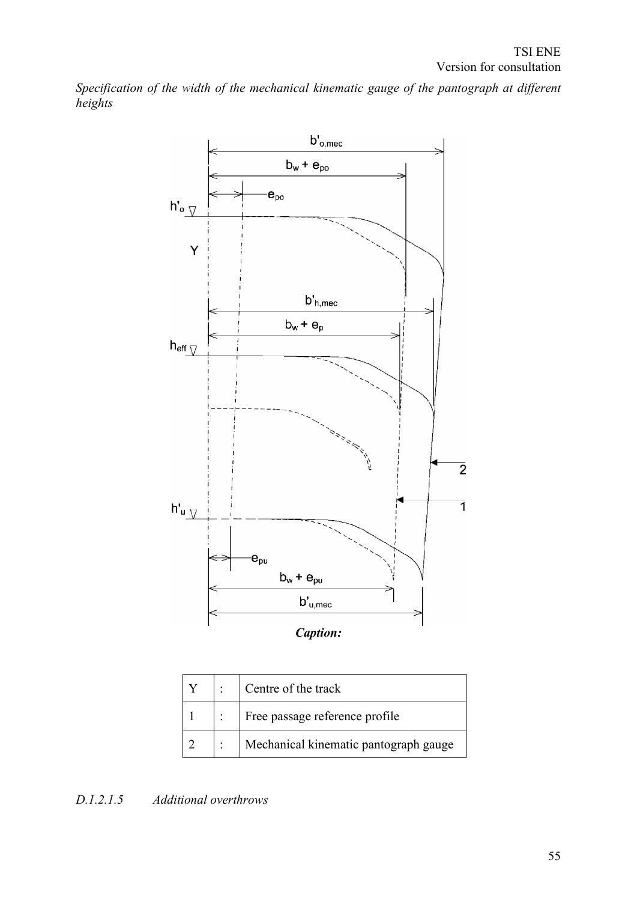*Specification of the width of the mechanical kinematic gauge of the pantograph at different heights*



|  | $\therefore$ Centre of the track      |
|--|---------------------------------------|
|  | Free passage reference profile        |
|  | Mechanical kinematic pantograph gauge |

# *D.1.2.1.5 Additional overthrows*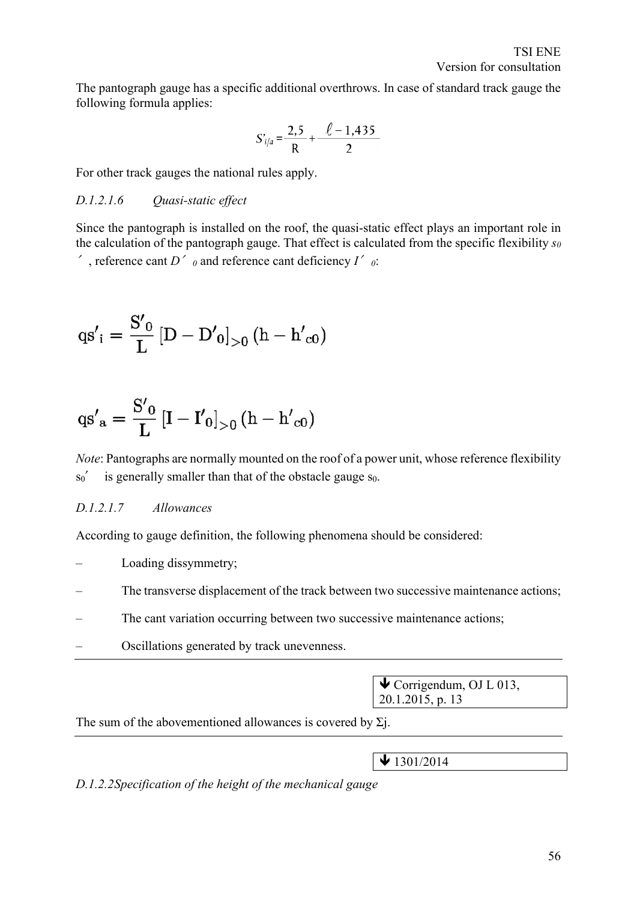The pantograph gauge has a specific additional overthrows. In case of standard track gauge the following formula applies:

$$
S'_{i/a} = \frac{2,5}{R} + \frac{\ell - 1,435}{2}
$$

For other track gauges the national rules apply.

#### *D.1.2.1.6 Quasi-static effect*

Since the pantograph is installed on the roof, the quasi-static effect plays an important role in the calculation of the pantograph gauge. That effect is calculated from the specific flexibility *s0* ′, reference cant *D*′*<sup>0</sup>* and reference cant deficiency *I*′*0*:

$$
qs'_{i} = \frac{S'_{0}}{L} [D - D'_{0}]_{>0} (h - h'_{c0})
$$

$$
qs'a=\frac{S'_{0}}{L}\left[I-I'_{0}\right]_{>0}(h-h'_{c0})
$$

*Note*: Pantographs are normally mounted on the roof of a power unit, whose reference flexibility  $\sin'$  is generally smaller than that of the obstacle gauge  $\sin$ .

#### *D.1.2.1.7 Allowances*

According to gauge definition, the following phenomena should be considered:

- Loading dissymmetry;
- The transverse displacement of the track between two successive maintenance actions;
- The cant variation occurring between two successive maintenance actions;
- Oscillations generated by track unevenness.

 $\blacklozenge$  Corrigendum, OJ L 013, 20.1.2015, p. 13

The sum of the abovementioned allowances is covered by  $\Sigma$ .

 $\bigvee$  1301/2014

*D.1.2.2Specification of the height of the mechanical gauge*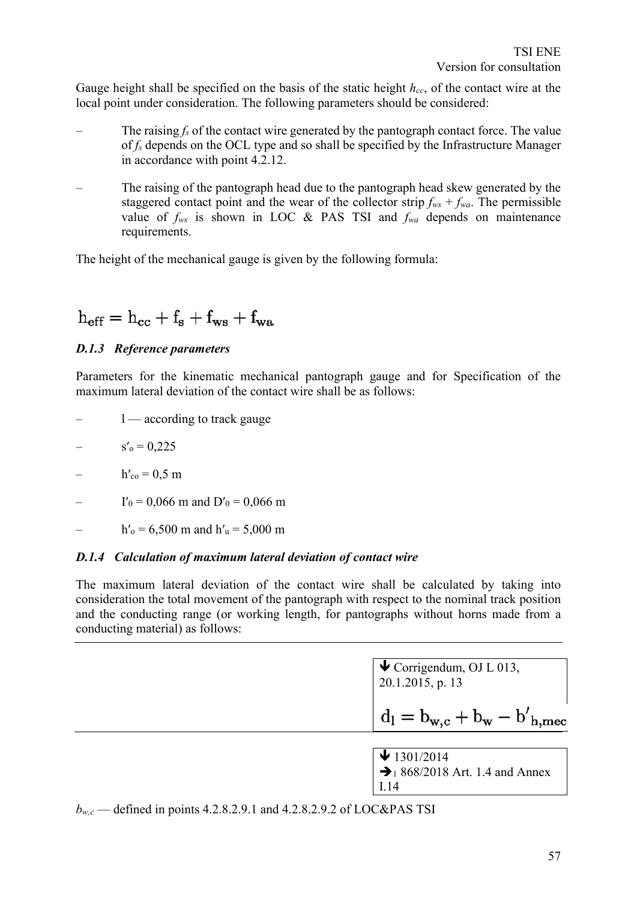Gauge height shall be specified on the basis of the static height *hcc*, of the contact wire at the local point under consideration. The following parameters should be considered:

- The raising  $f_s$  of the contact wire generated by the pantograph contact force. The value of *fs* depends on the OCL type and so shall be specified by the Infrastructure Manager in accordance with point 4.2.12.
- The raising of the pantograph head due to the pantograph head skew generated by the staggered contact point and the wear of the collector strip  $f_{ws} + f_{wa}$ . The permissible value of *fws* is shown in LOC & PAS TSI and *fwa* depends on maintenance requirements.

The height of the mechanical gauge is given by the following formula:

$$
h_{\rm eff}=h_{\rm cc}+f_{\rm s}+f_{\rm ws}+f_{\rm wa}
$$

# *D.1.3 Reference parameters*

Parameters for the kinematic mechanical pantograph gauge and for Specification of the maximum lateral deviation of the contact wire shall be as follows:

- $1$  according to track gauge
- $s'_0 = 0,225$
- $h'_{\rm co} = 0.5 \; {\rm m}$
- $I'_0 = 0,066$  m and  $D'_0 = 0,066$  m
- $h'_{o} = 6,500$  m and  $h'_{u} = 5,000$  m

#### *D.1.4 Calculation of maximum lateral deviation of contact wire*

The maximum lateral deviation of the contact wire shall be calculated by taking into consideration the total movement of the pantograph with respect to the nominal track position and the conducting range (or working length, for pantographs without horns made from a conducting material) as follows:

> $\blacklozenge$  Corrigendum, OJ L 013, 20.1.2015, p. 13

$$
d_l = b_{w,c} + b_w - b^\prime_{\ h, \mathrm{mec}}
$$

 $\bigvee$  1301/2014  $\bigtriangledown_1 868/2018$  Art. 1.4 and Annex I.14

 $b_{wc}$  — defined in points 4.2.8.2.9.1 and 4.2.8.2.9.2 of LOC&PAS TSI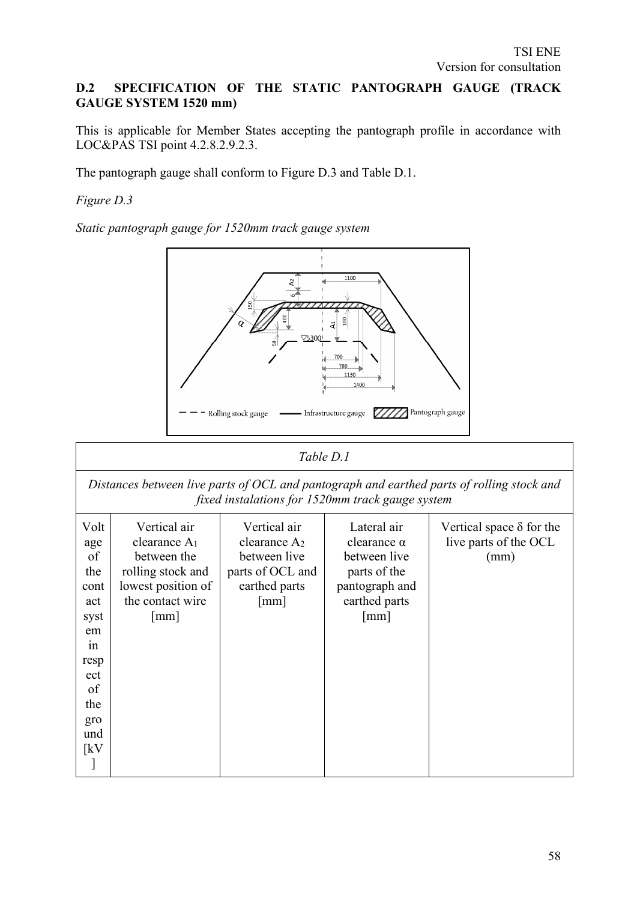# **D.2 SPECIFICATION OF THE STATIC PANTOGRAPH GAUGE (TRACK GAUGE SYSTEM 1520 mm)**

This is applicable for Member States accepting the pantograph profile in accordance with LOC&PAS TSI point 4.2.8.2.9.2.3.

The pantograph gauge shall conform to Figure D.3 and Table D.1.

*Figure D.3*

*Static pantograph gauge for 1520mm track gauge system*



|                                                                                                                             | Table D.1                                                                                                                                     |                                                                                                                       |                                                                                                                              |                                                                  |  |  |  |  |
|-----------------------------------------------------------------------------------------------------------------------------|-----------------------------------------------------------------------------------------------------------------------------------------------|-----------------------------------------------------------------------------------------------------------------------|------------------------------------------------------------------------------------------------------------------------------|------------------------------------------------------------------|--|--|--|--|
|                                                                                                                             | Distances between live parts of OCL and pantograph and earthed parts of rolling stock and<br>fixed instalations for 1520mm track gauge system |                                                                                                                       |                                                                                                                              |                                                                  |  |  |  |  |
| Volt<br>age<br>of<br>the<br>cont<br>act<br>syst<br>em<br>in<br>resp<br>ect<br>of<br>the<br>gro<br>und<br>$\lceil kV \rceil$ | Vertical air<br>clearance $A_1$<br>between the<br>rolling stock and<br>lowest position of<br>the contact wire<br>$\lceil$ mm $\rceil$         | Vertical air<br>clearance A <sub>2</sub><br>between live<br>parts of OCL and<br>earthed parts<br>$\lceil$ mm $\rceil$ | Lateral air<br>clearance $\alpha$<br>between live<br>parts of the<br>pantograph and<br>earthed parts<br>$\lceil$ mm $\rceil$ | Vertical space $\delta$ for the<br>live parts of the OCL<br>(mm) |  |  |  |  |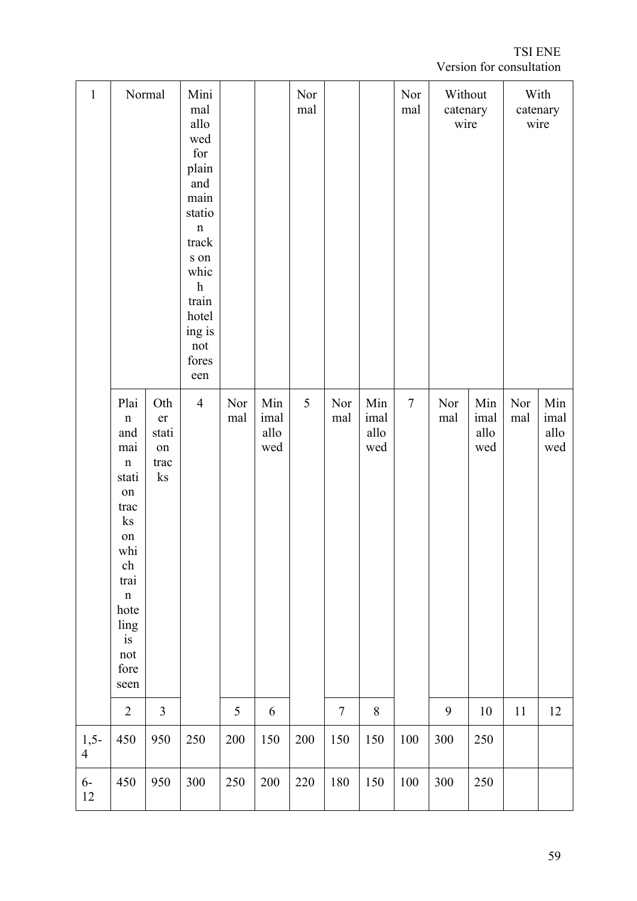TSI ENE Version for consultation

| $\mathbf{1}$             |                                                                                                                                                                                                        | Normal                                       | Mini<br>mal<br>allo<br>wed<br>for<br>plain<br>and<br>main<br>statio<br>$\mathbf n$<br>track<br>s on<br>whic<br>$\boldsymbol{\mathrm{h}}$<br>train<br>hotel<br>ing is<br>not<br>fores<br>een |            |                            | Nor<br>mal |                  |                            | Nor<br>mal | Without<br>catenary<br>wire |                            | With<br>catenary<br>wire |                            |
|--------------------------|--------------------------------------------------------------------------------------------------------------------------------------------------------------------------------------------------------|----------------------------------------------|---------------------------------------------------------------------------------------------------------------------------------------------------------------------------------------------|------------|----------------------------|------------|------------------|----------------------------|------------|-----------------------------|----------------------------|--------------------------|----------------------------|
|                          | Plai<br>$\mathbf n$<br>and<br>mai<br>$\mathbf n$<br>stati<br>on<br>trac<br>ks<br>on<br>whi<br>ch<br>trai<br>$\mathbf n$<br>hote<br>ling<br>is<br>$\operatorname*{not}% \mathcal{M}(n)$<br>fore<br>seen | Oth<br>er<br>stati<br>on<br>trac<br>$\rm ks$ | $\overline{4}$                                                                                                                                                                              | Nor<br>mal | Min<br>imal<br>allo<br>wed | 5          | Nor<br>mal       | Min<br>imal<br>allo<br>wed | $\tau$     | Nor<br>mal                  | Min<br>imal<br>allo<br>wed | Nor<br>mal               | Min<br>imal<br>allo<br>wed |
|                          | $\overline{2}$                                                                                                                                                                                         | $\overline{3}$                               |                                                                                                                                                                                             | 5          | $\sqrt{6}$                 |            | $\boldsymbol{7}$ | $8\,$                      |            | $\mathbf{9}$                | $10\,$                     | 11                       | $12\,$                     |
| $1,5-$<br>$\overline{4}$ | 450                                                                                                                                                                                                    | 950                                          | 250                                                                                                                                                                                         | 200        | 150                        | 200        | 150              | 150                        | $100\,$    | 300                         | 250                        |                          |                            |
| $6-$<br>$12\,$           | 450                                                                                                                                                                                                    | 950                                          | 300                                                                                                                                                                                         | 250        | $200\,$                    | $220\,$    | $180\,$          | 150                        | $100\,$    | 300                         | 250                        |                          |                            |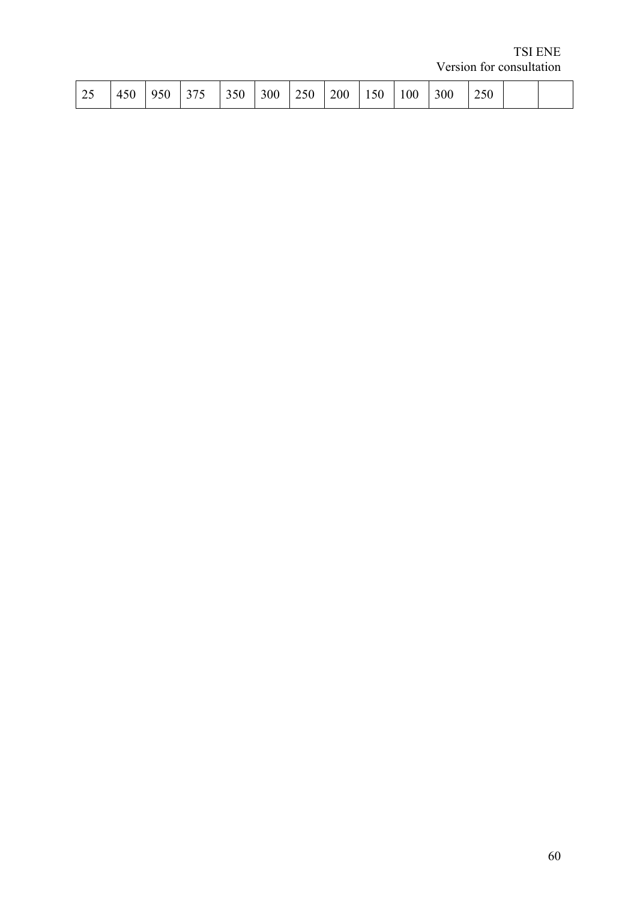TSI ENE Version for consultation

| 350<br>$\sim$ $\sim$<br>$\sim$<br>$\bigcap$<br>$\sim$ $\sim$ $\sim$<br>$\sim$ $\sim$<br>$\sim$ $\sim$<br>$\sim$ $\sim$ $\sim$<br>$\sim$ $\sim$ $\sim$<br>$\sim$<br>$\sim$ $\sim$<br>$\sim$<br>-<br>300<br>м<br>4<br>,,<br>ت<br>τυν<br>1 V V<br>ຼ∠⊽ຟ<br>- •<br>. .<br>∼<br>. . |  |
|-------------------------------------------------------------------------------------------------------------------------------------------------------------------------------------------------------------------------------------------------------------------------------|--|
|-------------------------------------------------------------------------------------------------------------------------------------------------------------------------------------------------------------------------------------------------------------------------------|--|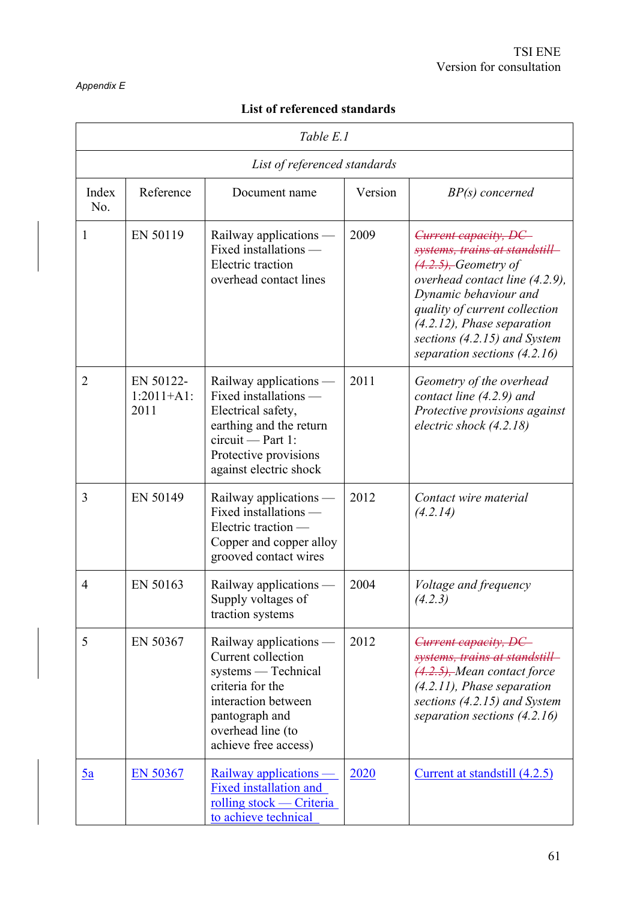#### *Appendix E*

# **List of referenced standards**

| Table E.1      |                                    |                                                                                                                                                                               |         |                                                                                                                                                                                                                                                                                 |  |  |  |  |
|----------------|------------------------------------|-------------------------------------------------------------------------------------------------------------------------------------------------------------------------------|---------|---------------------------------------------------------------------------------------------------------------------------------------------------------------------------------------------------------------------------------------------------------------------------------|--|--|--|--|
|                | List of referenced standards       |                                                                                                                                                                               |         |                                                                                                                                                                                                                                                                                 |  |  |  |  |
| Index<br>No.   | Reference                          | Document name                                                                                                                                                                 | Version | $BP(s)$ concerned                                                                                                                                                                                                                                                               |  |  |  |  |
| 1              | EN 50119                           | Railway applications —<br>Fixed installations -<br><b>Electric</b> traction<br>overhead contact lines                                                                         | 2009    | Current capacity, DC<br>systems, trains at standstill<br>$(4.2.5)$ , Geometry of<br>overhead contact line (4.2.9),<br>Dynamic behaviour and<br>quality of current collection<br>$(4.2.12)$ , Phase separation<br>sections (4.2.15) and System<br>separation sections $(4.2.16)$ |  |  |  |  |
| $\overline{2}$ | EN 50122-<br>$1:2011+A1$ :<br>2011 | Railway applications $-$<br>Fixed installations -<br>Electrical safety,<br>earthing and the return<br>$circuit - Part 1$ :<br>Protective provisions<br>against electric shock | 2011    | Geometry of the overhead<br>contact line $(4.2.9)$ and<br>Protective provisions against<br>electric shock $(4.2.18)$                                                                                                                                                            |  |  |  |  |
| 3              | EN 50149                           | Railway applications -<br>Fixed installations -<br>Electric traction —<br>Copper and copper alloy<br>grooved contact wires                                                    | 2012    | Contact wire material<br>(4.2.14)                                                                                                                                                                                                                                               |  |  |  |  |
| $\overline{4}$ | EN 50163                           | Railway applications<br>Supply voltages of<br>traction systems                                                                                                                | 2004    | Voltage and frequency<br>(4.2.3)                                                                                                                                                                                                                                                |  |  |  |  |
| 5              | EN 50367                           | Railway applications —<br>Current collection<br>systems — Technical<br>criteria for the<br>interaction between<br>pantograph and<br>overhead line (to<br>achieve free access) | 2012    | Current capacity, DC<br>systems, trains at standstill<br>$(4.2.5)$ , Mean contact force<br>$(4.2.11)$ , Phase separation<br>sections $(4.2.15)$ and System<br>separation sections $(4.2.16)$                                                                                    |  |  |  |  |
| <u>5a</u>      | <b>EN 50367</b>                    | Railway applications<br><b>Fixed installation and</b><br>rolling stock — Criteria<br>to achieve technical                                                                     | 2020    | <u>Current at standstill (4.2.5)</u>                                                                                                                                                                                                                                            |  |  |  |  |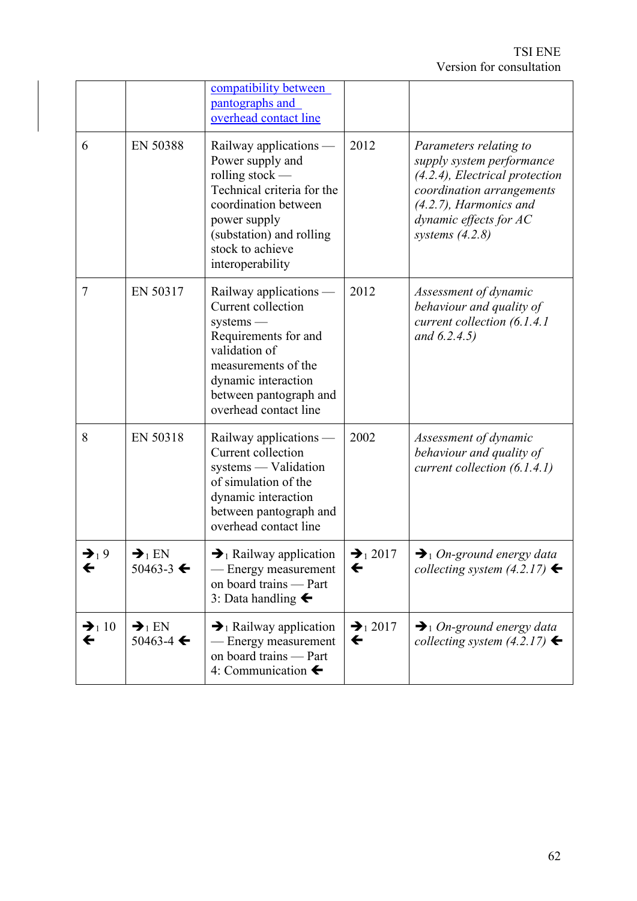TSI ENE Version for consultation

|                                   |                                                           | compatibility between<br>pantographs and<br>overhead contact line                                                                                                                                         |                                |                                                                                                                                                                                                   |
|-----------------------------------|-----------------------------------------------------------|-----------------------------------------------------------------------------------------------------------------------------------------------------------------------------------------------------------|--------------------------------|---------------------------------------------------------------------------------------------------------------------------------------------------------------------------------------------------|
| 6                                 | EN 50388                                                  | Railway applications -<br>Power supply and<br>rolling stock $-$<br>Technical criteria for the<br>coordination between<br>power supply<br>(substation) and rolling<br>stock to achieve<br>interoperability | 2012                           | Parameters relating to<br>supply system performance<br>$(4.2.4)$ , Electrical protection<br>coordination arrangements<br>$(4.2.7)$ , Harmonics and<br>dynamic effects for AC<br>systems $(4.2.8)$ |
| 7                                 | EN 50317                                                  | Railway applications -<br>Current collection<br>systems<br>Requirements for and<br>validation of<br>measurements of the<br>dynamic interaction<br>between pantograph and<br>overhead contact line         | 2012                           | Assessment of dynamic<br>behaviour and quality of<br>current collection (6.1.4.1)<br>and $(6.2.4.5)$                                                                                              |
| 8                                 | EN 50318                                                  | Railway applications -<br>Current collection<br>systems — Validation<br>of simulation of the<br>dynamic interaction<br>between pantograph and<br>overhead contact line                                    | 2002                           | Assessment of dynamic<br>behaviour and quality of<br>current collection $(6.1.4.1)$                                                                                                               |
| $\rightarrow$ <sub>1</sub> 9<br>← | $\rightarrow$ <sub>1</sub> EN<br>$50463 - 3$ $\leftarrow$ | $\rightarrow$ Railway application<br>Energy measurement<br>on board trains - Part<br>3: Data handling $\blacktriangleleft$                                                                                | $\bigtriangledown_1 2017$<br>← | $\bigtriangledown_1$ On-ground energy data<br>collecting system $(4.2.17)$                                                                                                                        |
| $\rightarrow$ 10<br>←             | $\rightarrow$ <sub>1</sub> EN<br>50463-4 $\leftarrow$     | $\rightarrow$ Railway application<br>— Energy measurement<br>on board trains - Part<br>4: Communication $\blacklozenge$                                                                                   | $\rightarrow$ 2017<br>←        | $\rightarrow$ 1 On-ground energy data<br>collecting system $(4.2.17)$                                                                                                                             |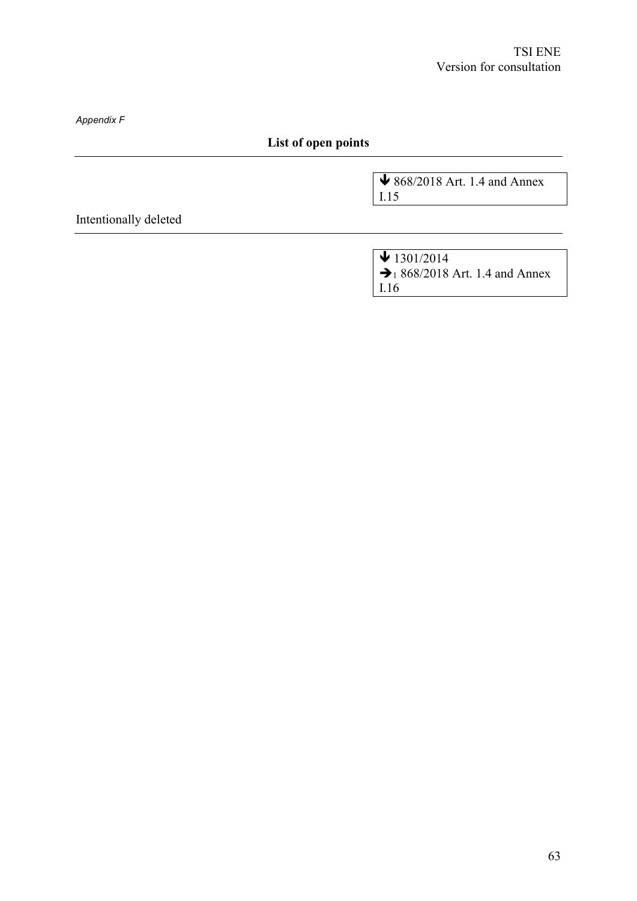*Appendix F*

# **List of open points**

↓ 868/2018 Art. 1.4 and Annex I.15

Intentionally deleted

 $\sqrt{1301/2014}$  $\rightarrow$  1 868/2018 Art. 1.4 and Annex I.16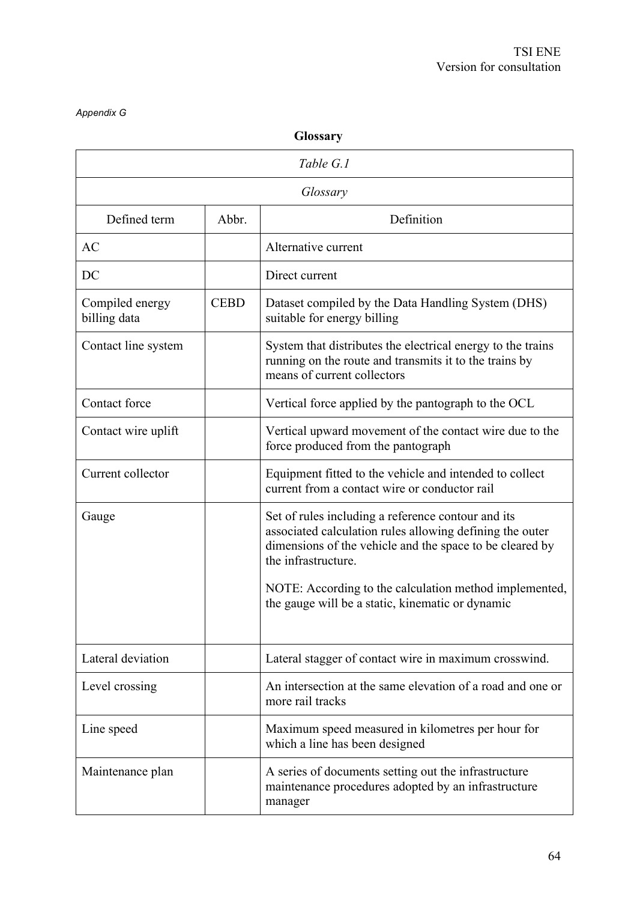#### *Appendix G*

| <b>Glossary</b>                 |             |                                                                                                                                                                                                                                                                                                                 |  |  |  |
|---------------------------------|-------------|-----------------------------------------------------------------------------------------------------------------------------------------------------------------------------------------------------------------------------------------------------------------------------------------------------------------|--|--|--|
|                                 | Table G.1   |                                                                                                                                                                                                                                                                                                                 |  |  |  |
|                                 |             | Glossary                                                                                                                                                                                                                                                                                                        |  |  |  |
| Defined term                    | Abbr.       | Definition                                                                                                                                                                                                                                                                                                      |  |  |  |
| AC                              |             | Alternative current                                                                                                                                                                                                                                                                                             |  |  |  |
| DC                              |             | Direct current                                                                                                                                                                                                                                                                                                  |  |  |  |
| Compiled energy<br>billing data | <b>CEBD</b> | Dataset compiled by the Data Handling System (DHS)<br>suitable for energy billing                                                                                                                                                                                                                               |  |  |  |
| Contact line system             |             | System that distributes the electrical energy to the trains<br>running on the route and transmits it to the trains by<br>means of current collectors                                                                                                                                                            |  |  |  |
| Contact force                   |             | Vertical force applied by the pantograph to the OCL                                                                                                                                                                                                                                                             |  |  |  |
| Contact wire uplift             |             | Vertical upward movement of the contact wire due to the<br>force produced from the pantograph                                                                                                                                                                                                                   |  |  |  |
| Current collector               |             | Equipment fitted to the vehicle and intended to collect<br>current from a contact wire or conductor rail                                                                                                                                                                                                        |  |  |  |
| Gauge                           |             | Set of rules including a reference contour and its<br>associated calculation rules allowing defining the outer<br>dimensions of the vehicle and the space to be cleared by<br>the infrastructure.<br>NOTE: According to the calculation method implemented,<br>the gauge will be a static, kinematic or dynamic |  |  |  |
| Lateral deviation               |             | Lateral stagger of contact wire in maximum crosswind.                                                                                                                                                                                                                                                           |  |  |  |
| Level crossing                  |             | An intersection at the same elevation of a road and one or<br>more rail tracks                                                                                                                                                                                                                                  |  |  |  |
| Line speed                      |             | Maximum speed measured in kilometres per hour for<br>which a line has been designed                                                                                                                                                                                                                             |  |  |  |
| Maintenance plan                |             | A series of documents setting out the infrastructure<br>maintenance procedures adopted by an infrastructure<br>manager                                                                                                                                                                                          |  |  |  |